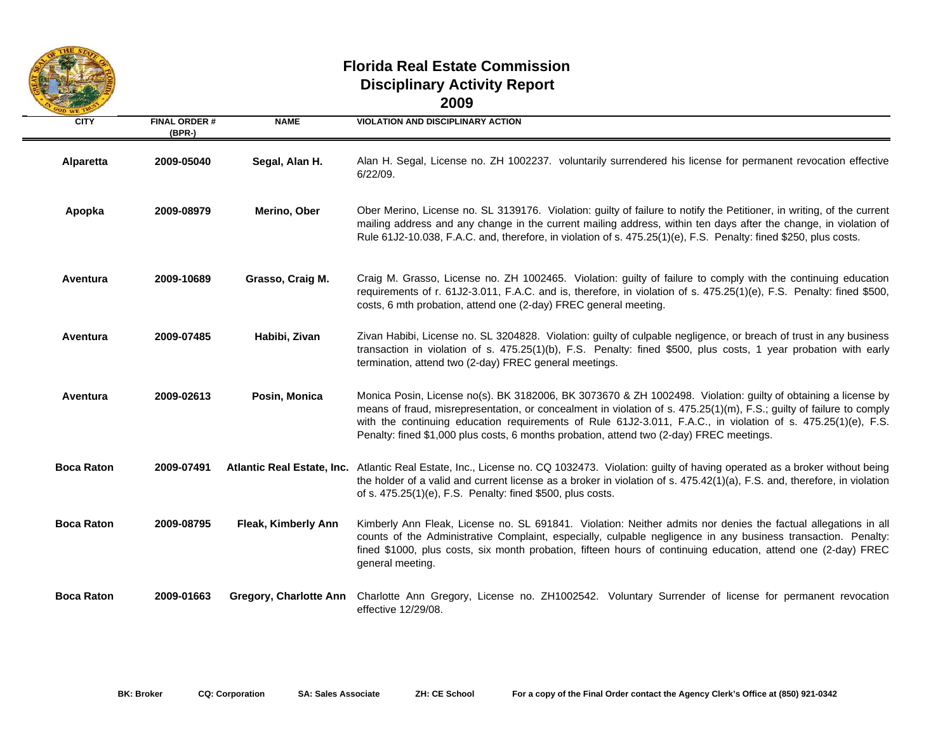

## **Florida Real Estate Commission Disciplinary Activity Report 2009**

| <b>CITY</b>       | <b>FINAL ORDER#</b><br>$(BPR-)$ | <b>NAME</b>            | <b>VIOLATION AND DISCIPLINARY ACTION</b>                                                                                                                                                                                                                                                                                                                                                                                                          |
|-------------------|---------------------------------|------------------------|---------------------------------------------------------------------------------------------------------------------------------------------------------------------------------------------------------------------------------------------------------------------------------------------------------------------------------------------------------------------------------------------------------------------------------------------------|
| Alparetta         | 2009-05040                      | Segal, Alan H.         | Alan H. Segal, License no. ZH 1002237. voluntarily surrendered his license for permanent revocation effective<br>6/22/09.                                                                                                                                                                                                                                                                                                                         |
| Apopka            | 2009-08979                      | Merino, Ober           | Ober Merino, License no. SL 3139176. Violation: guilty of failure to notify the Petitioner, in writing, of the current<br>mailing address and any change in the current mailing address, within ten days after the change, in violation of<br>Rule 61J2-10.038, F.A.C. and, therefore, in violation of s. 475.25(1)(e), F.S. Penalty: fined \$250, plus costs.                                                                                    |
| Aventura          | 2009-10689                      | Grasso, Craig M.       | Craig M. Grasso, License no. ZH 1002465. Violation: guilty of failure to comply with the continuing education<br>requirements of r. 61J2-3.011, F.A.C. and is, therefore, in violation of s. 475.25(1)(e), F.S. Penalty: fined \$500,<br>costs, 6 mth probation, attend one (2-day) FREC general meeting.                                                                                                                                         |
| Aventura          | 2009-07485                      | Habibi, Zivan          | Zivan Habibi, License no. SL 3204828. Violation: guilty of culpable negligence, or breach of trust in any business<br>transaction in violation of s. 475.25(1)(b), F.S. Penalty: fined \$500, plus costs, 1 year probation with early<br>termination, attend two (2-day) FREC general meetings.                                                                                                                                                   |
| Aventura          | 2009-02613                      | Posin, Monica          | Monica Posin, License no(s). BK 3182006, BK 3073670 & ZH 1002498. Violation: guilty of obtaining a license by<br>means of fraud, misrepresentation, or concealment in violation of s. 475.25(1)(m), F.S.; guilty of failure to comply<br>with the continuing education requirements of Rule 61J2-3.011, F.A.C., in violation of s. 475.25(1)(e), F.S.<br>Penalty: fined \$1,000 plus costs, 6 months probation, attend two (2-day) FREC meetings. |
| <b>Boca Raton</b> | 2009-07491                      |                        | Atlantic Real Estate, Inc. Atlantic Real Estate, Inc., License no. CQ 1032473. Violation: guilty of having operated as a broker without being<br>the holder of a valid and current license as a broker in violation of s. 475.42(1)(a), F.S. and, therefore, in violation<br>of s. 475.25(1)(e), F.S. Penalty: fined \$500, plus costs.                                                                                                           |
| <b>Boca Raton</b> | 2009-08795                      | Fleak, Kimberly Ann    | Kimberly Ann Fleak, License no. SL 691841. Violation: Neither admits nor denies the factual allegations in all<br>counts of the Administrative Complaint, especially, culpable negligence in any business transaction. Penalty:<br>fined \$1000, plus costs, six month probation, fifteen hours of continuing education, attend one (2-day) FREC<br>general meeting.                                                                              |
| <b>Boca Raton</b> | 2009-01663                      | Gregory, Charlotte Ann | Charlotte Ann Gregory, License no. ZH1002542. Voluntary Surrender of license for permanent revocation<br>effective 12/29/08.                                                                                                                                                                                                                                                                                                                      |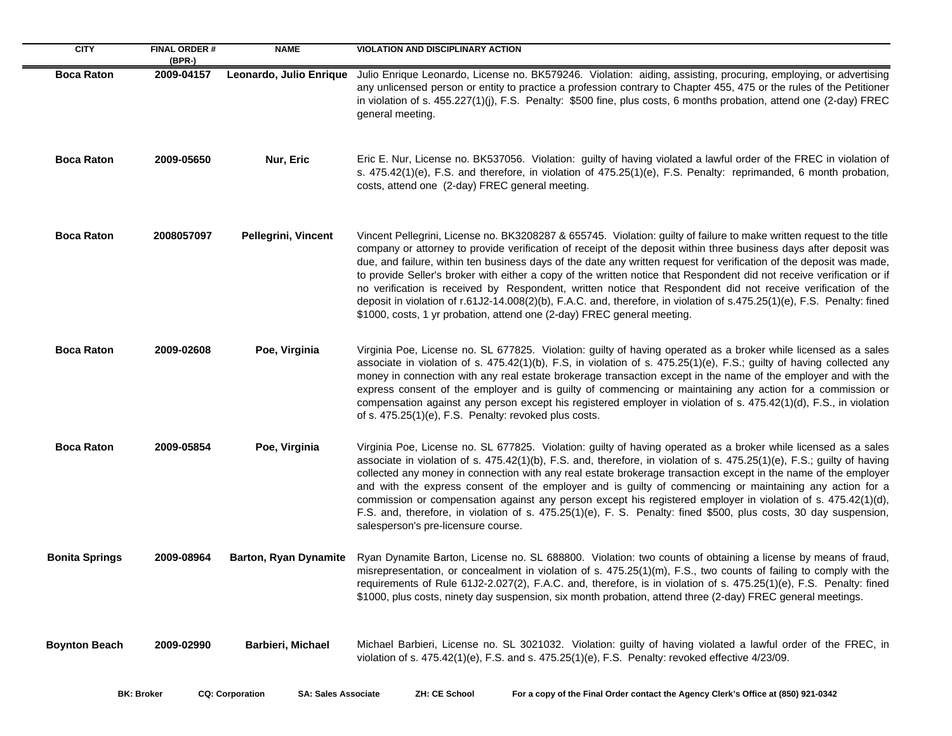| <b>CITY</b>           | <b>FINAL ORDER#</b><br>$(BPR-)$ | <b>NAME</b>                  | <b>VIOLATION AND DISCIPLINARY ACTION</b>                                                                                                                                                                                                                                                                                                                                                                                                                                                                                                                                                                                                                                                                                                                                                                             |
|-----------------------|---------------------------------|------------------------------|----------------------------------------------------------------------------------------------------------------------------------------------------------------------------------------------------------------------------------------------------------------------------------------------------------------------------------------------------------------------------------------------------------------------------------------------------------------------------------------------------------------------------------------------------------------------------------------------------------------------------------------------------------------------------------------------------------------------------------------------------------------------------------------------------------------------|
| <b>Boca Raton</b>     | 2009-04157                      | Leonardo, Julio Enrique      | Julio Enrique Leonardo, License no. BK579246. Violation: aiding, assisting, procuring, employing, or advertising<br>any unlicensed person or entity to practice a profession contrary to Chapter 455, 475 or the rules of the Petitioner<br>in violation of s. 455.227(1)(j), F.S. Penalty: \$500 fine, plus costs, 6 months probation, attend one (2-day) FREC<br>general meeting.                                                                                                                                                                                                                                                                                                                                                                                                                                  |
| <b>Boca Raton</b>     | 2009-05650                      | Nur, Eric                    | Eric E. Nur, License no. BK537056. Violation: guilty of having violated a lawful order of the FREC in violation of<br>s. 475.42(1)(e), F.S. and therefore, in violation of 475.25(1)(e), F.S. Penalty: reprimanded, 6 month probation,<br>costs, attend one (2-day) FREC general meeting.                                                                                                                                                                                                                                                                                                                                                                                                                                                                                                                            |
| <b>Boca Raton</b>     | 2008057097                      | Pellegrini, Vincent          | Vincent Pellegrini, License no. BK3208287 & 655745. Violation: guilty of failure to make written request to the title<br>company or attorney to provide verification of receipt of the deposit within three business days after deposit was<br>due, and failure, within ten business days of the date any written request for verification of the deposit was made,<br>to provide Seller's broker with either a copy of the written notice that Respondent did not receive verification or if<br>no verification is received by Respondent, written notice that Respondent did not receive verification of the<br>deposit in violation of r.61J2-14.008(2)(b), F.A.C. and, therefore, in violation of s.475.25(1)(e), F.S. Penalty: fined<br>\$1000, costs, 1 yr probation, attend one (2-day) FREC general meeting. |
| <b>Boca Raton</b>     | 2009-02608                      | Poe, Virginia                | Virginia Poe, License no. SL 677825. Violation: guilty of having operated as a broker while licensed as a sales<br>associate in violation of s. 475.42(1)(b), F.S, in violation of s. 475.25(1)(e), F.S.; guilty of having collected any<br>money in connection with any real estate brokerage transaction except in the name of the employer and with the<br>express consent of the employer and is guilty of commencing or maintaining any action for a commission or<br>compensation against any person except his registered employer in violation of s. 475.42(1)(d), F.S., in violation<br>of s. 475.25(1)(e), F.S. Penalty: revoked plus costs.                                                                                                                                                               |
| <b>Boca Raton</b>     | 2009-05854                      | Poe, Virginia                | Virginia Poe, License no. SL 677825. Violation: guilty of having operated as a broker while licensed as a sales<br>associate in violation of s. 475.42(1)(b), F.S. and, therefore, in violation of s. 475.25(1)(e), F.S.; guilty of having<br>collected any money in connection with any real estate brokerage transaction except in the name of the employer<br>and with the express consent of the employer and is guilty of commencing or maintaining any action for a<br>commission or compensation against any person except his registered employer in violation of s. 475.42(1)(d),<br>F.S. and, therefore, in violation of s. 475.25(1)(e), F. S. Penalty: fined \$500, plus costs, 30 day suspension,<br>salesperson's pre-licensure course.                                                                |
| <b>Bonita Springs</b> | 2009-08964                      | <b>Barton, Ryan Dynamite</b> | Ryan Dynamite Barton, License no. SL 688800. Violation: two counts of obtaining a license by means of fraud,<br>misrepresentation, or concealment in violation of s. 475.25(1)(m), F.S., two counts of failing to comply with the<br>requirements of Rule 61J2-2.027(2), F.A.C. and, therefore, is in violation of s. 475.25(1)(e), F.S. Penalty: fined<br>\$1000, plus costs, ninety day suspension, six month probation, attend three (2-day) FREC general meetings.                                                                                                                                                                                                                                                                                                                                               |
| <b>Boynton Beach</b>  | 2009-02990                      | Barbieri, Michael            | Michael Barbieri, License no. SL 3021032. Violation: guilty of having violated a lawful order of the FREC, in<br>violation of s. $475.42(1)(e)$ , F.S. and s. $475.25(1)(e)$ , F.S. Penalty: revoked effective $4/23/09$ .                                                                                                                                                                                                                                                                                                                                                                                                                                                                                                                                                                                           |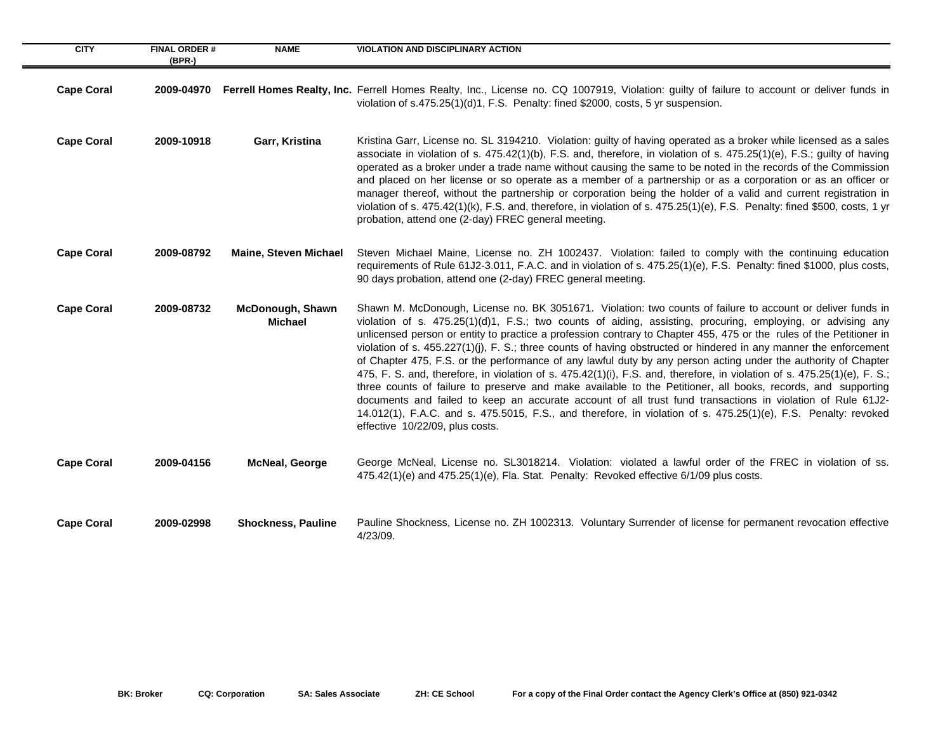| <b>CITY</b>       | <b>FINAL ORDER #</b><br>$(BPR-)$ | <b>NAME</b>                               | <b>VIOLATION AND DISCIPLINARY ACTION</b>                                                                                                                                                                                                                                                                                                                                                                                                                                                                                                                                                                                                                                                                                                                                                                                                                                                                                                                                                                                                                                                                |
|-------------------|----------------------------------|-------------------------------------------|---------------------------------------------------------------------------------------------------------------------------------------------------------------------------------------------------------------------------------------------------------------------------------------------------------------------------------------------------------------------------------------------------------------------------------------------------------------------------------------------------------------------------------------------------------------------------------------------------------------------------------------------------------------------------------------------------------------------------------------------------------------------------------------------------------------------------------------------------------------------------------------------------------------------------------------------------------------------------------------------------------------------------------------------------------------------------------------------------------|
| <b>Cape Coral</b> | 2009-04970                       |                                           | Ferrell Homes Realty, Inc. Ferrell Homes Realty, Inc., License no. CQ 1007919, Violation: guilty of failure to account or deliver funds in<br>violation of s.475.25(1)(d)1, F.S. Penalty: fined \$2000, costs, 5 yr suspension.                                                                                                                                                                                                                                                                                                                                                                                                                                                                                                                                                                                                                                                                                                                                                                                                                                                                         |
| <b>Cape Coral</b> | 2009-10918                       | Garr, Kristina                            | Kristina Garr, License no. SL 3194210. Violation: guilty of having operated as a broker while licensed as a sales<br>associate in violation of s. 475.42(1)(b), F.S. and, therefore, in violation of s. 475.25(1)(e), F.S.; guilty of having<br>operated as a broker under a trade name without causing the same to be noted in the records of the Commission<br>and placed on her license or so operate as a member of a partnership or as a corporation or as an officer or<br>manager thereof, without the partnership or corporation being the holder of a valid and current registration in<br>violation of s. $475.42(1)(k)$ , F.S. and, therefore, in violation of s. $475.25(1)(e)$ , F.S. Penalty: fined \$500, costs, 1 yr<br>probation, attend one (2-day) FREC general meeting.                                                                                                                                                                                                                                                                                                             |
| <b>Cape Coral</b> | 2009-08792                       | <b>Maine, Steven Michael</b>              | Steven Michael Maine, License no. ZH 1002437. Violation: failed to comply with the continuing education<br>requirements of Rule 61J2-3.011, F.A.C. and in violation of s. 475.25(1)(e), F.S. Penalty: fined \$1000, plus costs,<br>90 days probation, attend one (2-day) FREC general meeting.                                                                                                                                                                                                                                                                                                                                                                                                                                                                                                                                                                                                                                                                                                                                                                                                          |
| <b>Cape Coral</b> | 2009-08732                       | <b>McDonough, Shawn</b><br><b>Michael</b> | Shawn M. McDonough, License no. BK 3051671. Violation: two counts of failure to account or deliver funds in<br>violation of s. 475.25(1)(d)1, F.S.; two counts of aiding, assisting, procuring, employing, or advising any<br>unlicensed person or entity to practice a profession contrary to Chapter 455, 475 or the rules of the Petitioner in<br>violation of s. 455.227(1)(j), F. S.; three counts of having obstructed or hindered in any manner the enforcement<br>of Chapter 475, F.S. or the performance of any lawful duty by any person acting under the authority of Chapter<br>475, F. S. and, therefore, in violation of s. 475.42(1)(i), F.S. and, therefore, in violation of s. 475.25(1)(e), F. S.;<br>three counts of failure to preserve and make available to the Petitioner, all books, records, and supporting<br>documents and failed to keep an accurate account of all trust fund transactions in violation of Rule 61J2-<br>14.012(1), F.A.C. and s. 475.5015, F.S., and therefore, in violation of s. 475.25(1)(e), F.S. Penalty: revoked<br>effective 10/22/09, plus costs. |
| <b>Cape Coral</b> | 2009-04156                       | <b>McNeal, George</b>                     | George McNeal, License no. SL3018214. Violation: violated a lawful order of the FREC in violation of ss.<br>475.42(1)(e) and 475.25(1)(e), Fla. Stat. Penalty: Revoked effective 6/1/09 plus costs.                                                                                                                                                                                                                                                                                                                                                                                                                                                                                                                                                                                                                                                                                                                                                                                                                                                                                                     |
| <b>Cape Coral</b> | 2009-02998                       | <b>Shockness, Pauline</b>                 | Pauline Shockness, License no. ZH 1002313. Voluntary Surrender of license for permanent revocation effective<br>4/23/09.                                                                                                                                                                                                                                                                                                                                                                                                                                                                                                                                                                                                                                                                                                                                                                                                                                                                                                                                                                                |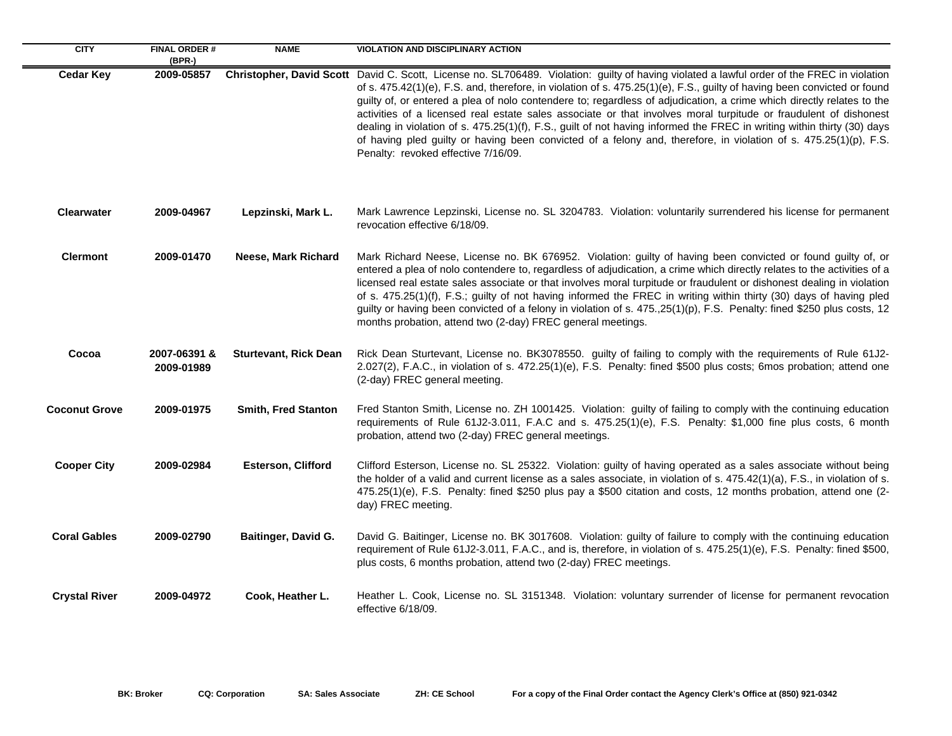| <b>CITY</b>          | <b>FINAL ORDER#</b><br>(BPR-) | <b>NAME</b>                  | <b>VIOLATION AND DISCIPLINARY ACTION</b>                                                                                                                                                                                                                                                                                                                                                                                                                                                                                                                                                                                                                                                                                                                                                                   |
|----------------------|-------------------------------|------------------------------|------------------------------------------------------------------------------------------------------------------------------------------------------------------------------------------------------------------------------------------------------------------------------------------------------------------------------------------------------------------------------------------------------------------------------------------------------------------------------------------------------------------------------------------------------------------------------------------------------------------------------------------------------------------------------------------------------------------------------------------------------------------------------------------------------------|
| <b>Cedar Key</b>     | 2009-05857                    |                              | Christopher, David Scott David C. Scott, License no. SL706489. Violation: guilty of having violated a lawful order of the FREC in violation<br>of s. 475.42(1)(e), F.S. and, therefore, in violation of s. 475.25(1)(e), F.S., guilty of having been convicted or found<br>guilty of, or entered a plea of nolo contendere to; regardless of adjudication, a crime which directly relates to the<br>activities of a licensed real estate sales associate or that involves moral turpitude or fraudulent of dishonest<br>dealing in violation of s. 475.25(1)(f), F.S., guilt of not having informed the FREC in writing within thirty (30) days<br>of having pled guilty or having been convicted of a felony and, therefore, in violation of s. 475.25(1)(p), F.S.<br>Penalty: revoked effective 7/16/09. |
| <b>Clearwater</b>    | 2009-04967                    | Lepzinski, Mark L.           | Mark Lawrence Lepzinski, License no. SL 3204783. Violation: voluntarily surrendered his license for permanent<br>revocation effective 6/18/09.                                                                                                                                                                                                                                                                                                                                                                                                                                                                                                                                                                                                                                                             |
| <b>Clermont</b>      | 2009-01470                    | Neese, Mark Richard          | Mark Richard Neese, License no. BK 676952. Violation: guilty of having been convicted or found guilty of, or<br>entered a plea of nolo contendere to, regardless of adjudication, a crime which directly relates to the activities of a<br>licensed real estate sales associate or that involves moral turpitude or fraudulent or dishonest dealing in violation<br>of s. 475.25(1)(f), F.S.; guilty of not having informed the FREC in writing within thirty (30) days of having pled<br>guilty or having been convicted of a felony in violation of s. 475.,25(1)(p), F.S. Penalty: fined \$250 plus costs, 12<br>months probation, attend two (2-day) FREC general meetings.                                                                                                                            |
| Cocoa                | 2007-06391 &<br>2009-01989    | <b>Sturtevant, Rick Dean</b> | Rick Dean Sturtevant, License no. BK3078550. guilty of failing to comply with the requirements of Rule 61J2-<br>2.027(2), F.A.C., in violation of s. 472.25(1)(e), F.S. Penalty: fined \$500 plus costs; 6mos probation; attend one<br>(2-day) FREC general meeting.                                                                                                                                                                                                                                                                                                                                                                                                                                                                                                                                       |
| <b>Coconut Grove</b> | 2009-01975                    | Smith, Fred Stanton          | Fred Stanton Smith, License no. ZH 1001425. Violation: guilty of failing to comply with the continuing education<br>requirements of Rule 61J2-3.011, F.A.C and s. 475.25(1)(e), F.S. Penalty: \$1,000 fine plus costs, 6 month<br>probation, attend two (2-day) FREC general meetings.                                                                                                                                                                                                                                                                                                                                                                                                                                                                                                                     |
| <b>Cooper City</b>   | 2009-02984                    | <b>Esterson, Clifford</b>    | Clifford Esterson, License no. SL 25322. Violation: guilty of having operated as a sales associate without being<br>the holder of a valid and current license as a sales associate, in violation of s. 475.42(1)(a), F.S., in violation of s.<br>475.25(1)(e), F.S. Penalty: fined \$250 plus pay a \$500 citation and costs, 12 months probation, attend one (2-<br>day) FREC meeting.                                                                                                                                                                                                                                                                                                                                                                                                                    |
| <b>Coral Gables</b>  | 2009-02790                    | Baitinger, David G.          | David G. Baitinger, License no. BK 3017608. Violation: guilty of failure to comply with the continuing education<br>requirement of Rule 61J2-3.011, F.A.C., and is, therefore, in violation of s. 475.25(1)(e), F.S. Penalty: fined \$500,<br>plus costs, 6 months probation, attend two (2-day) FREC meetings.                                                                                                                                                                                                                                                                                                                                                                                                                                                                                            |
| <b>Crystal River</b> | 2009-04972                    | Cook, Heather L.             | Heather L. Cook, License no. SL 3151348. Violation: voluntary surrender of license for permanent revocation<br>effective 6/18/09.                                                                                                                                                                                                                                                                                                                                                                                                                                                                                                                                                                                                                                                                          |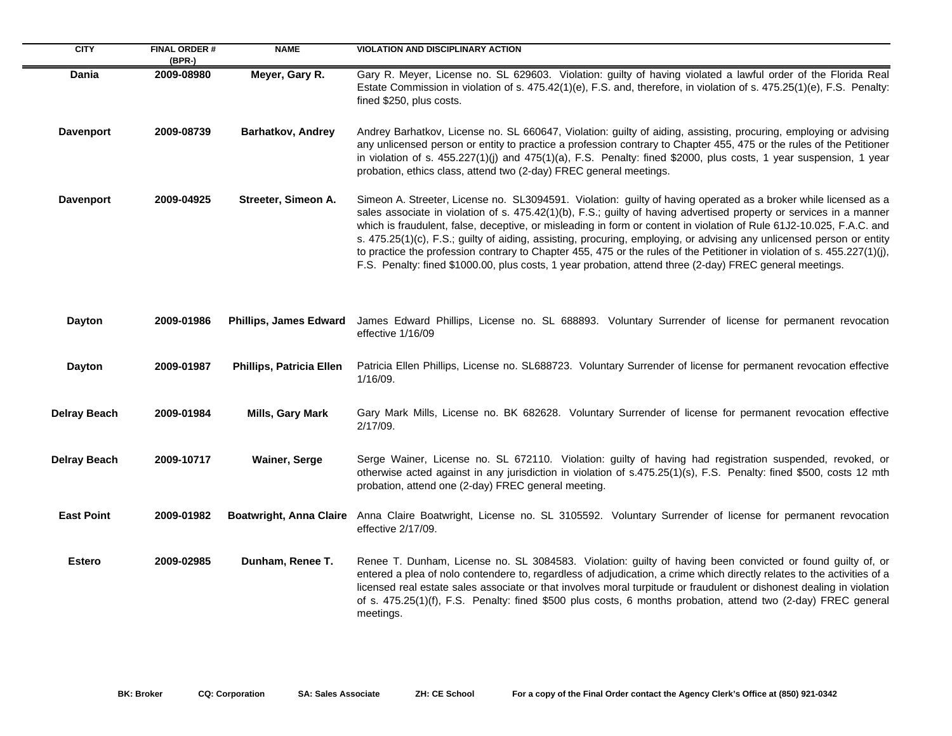| <b>CITY</b>         | <b>FINAL ORDER#</b><br>(BPR-) | <b>NAME</b>                    | <b>VIOLATION AND DISCIPLINARY ACTION</b>                                                                                                                                                                                                                                                                                                                                                                                                                                                                                                                                                                                                                                                                                        |
|---------------------|-------------------------------|--------------------------------|---------------------------------------------------------------------------------------------------------------------------------------------------------------------------------------------------------------------------------------------------------------------------------------------------------------------------------------------------------------------------------------------------------------------------------------------------------------------------------------------------------------------------------------------------------------------------------------------------------------------------------------------------------------------------------------------------------------------------------|
| Dania               | 2009-08980                    | Meyer, Gary R.                 | Gary R. Meyer, License no. SL 629603. Violation: guilty of having violated a lawful order of the Florida Real<br>Estate Commission in violation of s. 475.42(1)(e), F.S. and, therefore, in violation of s. 475.25(1)(e), F.S. Penalty:<br>fined \$250, plus costs.                                                                                                                                                                                                                                                                                                                                                                                                                                                             |
| <b>Davenport</b>    | 2009-08739                    | Barhatkov, Andrey              | Andrey Barhatkov, License no. SL 660647, Violation: guilty of aiding, assisting, procuring, employing or advising<br>any unlicensed person or entity to practice a profession contrary to Chapter 455, 475 or the rules of the Petitioner<br>in violation of s. 455.227(1)(j) and 475(1)(a), F.S. Penalty: fined \$2000, plus costs, 1 year suspension, 1 year<br>probation, ethics class, attend two (2-day) FREC general meetings.                                                                                                                                                                                                                                                                                            |
| <b>Davenport</b>    | 2009-04925                    | Streeter, Simeon A.            | Simeon A. Streeter, License no. SL3094591. Violation: guilty of having operated as a broker while licensed as a<br>sales associate in violation of s. 475.42(1)(b), F.S.; guilty of having advertised property or services in a manner<br>which is fraudulent, false, deceptive, or misleading in form or content in violation of Rule 61J2-10.025, F.A.C. and<br>s. 475.25(1)(c), F.S.; guilty of aiding, assisting, procuring, employing, or advising any unlicensed person or entity<br>to practice the profession contrary to Chapter 455, 475 or the rules of the Petitioner in violation of s. 455.227(1)(j),<br>F.S. Penalty: fined \$1000.00, plus costs, 1 year probation, attend three (2-day) FREC general meetings. |
| Dayton              | 2009-01986                    | <b>Phillips, James Edward</b>  | James Edward Phillips, License no. SL 688893. Voluntary Surrender of license for permanent revocation<br>effective 1/16/09                                                                                                                                                                                                                                                                                                                                                                                                                                                                                                                                                                                                      |
| Dayton              | 2009-01987                    | Phillips, Patricia Ellen       | Patricia Ellen Phillips, License no. SL688723. Voluntary Surrender of license for permanent revocation effective<br>1/16/09.                                                                                                                                                                                                                                                                                                                                                                                                                                                                                                                                                                                                    |
| <b>Delray Beach</b> | 2009-01984                    | Mills, Gary Mark               | Gary Mark Mills, License no. BK 682628. Voluntary Surrender of license for permanent revocation effective<br>2/17/09.                                                                                                                                                                                                                                                                                                                                                                                                                                                                                                                                                                                                           |
| <b>Delray Beach</b> | 2009-10717                    | <b>Wainer, Serge</b>           | Serge Wainer, License no. SL 672110. Violation: guilty of having had registration suspended, revoked, or<br>otherwise acted against in any jurisdiction in violation of s.475.25(1)(s), F.S. Penalty: fined \$500, costs 12 mth<br>probation, attend one (2-day) FREC general meeting.                                                                                                                                                                                                                                                                                                                                                                                                                                          |
| <b>East Point</b>   | 2009-01982                    | <b>Boatwright, Anna Claire</b> | Anna Claire Boatwright, License no. SL 3105592. Voluntary Surrender of license for permanent revocation<br>effective 2/17/09.                                                                                                                                                                                                                                                                                                                                                                                                                                                                                                                                                                                                   |
| <b>Estero</b>       | 2009-02985                    | Dunham, Renee T.               | Renee T. Dunham, License no. SL 3084583. Violation: guilty of having been convicted or found guilty of, or<br>entered a plea of nolo contendere to, regardless of adjudication, a crime which directly relates to the activities of a<br>licensed real estate sales associate or that involves moral turpitude or fraudulent or dishonest dealing in violation<br>of s. 475.25(1)(f), F.S. Penalty: fined \$500 plus costs, 6 months probation, attend two (2-day) FREC general<br>meetings.                                                                                                                                                                                                                                    |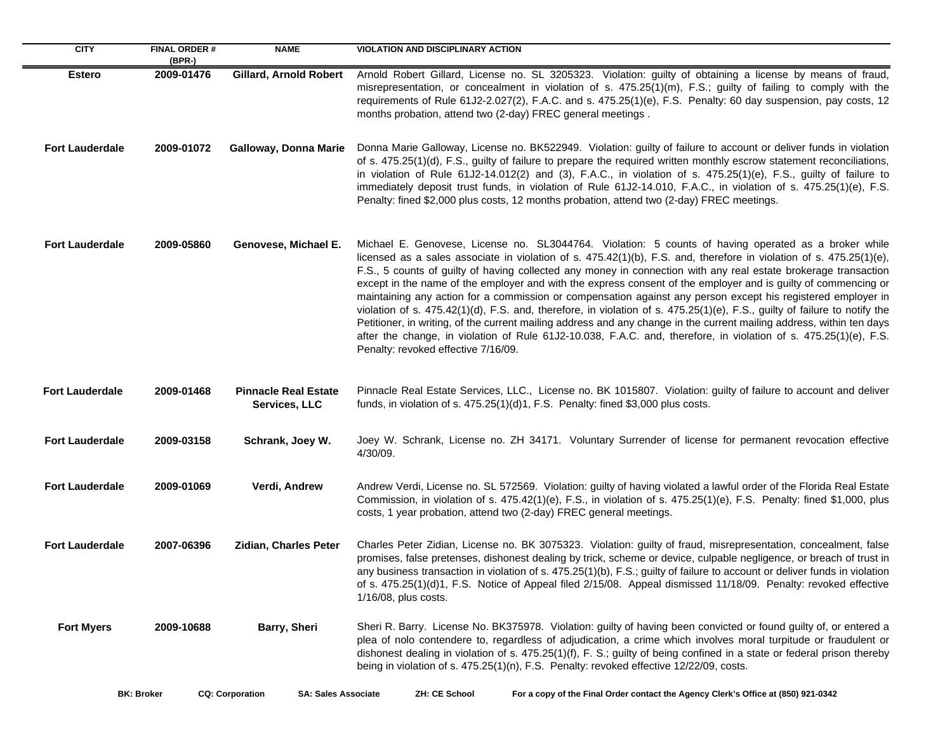| <b>CITY</b>            | <b>FINAL ORDER#</b><br>(BPR-) | <b>NAME</b>                                          | <b>VIOLATION AND DISCIPLINARY ACTION</b>                                                                                                                                                                                                                                                                                                                                                                                                                                                                                                                                                                                                                                                                                                                                                                                                                                                                                                                                                                |
|------------------------|-------------------------------|------------------------------------------------------|---------------------------------------------------------------------------------------------------------------------------------------------------------------------------------------------------------------------------------------------------------------------------------------------------------------------------------------------------------------------------------------------------------------------------------------------------------------------------------------------------------------------------------------------------------------------------------------------------------------------------------------------------------------------------------------------------------------------------------------------------------------------------------------------------------------------------------------------------------------------------------------------------------------------------------------------------------------------------------------------------------|
| <b>Estero</b>          | 2009-01476                    | <b>Gillard, Arnold Robert</b>                        | Arnold Robert Gillard, License no. SL 3205323. Violation: guilty of obtaining a license by means of fraud,<br>misrepresentation, or concealment in violation of s. 475.25(1)(m), F.S.; guilty of failing to comply with the<br>requirements of Rule 61J2-2.027(2), F.A.C. and s. 475.25(1)(e), F.S. Penalty: 60 day suspension, pay costs, 12<br>months probation, attend two (2-day) FREC general meetings.                                                                                                                                                                                                                                                                                                                                                                                                                                                                                                                                                                                            |
| <b>Fort Lauderdale</b> | 2009-01072                    | Galloway, Donna Marie                                | Donna Marie Galloway, License no. BK522949. Violation: guilty of failure to account or deliver funds in violation<br>of s. 475.25(1)(d), F.S., guilty of failure to prepare the required written monthly escrow statement reconciliations,<br>in violation of Rule 61J2-14.012(2) and (3), F.A.C., in violation of s. 475.25(1)(e), F.S., guilty of failure to<br>immediately deposit trust funds, in violation of Rule 61J2-14.010, F.A.C., in violation of s. 475.25(1)(e), F.S.<br>Penalty: fined \$2,000 plus costs, 12 months probation, attend two (2-day) FREC meetings.                                                                                                                                                                                                                                                                                                                                                                                                                         |
| <b>Fort Lauderdale</b> | 2009-05860                    | Genovese, Michael E.                                 | Michael E. Genovese, License no. SL3044764. Violation: 5 counts of having operated as a broker while<br>licensed as a sales associate in violation of s. $475.42(1)(b)$ , F.S. and, therefore in violation of s. $475.25(1)(e)$ ,<br>F.S., 5 counts of guilty of having collected any money in connection with any real estate brokerage transaction<br>except in the name of the employer and with the express consent of the employer and is guilty of commencing or<br>maintaining any action for a commission or compensation against any person except his registered employer in<br>violation of s. 475.42(1)(d), F.S. and, therefore, in violation of s. 475.25(1)(e), F.S., guilty of failure to notify the<br>Petitioner, in writing, of the current mailing address and any change in the current mailing address, within ten days<br>after the change, in violation of Rule 61J2-10.038, F.A.C. and, therefore, in violation of s. 475.25(1)(e), F.S.<br>Penalty: revoked effective 7/16/09. |
| <b>Fort Lauderdale</b> | 2009-01468                    | <b>Pinnacle Real Estate</b><br>Services, LLC         | Pinnacle Real Estate Services, LLC., License no. BK 1015807. Violation: guilty of failure to account and deliver<br>funds, in violation of s. 475.25(1)(d)1, F.S. Penalty: fined \$3,000 plus costs.                                                                                                                                                                                                                                                                                                                                                                                                                                                                                                                                                                                                                                                                                                                                                                                                    |
| <b>Fort Lauderdale</b> | 2009-03158                    | Schrank, Joey W.                                     | Joey W. Schrank, License no. ZH 34171. Voluntary Surrender of license for permanent revocation effective<br>4/30/09.                                                                                                                                                                                                                                                                                                                                                                                                                                                                                                                                                                                                                                                                                                                                                                                                                                                                                    |
| <b>Fort Lauderdale</b> | 2009-01069                    | Verdi, Andrew                                        | Andrew Verdi, License no. SL 572569. Violation: guilty of having violated a lawful order of the Florida Real Estate<br>Commission, in violation of s. 475.42(1)(e), F.S., in violation of s. 475.25(1)(e), F.S. Penalty: fined \$1,000, plus<br>costs, 1 year probation, attend two (2-day) FREC general meetings.                                                                                                                                                                                                                                                                                                                                                                                                                                                                                                                                                                                                                                                                                      |
| <b>Fort Lauderdale</b> | 2007-06396                    | <b>Zidian, Charles Peter</b>                         | Charles Peter Zidian, License no. BK 3075323. Violation: guilty of fraud, misrepresentation, concealment, false<br>promises, false pretenses, dishonest dealing by trick, scheme or device, culpable negligence, or breach of trust in<br>any business transaction in violation of s. 475.25(1)(b), F.S.; guilty of failure to account or deliver funds in violation<br>of s. 475.25(1)(d)1, F.S. Notice of Appeal filed 2/15/08. Appeal dismissed 11/18/09. Penalty: revoked effective<br>$1/16/08$ , plus costs.                                                                                                                                                                                                                                                                                                                                                                                                                                                                                      |
| <b>Fort Myers</b>      | 2009-10688                    | Barry, Sheri                                         | Sheri R. Barry. License No. BK375978. Violation: guilty of having been convicted or found guilty of, or entered a<br>plea of nolo contendere to, regardless of adjudication, a crime which involves moral turpitude or fraudulent or<br>dishonest dealing in violation of s. 475.25(1)(f), F. S.; guilty of being confined in a state or federal prison thereby<br>being in violation of s. 475.25(1)(n), F.S. Penalty: revoked effective 12/22/09, costs.                                                                                                                                                                                                                                                                                                                                                                                                                                                                                                                                              |
| <b>BK: Broker</b>      |                               | <b>CQ: Corporation</b><br><b>SA: Sales Associate</b> | ZH: CE School<br>For a copy of the Final Order contact the Agency Clerk's Office at (850) 921-0342                                                                                                                                                                                                                                                                                                                                                                                                                                                                                                                                                                                                                                                                                                                                                                                                                                                                                                      |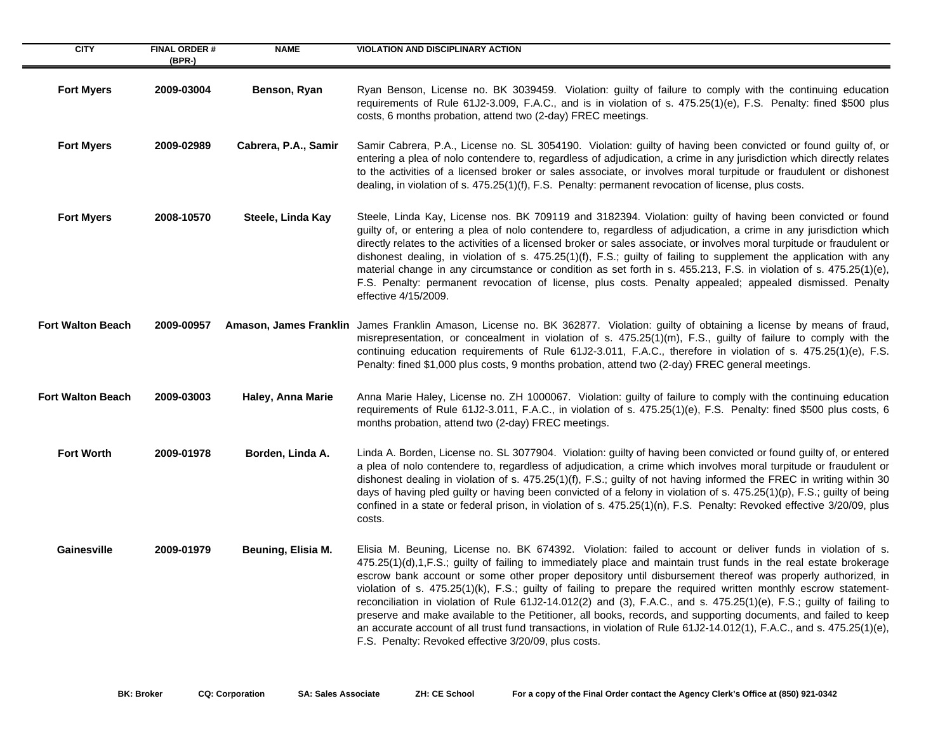| <b>CITY</b>              | <b>FINAL ORDER#</b><br>(BPR-) | <b>NAME</b>          | <b>VIOLATION AND DISCIPLINARY ACTION</b>                                                                                                                                                                                                                                                                                                                                                                                                                                                                                                                                                                                                                                                                                                                                                                                                                                                    |
|--------------------------|-------------------------------|----------------------|---------------------------------------------------------------------------------------------------------------------------------------------------------------------------------------------------------------------------------------------------------------------------------------------------------------------------------------------------------------------------------------------------------------------------------------------------------------------------------------------------------------------------------------------------------------------------------------------------------------------------------------------------------------------------------------------------------------------------------------------------------------------------------------------------------------------------------------------------------------------------------------------|
| <b>Fort Myers</b>        | 2009-03004                    | Benson, Ryan         | Ryan Benson, License no. BK 3039459. Violation: guilty of failure to comply with the continuing education<br>requirements of Rule 61J2-3.009, F.A.C., and is in violation of s. 475.25(1)(e), F.S. Penalty: fined \$500 plus<br>costs, 6 months probation, attend two (2-day) FREC meetings.                                                                                                                                                                                                                                                                                                                                                                                                                                                                                                                                                                                                |
| <b>Fort Myers</b>        | 2009-02989                    | Cabrera, P.A., Samir | Samir Cabrera, P.A., License no. SL 3054190. Violation: guilty of having been convicted or found guilty of, or<br>entering a plea of nolo contendere to, regardless of adjudication, a crime in any jurisdiction which directly relates<br>to the activities of a licensed broker or sales associate, or involves moral turpitude or fraudulent or dishonest<br>dealing, in violation of s. 475.25(1)(f), F.S. Penalty: permanent revocation of license, plus costs.                                                                                                                                                                                                                                                                                                                                                                                                                        |
| <b>Fort Myers</b>        | 2008-10570                    | Steele, Linda Kay    | Steele, Linda Kay, License nos. BK 709119 and 3182394. Violation: guilty of having been convicted or found<br>guilty of, or entering a plea of nolo contendere to, regardless of adjudication, a crime in any jurisdiction which<br>directly relates to the activities of a licensed broker or sales associate, or involves moral turpitude or fraudulent or<br>dishonest dealing, in violation of s. 475.25(1)(f), F.S.; guilty of failing to supplement the application with any<br>material change in any circumstance or condition as set forth in s. 455.213, F.S. in violation of s. 475.25(1)(e),<br>F.S. Penalty: permanent revocation of license, plus costs. Penalty appealed; appealed dismissed. Penalty<br>effective 4/15/2009.                                                                                                                                                |
| <b>Fort Walton Beach</b> | 2009-00957                    |                      | Amason, James Franklin James Franklin Amason, License no. BK 362877. Violation: guilty of obtaining a license by means of fraud,<br>misrepresentation, or concealment in violation of s. 475.25(1)(m), F.S., guilty of failure to comply with the<br>continuing education requirements of Rule 61J2-3.011, F.A.C., therefore in violation of s. 475.25(1)(e), F.S.<br>Penalty: fined \$1,000 plus costs, 9 months probation, attend two (2-day) FREC general meetings.                                                                                                                                                                                                                                                                                                                                                                                                                      |
| <b>Fort Walton Beach</b> | 2009-03003                    | Haley, Anna Marie    | Anna Marie Haley, License no. ZH 1000067. Violation: guilty of failure to comply with the continuing education<br>requirements of Rule 61J2-3.011, F.A.C., in violation of s. 475.25(1)(e), F.S. Penalty: fined \$500 plus costs, 6<br>months probation, attend two (2-day) FREC meetings.                                                                                                                                                                                                                                                                                                                                                                                                                                                                                                                                                                                                  |
| <b>Fort Worth</b>        | 2009-01978                    | Borden, Linda A.     | Linda A. Borden, License no. SL 3077904. Violation: guilty of having been convicted or found guilty of, or entered<br>a plea of nolo contendere to, regardless of adjudication, a crime which involves moral turpitude or fraudulent or<br>dishonest dealing in violation of s. 475.25(1)(f), F.S.; guilty of not having informed the FREC in writing within 30<br>days of having pled guilty or having been convicted of a felony in violation of s. 475.25(1)(p), F.S.; guilty of being<br>confined in a state or federal prison, in violation of s. 475.25(1)(n), F.S. Penalty: Revoked effective 3/20/09, plus<br>costs.                                                                                                                                                                                                                                                                |
| Gainesville              | 2009-01979                    | Beuning, Elisia M.   | Elisia M. Beuning, License no. BK 674392. Violation: failed to account or deliver funds in violation of s.<br>475.25(1)(d),1,F.S.; guilty of failing to immediately place and maintain trust funds in the real estate brokerage<br>escrow bank account or some other proper depository until disbursement thereof was properly authorized, in<br>violation of s. 475.25(1)(k), F.S.; guilty of failing to prepare the required written monthly escrow statement-<br>reconciliation in violation of Rule 61J2-14.012(2) and (3), F.A.C., and s. 475.25(1)(e), F.S.; guilty of failing to<br>preserve and make available to the Petitioner, all books, records, and supporting documents, and failed to keep<br>an accurate account of all trust fund transactions, in violation of Rule 61J2-14.012(1), F.A.C., and s. 475.25(1)(e),<br>F.S. Penalty: Revoked effective 3/20/09, plus costs. |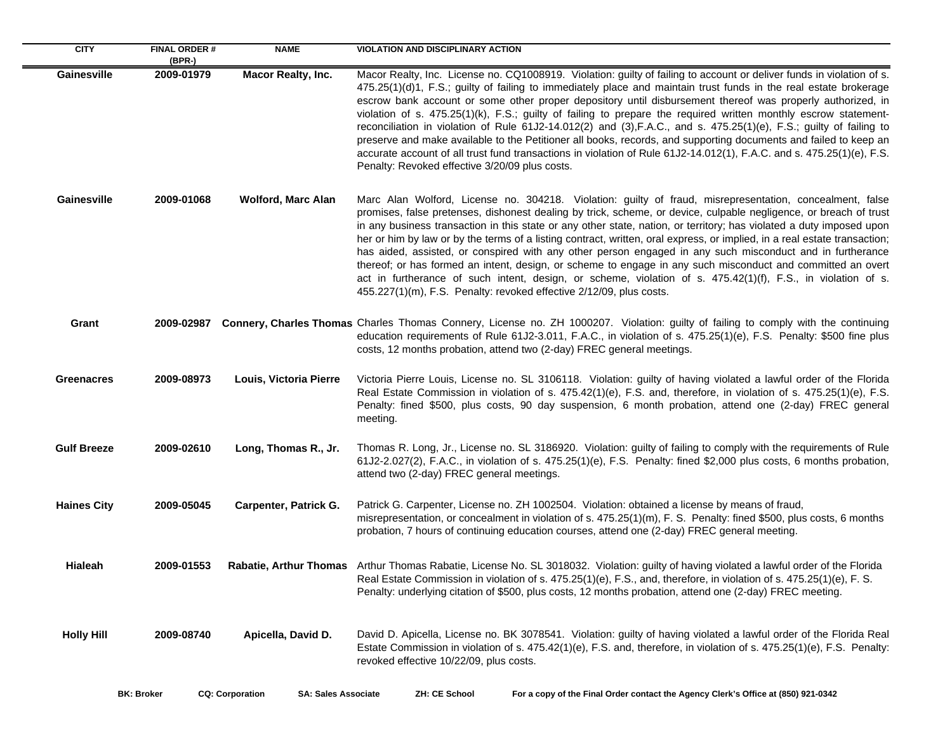| <b>CITY</b>        | <b>FINAL ORDER#</b><br>(BPR-) | <b>NAME</b>                                          | <b>VIOLATION AND DISCIPLINARY ACTION</b>                                                                                                                                                                                                                                                                                                                                                                                                                                                                                                                                                                                                                                                                                                                                                                                                                                                              |
|--------------------|-------------------------------|------------------------------------------------------|-------------------------------------------------------------------------------------------------------------------------------------------------------------------------------------------------------------------------------------------------------------------------------------------------------------------------------------------------------------------------------------------------------------------------------------------------------------------------------------------------------------------------------------------------------------------------------------------------------------------------------------------------------------------------------------------------------------------------------------------------------------------------------------------------------------------------------------------------------------------------------------------------------|
| Gainesville        | 2009-01979                    | <b>Macor Realty, Inc.</b>                            | Macor Realty, Inc. License no. CQ1008919. Violation: guilty of failing to account or deliver funds in violation of s.<br>475.25(1)(d)1, F.S.; guilty of failing to immediately place and maintain trust funds in the real estate brokerage<br>escrow bank account or some other proper depository until disbursement thereof was properly authorized, in<br>violation of s. 475.25(1)(k), F.S.; guilty of failing to prepare the required written monthly escrow statement-<br>reconciliation in violation of Rule 61J2-14.012(2) and (3), F.A.C., and s. 475.25(1)(e), F.S.; guilty of failing to<br>preserve and make available to the Petitioner all books, records, and supporting documents and failed to keep an<br>accurate account of all trust fund transactions in violation of Rule 61J2-14.012(1), F.A.C. and s. 475.25(1)(e), F.S.<br>Penalty: Revoked effective 3/20/09 plus costs.     |
| Gainesville        | 2009-01068                    | <b>Wolford, Marc Alan</b>                            | Marc Alan Wolford, License no. 304218. Violation: guilty of fraud, misrepresentation, concealment, false<br>promises, false pretenses, dishonest dealing by trick, scheme, or device, culpable negligence, or breach of trust<br>in any business transaction in this state or any other state, nation, or territory; has violated a duty imposed upon<br>her or him by law or by the terms of a listing contract, written, oral express, or implied, in a real estate transaction;<br>has aided, assisted, or conspired with any other person engaged in any such misconduct and in furtherance<br>thereof; or has formed an intent, design, or scheme to engage in any such misconduct and committed an overt<br>act in furtherance of such intent, design, or scheme, violation of s. 475.42(1)(f), F.S., in violation of s.<br>455.227(1)(m), F.S. Penalty: revoked effective 2/12/09, plus costs. |
| Grant              |                               |                                                      | 2009-02987 Connery, Charles Thomas Charles Thomas Connery, License no. ZH 1000207. Violation: guilty of failing to comply with the continuing<br>education requirements of Rule 61J2-3.011, F.A.C., in violation of s. 475.25(1)(e), F.S. Penalty: \$500 fine plus<br>costs, 12 months probation, attend two (2-day) FREC general meetings.                                                                                                                                                                                                                                                                                                                                                                                                                                                                                                                                                           |
| <b>Greenacres</b>  | 2009-08973                    | Louis, Victoria Pierre                               | Victoria Pierre Louis, License no. SL 3106118. Violation: guilty of having violated a lawful order of the Florida<br>Real Estate Commission in violation of s. 475.42(1)(e), F.S. and, therefore, in violation of s. 475.25(1)(e), F.S.<br>Penalty: fined \$500, plus costs, 90 day suspension, 6 month probation, attend one (2-day) FREC general<br>meeting.                                                                                                                                                                                                                                                                                                                                                                                                                                                                                                                                        |
| <b>Gulf Breeze</b> | 2009-02610                    | Long, Thomas R., Jr.                                 | Thomas R. Long, Jr., License no. SL 3186920. Violation: guilty of failing to comply with the requirements of Rule<br>61J2-2.027(2), F.A.C., in violation of s. 475.25(1)(e), F.S. Penalty: fined \$2,000 plus costs, 6 months probation,<br>attend two (2-day) FREC general meetings.                                                                                                                                                                                                                                                                                                                                                                                                                                                                                                                                                                                                                 |
| <b>Haines City</b> | 2009-05045                    | Carpenter, Patrick G.                                | Patrick G. Carpenter, License no. ZH 1002504. Violation: obtained a license by means of fraud,<br>misrepresentation, or concealment in violation of s. 475.25(1)(m), F. S. Penalty: fined \$500, plus costs, 6 months<br>probation, 7 hours of continuing education courses, attend one (2-day) FREC general meeting.                                                                                                                                                                                                                                                                                                                                                                                                                                                                                                                                                                                 |
| Hialeah            | 2009-01553                    |                                                      | Rabatie, Arthur Thomas Arthur Thomas Rabatie, License No. SL 3018032. Violation: guilty of having violated a lawful order of the Florida<br>Real Estate Commission in violation of s. 475.25(1)(e), F.S., and, therefore, in violation of s. 475.25(1)(e), F. S.<br>Penalty: underlying citation of \$500, plus costs, 12 months probation, attend one (2-day) FREC meeting.                                                                                                                                                                                                                                                                                                                                                                                                                                                                                                                          |
| <b>Holly Hill</b>  | 2009-08740                    | Apicella, David D.                                   | David D. Apicella, License no. BK 3078541. Violation: guilty of having violated a lawful order of the Florida Real<br>Estate Commission in violation of s. 475.42(1)(e), F.S. and, therefore, in violation of s. 475.25(1)(e), F.S. Penalty:<br>revoked effective 10/22/09, plus costs.                                                                                                                                                                                                                                                                                                                                                                                                                                                                                                                                                                                                               |
|                    | <b>BK: Broker</b>             | <b>CQ: Corporation</b><br><b>SA: Sales Associate</b> | For a copy of the Final Order contact the Agency Clerk's Office at (850) 921-0342<br>ZH: CE School                                                                                                                                                                                                                                                                                                                                                                                                                                                                                                                                                                                                                                                                                                                                                                                                    |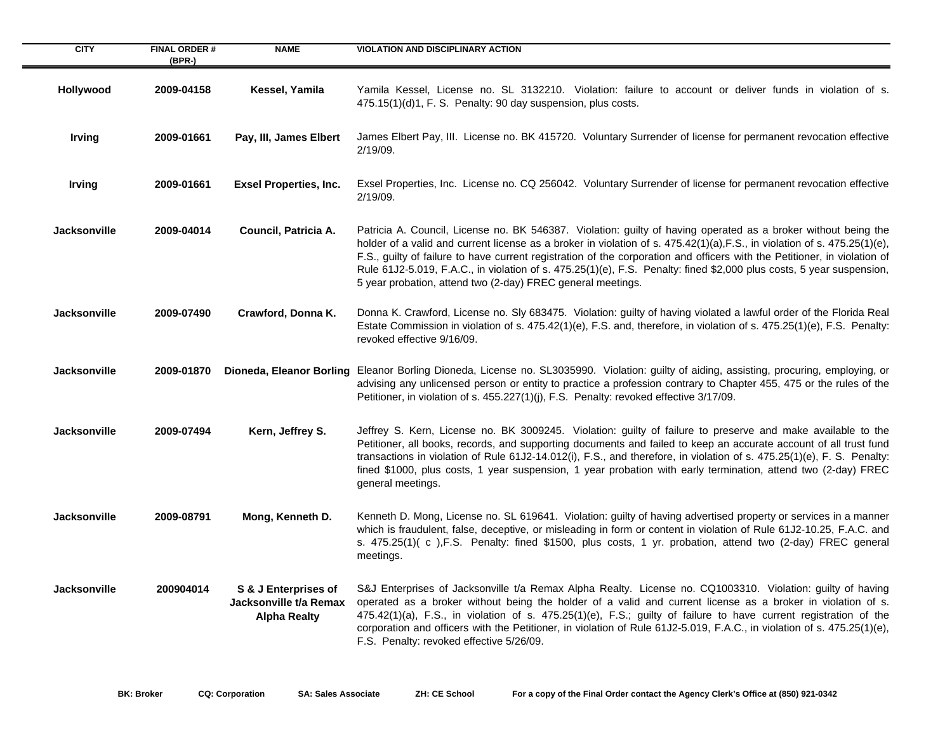| <b>CITY</b>         | <b>FINAL ORDER#</b> | <b>NAME</b>                                                           | <b>VIOLATION AND DISCIPLINARY ACTION</b>                                                                                                                                                                                                                                                                                                                                                                                                                                                                                                                        |
|---------------------|---------------------|-----------------------------------------------------------------------|-----------------------------------------------------------------------------------------------------------------------------------------------------------------------------------------------------------------------------------------------------------------------------------------------------------------------------------------------------------------------------------------------------------------------------------------------------------------------------------------------------------------------------------------------------------------|
|                     | (BPR-)              |                                                                       |                                                                                                                                                                                                                                                                                                                                                                                                                                                                                                                                                                 |
| Hollywood           | 2009-04158          | Kessel, Yamila                                                        | Yamila Kessel, License no. SL 3132210. Violation: failure to account or deliver funds in violation of s.<br>475.15(1)(d)1, F. S. Penalty: 90 day suspension, plus costs.                                                                                                                                                                                                                                                                                                                                                                                        |
| <b>Irving</b>       | 2009-01661          | Pay, III, James Elbert                                                | James Elbert Pay, III. License no. BK 415720. Voluntary Surrender of license for permanent revocation effective<br>2/19/09.                                                                                                                                                                                                                                                                                                                                                                                                                                     |
| <b>Irving</b>       | 2009-01661          | <b>Exsel Properties, Inc.</b>                                         | Exsel Properties, Inc. License no. CQ 256042. Voluntary Surrender of license for permanent revocation effective<br>2/19/09.                                                                                                                                                                                                                                                                                                                                                                                                                                     |
| <b>Jacksonville</b> | 2009-04014          | Council, Patricia A.                                                  | Patricia A. Council, License no. BK 546387. Violation: guilty of having operated as a broker without being the<br>holder of a valid and current license as a broker in violation of s. 475.42(1)(a), F.S., in violation of s. 475.25(1)(e),<br>F.S., guilty of failure to have current registration of the corporation and officers with the Petitioner, in violation of<br>Rule 61J2-5.019, F.A.C., in violation of s. 475.25(1)(e), F.S. Penalty: fined \$2,000 plus costs, 5 year suspension,<br>5 year probation, attend two (2-day) FREC general meetings. |
| <b>Jacksonville</b> | 2009-07490          | Crawford, Donna K.                                                    | Donna K. Crawford, License no. Sly 683475. Violation: guilty of having violated a lawful order of the Florida Real<br>Estate Commission in violation of s. 475.42(1)(e), F.S. and, therefore, in violation of s. 475.25(1)(e), F.S. Penalty:<br>revoked effective 9/16/09.                                                                                                                                                                                                                                                                                      |
| <b>Jacksonville</b> | 2009-01870          |                                                                       | Dioneda, Eleanor Borling Eleanor Borling Dioneda, License no. SL3035990. Violation: guilty of aiding, assisting, procuring, employing, or<br>advising any unlicensed person or entity to practice a profession contrary to Chapter 455, 475 or the rules of the<br>Petitioner, in violation of s. 455.227(1)(j), F.S. Penalty: revoked effective 3/17/09.                                                                                                                                                                                                       |
| <b>Jacksonville</b> | 2009-07494          | Kern, Jeffrey S.                                                      | Jeffrey S. Kern, License no. BK 3009245. Violation: guilty of failure to preserve and make available to the<br>Petitioner, all books, records, and supporting documents and failed to keep an accurate account of all trust fund<br>transactions in violation of Rule 61J2-14.012(i), F.S., and therefore, in violation of s. 475.25(1)(e), F. S. Penalty:<br>fined \$1000, plus costs, 1 year suspension, 1 year probation with early termination, attend two (2-day) FREC<br>general meetings.                                                                |
| <b>Jacksonville</b> | 2009-08791          | Mong, Kenneth D.                                                      | Kenneth D. Mong, License no. SL 619641. Violation: guilty of having advertised property or services in a manner<br>which is fraudulent, false, deceptive, or misleading in form or content in violation of Rule 61J2-10.25, F.A.C. and<br>s. 475.25(1)(c), F.S. Penalty: fined \$1500, plus costs, 1 yr. probation, attend two (2-day) FREC general<br>meetings.                                                                                                                                                                                                |
| <b>Jacksonville</b> | 200904014           | S & J Enterprises of<br>Jacksonville t/a Remax<br><b>Alpha Realty</b> | S&J Enterprises of Jacksonville t/a Remax Alpha Realty. License no. CQ1003310. Violation: guilty of having<br>operated as a broker without being the holder of a valid and current license as a broker in violation of s.<br>475.42(1)(a), F.S., in violation of s. 475.25(1)(e), F.S.; guilty of failure to have current registration of the<br>corporation and officers with the Petitioner, in violation of Rule 61J2-5.019, F.A.C., in violation of s. 475.25(1)(e),<br>F.S. Penalty: revoked effective 5/26/09.                                            |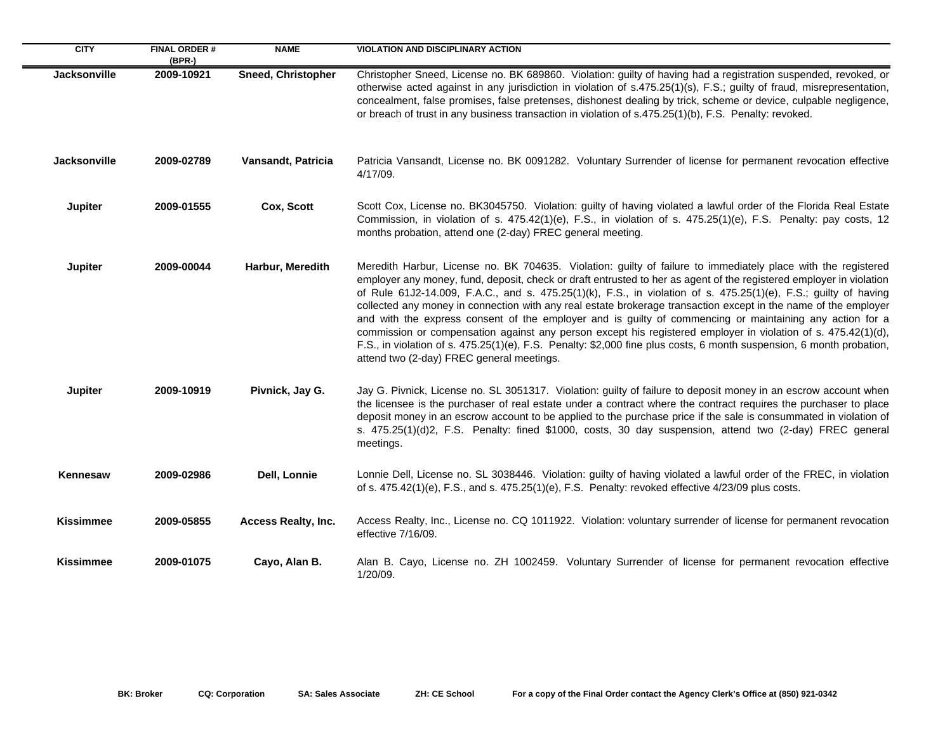| <b>CITY</b>         | <b>FINAL ORDER#</b><br>(BPR-) | <b>NAME</b>               | <b>VIOLATION AND DISCIPLINARY ACTION</b>                                                                                                                                                                                                                                                                                                                                                                                                                                                                                                                                                                                                                                                                                                                                                                                                                                     |
|---------------------|-------------------------------|---------------------------|------------------------------------------------------------------------------------------------------------------------------------------------------------------------------------------------------------------------------------------------------------------------------------------------------------------------------------------------------------------------------------------------------------------------------------------------------------------------------------------------------------------------------------------------------------------------------------------------------------------------------------------------------------------------------------------------------------------------------------------------------------------------------------------------------------------------------------------------------------------------------|
| <b>Jacksonville</b> | 2009-10921                    | <b>Sneed, Christopher</b> | Christopher Sneed, License no. BK 689860. Violation: guilty of having had a registration suspended, revoked, or<br>otherwise acted against in any jurisdiction in violation of s.475.25(1)(s), F.S.; guilty of fraud, misrepresentation,<br>concealment, false promises, false pretenses, dishonest dealing by trick, scheme or device, culpable negligence,<br>or breach of trust in any business transaction in violation of s.475.25(1)(b), F.S. Penalty: revoked.                                                                                                                                                                                                                                                                                                                                                                                                        |
| <b>Jacksonville</b> | 2009-02789                    | Vansandt, Patricia        | Patricia Vansandt, License no. BK 0091282. Voluntary Surrender of license for permanent revocation effective<br>4/17/09.                                                                                                                                                                                                                                                                                                                                                                                                                                                                                                                                                                                                                                                                                                                                                     |
| Jupiter             | 2009-01555                    | Cox, Scott                | Scott Cox, License no. BK3045750. Violation: guilty of having violated a lawful order of the Florida Real Estate<br>Commission, in violation of s. 475.42(1)(e), F.S., in violation of s. 475.25(1)(e), F.S. Penalty: pay costs, 12<br>months probation, attend one (2-day) FREC general meeting.                                                                                                                                                                                                                                                                                                                                                                                                                                                                                                                                                                            |
| Jupiter             | 2009-00044                    | Harbur, Meredith          | Meredith Harbur, License no. BK 704635. Violation: guilty of failure to immediately place with the registered<br>employer any money, fund, deposit, check or draft entrusted to her as agent of the registered employer in violation<br>of Rule 61J2-14.009, F.A.C., and s. 475.25(1)(k), F.S., in violation of s. 475.25(1)(e), F.S.; guilty of having<br>collected any money in connection with any real estate brokerage transaction except in the name of the employer<br>and with the express consent of the employer and is guilty of commencing or maintaining any action for a<br>commission or compensation against any person except his registered employer in violation of s. 475.42(1)(d),<br>F.S., in violation of s. 475.25(1)(e), F.S. Penalty: \$2,000 fine plus costs, 6 month suspension, 6 month probation,<br>attend two (2-day) FREC general meetings. |
| Jupiter             | 2009-10919                    | Pivnick, Jay G.           | Jay G. Pivnick, License no. SL 3051317. Violation: guilty of failure to deposit money in an escrow account when<br>the licensee is the purchaser of real estate under a contract where the contract requires the purchaser to place<br>deposit money in an escrow account to be applied to the purchase price if the sale is consummated in violation of<br>s. 475.25(1)(d)2, F.S. Penalty: fined \$1000, costs, 30 day suspension, attend two (2-day) FREC general<br>meetings.                                                                                                                                                                                                                                                                                                                                                                                             |
| <b>Kennesaw</b>     | 2009-02986                    | Dell, Lonnie              | Lonnie Dell, License no. SL 3038446. Violation: guilty of having violated a lawful order of the FREC, in violation<br>of s. 475.42(1)(e), F.S., and s. 475.25(1)(e), F.S. Penalty: revoked effective 4/23/09 plus costs.                                                                                                                                                                                                                                                                                                                                                                                                                                                                                                                                                                                                                                                     |
| <b>Kissimmee</b>    | 2009-05855                    | Access Realty, Inc.       | Access Realty, Inc., License no. CQ 1011922. Violation: voluntary surrender of license for permanent revocation<br>effective 7/16/09.                                                                                                                                                                                                                                                                                                                                                                                                                                                                                                                                                                                                                                                                                                                                        |
| <b>Kissimmee</b>    | 2009-01075                    | Cayo, Alan B.             | Alan B. Cayo, License no. ZH 1002459. Voluntary Surrender of license for permanent revocation effective<br>1/20/09.                                                                                                                                                                                                                                                                                                                                                                                                                                                                                                                                                                                                                                                                                                                                                          |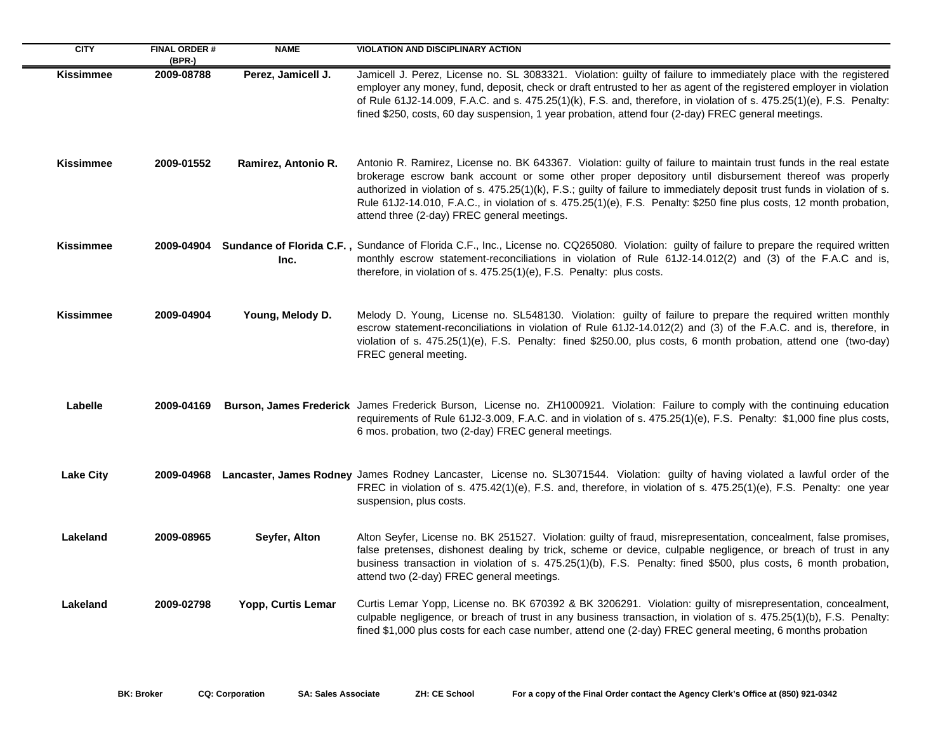| <b>CITY</b>      | <b>FINAL ORDER#</b><br>(BPR-) | <b>NAME</b>         | <b>VIOLATION AND DISCIPLINARY ACTION</b>                                                                                                                                                                                                                                                                                                                                                                                                                                                                                       |
|------------------|-------------------------------|---------------------|--------------------------------------------------------------------------------------------------------------------------------------------------------------------------------------------------------------------------------------------------------------------------------------------------------------------------------------------------------------------------------------------------------------------------------------------------------------------------------------------------------------------------------|
| <b>Kissimmee</b> | 2009-08788                    | Perez, Jamicell J.  | Jamicell J. Perez, License no. SL 3083321. Violation: guilty of failure to immediately place with the registered<br>employer any money, fund, deposit, check or draft entrusted to her as agent of the registered employer in violation<br>of Rule 61J2-14.009, F.A.C. and s. 475.25(1)(k), F.S. and, therefore, in violation of s. 475.25(1)(e), F.S. Penalty:<br>fined \$250, costs, 60 day suspension, 1 year probation, attend four (2-day) FREC general meetings.                                                         |
| <b>Kissimmee</b> | 2009-01552                    | Ramirez, Antonio R. | Antonio R. Ramirez, License no. BK 643367. Violation: guilty of failure to maintain trust funds in the real estate<br>brokerage escrow bank account or some other proper depository until disbursement thereof was properly<br>authorized in violation of s. 475.25(1)(k), F.S.; guilty of failure to immediately deposit trust funds in violation of s.<br>Rule 61J2-14.010, F.A.C., in violation of s. 475.25(1)(e), F.S. Penalty: \$250 fine plus costs, 12 month probation,<br>attend three (2-day) FREC general meetings. |
| <b>Kissimmee</b> |                               | Inc.                | 2009-04904 Sundance of Florida C.F., Sundance of Florida C.F., Inc., License no. CQ265080. Violation: guilty of failure to prepare the required written<br>monthly escrow statement-reconciliations in violation of Rule 61J2-14.012(2) and (3) of the F.A.C and is,<br>therefore, in violation of s. 475.25(1)(e), F.S. Penalty: plus costs.                                                                                                                                                                                  |
| <b>Kissimmee</b> | 2009-04904                    | Young, Melody D.    | Melody D. Young, License no. SL548130. Violation: guilty of failure to prepare the required written monthly<br>escrow statement-reconciliations in violation of Rule 61J2-14.012(2) and (3) of the F.A.C. and is, therefore, in<br>violation of s. 475.25(1)(e), F.S. Penalty: fined \$250.00, plus costs, 6 month probation, attend one (two-day)<br>FREC general meeting.                                                                                                                                                    |
| Labelle          | 2009-04169                    |                     | Burson, James Frederick James Frederick Burson, License no. ZH1000921. Violation: Failure to comply with the continuing education<br>requirements of Rule 61J2-3.009, F.A.C. and in violation of s. 475.25(1)(e), F.S. Penalty: \$1,000 fine plus costs,<br>6 mos. probation, two (2-day) FREC general meetings.                                                                                                                                                                                                               |
| <b>Lake City</b> |                               |                     | 2009-04968 Lancaster, James Rodney James Rodney Lancaster, License no. SL3071544. Violation: guilty of having violated a lawful order of the<br>FREC in violation of s. 475.42(1)(e), F.S. and, therefore, in violation of s. 475.25(1)(e), F.S. Penalty: one year<br>suspension, plus costs.                                                                                                                                                                                                                                  |
| Lakeland         | 2009-08965                    | Seyfer, Alton       | Alton Seyfer, License no. BK 251527. Violation: guilty of fraud, misrepresentation, concealment, false promises,<br>false pretenses, dishonest dealing by trick, scheme or device, culpable negligence, or breach of trust in any<br>business transaction in violation of s. 475.25(1)(b), F.S. Penalty: fined \$500, plus costs, 6 month probation,<br>attend two (2-day) FREC general meetings.                                                                                                                              |
| Lakeland         | 2009-02798                    | Yopp, Curtis Lemar  | Curtis Lemar Yopp, License no. BK 670392 & BK 3206291. Violation: guilty of misrepresentation, concealment,<br>culpable negligence, or breach of trust in any business transaction, in violation of s. 475.25(1)(b), F.S. Penalty:<br>fined \$1,000 plus costs for each case number, attend one (2-day) FREC general meeting, 6 months probation                                                                                                                                                                               |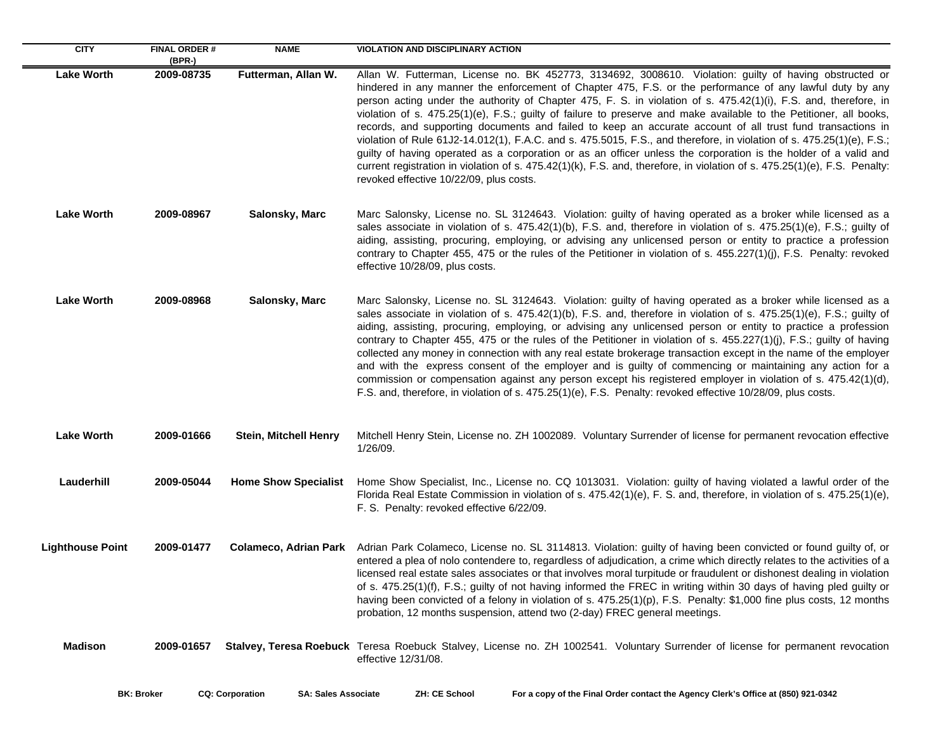| <b>CITY</b>             | <b>FINAL ORDER#</b><br>(BPR-) | <b>NAME</b>                  | <b>VIOLATION AND DISCIPLINARY ACTION</b>                                                                                                                                                                                                                                                                                                                                                                                                                                                                                                                                                                                                                                                                                                                                                                                                                                                                                                                                                       |
|-------------------------|-------------------------------|------------------------------|------------------------------------------------------------------------------------------------------------------------------------------------------------------------------------------------------------------------------------------------------------------------------------------------------------------------------------------------------------------------------------------------------------------------------------------------------------------------------------------------------------------------------------------------------------------------------------------------------------------------------------------------------------------------------------------------------------------------------------------------------------------------------------------------------------------------------------------------------------------------------------------------------------------------------------------------------------------------------------------------|
| <b>Lake Worth</b>       | 2009-08735                    | Futterman, Allan W.          | Allan W. Futterman, License no. BK 452773, 3134692, 3008610. Violation: guilty of having obstructed or<br>hindered in any manner the enforcement of Chapter 475, F.S. or the performance of any lawful duty by any<br>person acting under the authority of Chapter 475, F. S. in violation of s. 475.42(1)(i), F.S. and, therefore, in<br>violation of s. 475.25(1)(e), F.S.; guilty of failure to preserve and make available to the Petitioner, all books,<br>records, and supporting documents and failed to keep an accurate account of all trust fund transactions in<br>violation of Rule 61J2-14.012(1), F.A.C. and s. 475.5015, F.S., and therefore, in violation of s. 475.25(1)(e), F.S.;<br>guilty of having operated as a corporation or as an officer unless the corporation is the holder of a valid and<br>current registration in violation of s. 475.42(1)(k), F.S. and, therefore, in violation of s. 475.25(1)(e), F.S. Penalty:<br>revoked effective 10/22/09, plus costs. |
| <b>Lake Worth</b>       | 2009-08967                    | Salonsky, Marc               | Marc Salonsky, License no. SL 3124643. Violation: guilty of having operated as a broker while licensed as a<br>sales associate in violation of s. 475.42(1)(b), F.S. and, therefore in violation of s. 475.25(1)(e), F.S.; guilty of<br>aiding, assisting, procuring, employing, or advising any unlicensed person or entity to practice a profession<br>contrary to Chapter 455, 475 or the rules of the Petitioner in violation of s. 455.227(1)(j), F.S. Penalty: revoked<br>effective 10/28/09, plus costs.                                                                                                                                                                                                                                                                                                                                                                                                                                                                                |
| <b>Lake Worth</b>       | 2009-08968                    | Salonsky, Marc               | Marc Salonsky, License no. SL 3124643. Violation: guilty of having operated as a broker while licensed as a<br>sales associate in violation of s. 475.42(1)(b), F.S. and, therefore in violation of s. 475.25(1)(e), F.S.; guilty of<br>aiding, assisting, procuring, employing, or advising any unlicensed person or entity to practice a profession<br>contrary to Chapter 455, 475 or the rules of the Petitioner in violation of s. 455.227(1)(j), F.S.; guilty of having<br>collected any money in connection with any real estate brokerage transaction except in the name of the employer<br>and with the express consent of the employer and is guilty of commencing or maintaining any action for a<br>commission or compensation against any person except his registered employer in violation of s. 475.42(1)(d),<br>F.S. and, therefore, in violation of s. 475.25(1)(e), F.S. Penalty: revoked effective 10/28/09, plus costs.                                                   |
| <b>Lake Worth</b>       | 2009-01666                    | <b>Stein, Mitchell Henry</b> | Mitchell Henry Stein, License no. ZH 1002089. Voluntary Surrender of license for permanent revocation effective<br>1/26/09.                                                                                                                                                                                                                                                                                                                                                                                                                                                                                                                                                                                                                                                                                                                                                                                                                                                                    |
| Lauderhill              | 2009-05044                    | <b>Home Show Specialist</b>  | Home Show Specialist, Inc., License no. CQ 1013031. Violation: guilty of having violated a lawful order of the<br>Florida Real Estate Commission in violation of s. 475.42(1)(e), F. S. and, therefore, in violation of s. 475.25(1)(e),<br>F. S. Penalty: revoked effective 6/22/09.                                                                                                                                                                                                                                                                                                                                                                                                                                                                                                                                                                                                                                                                                                          |
| <b>Lighthouse Point</b> | 2009-01477                    | <b>Colameco, Adrian Park</b> | Adrian Park Colameco, License no. SL 3114813. Violation: guilty of having been convicted or found guilty of, or<br>entered a plea of nolo contendere to, regardless of adjudication, a crime which directly relates to the activities of a<br>licensed real estate sales associates or that involves moral turpitude or fraudulent or dishonest dealing in violation<br>of s. 475.25(1)(f), F.S.; guilty of not having informed the FREC in writing within 30 days of having pled guilty or<br>having been convicted of a felony in violation of s. 475.25(1)(p), F.S. Penalty: \$1,000 fine plus costs, 12 months<br>probation, 12 months suspension, attend two (2-day) FREC general meetings.                                                                                                                                                                                                                                                                                               |
| <b>Madison</b>          | 2009-01657                    |                              | Stalvey, Teresa Roebuck Teresa Roebuck Stalvey, License no. ZH 1002541. Voluntary Surrender of license for permanent revocation<br>effective 12/31/08.                                                                                                                                                                                                                                                                                                                                                                                                                                                                                                                                                                                                                                                                                                                                                                                                                                         |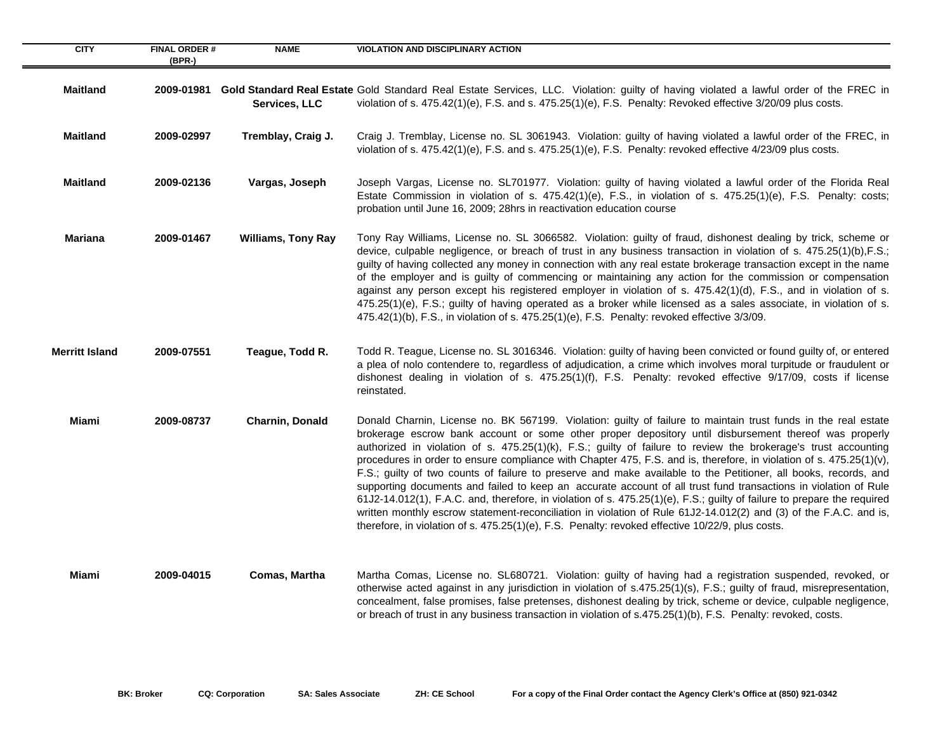| <b>CITY</b>           | <b>FINAL ORDER#</b> | <b>NAME</b>               | <b>VIOLATION AND DISCIPLINARY ACTION</b>                                                                                                                                                                                                                                                                                                                                                                                                                                                                                                                                                                                                                                                                                                                                                                                                                                                                                                                                                                                                                   |
|-----------------------|---------------------|---------------------------|------------------------------------------------------------------------------------------------------------------------------------------------------------------------------------------------------------------------------------------------------------------------------------------------------------------------------------------------------------------------------------------------------------------------------------------------------------------------------------------------------------------------------------------------------------------------------------------------------------------------------------------------------------------------------------------------------------------------------------------------------------------------------------------------------------------------------------------------------------------------------------------------------------------------------------------------------------------------------------------------------------------------------------------------------------|
|                       | (BPR-)              |                           |                                                                                                                                                                                                                                                                                                                                                                                                                                                                                                                                                                                                                                                                                                                                                                                                                                                                                                                                                                                                                                                            |
| <b>Maitland</b>       |                     | Services, LLC             | 2009-01981 Gold Standard Real Estate Gold Standard Real Estate Services, LLC. Violation: guilty of having violated a lawful order of the FREC in<br>violation of s. $475.42(1)(e)$ , F.S. and s. $475.25(1)(e)$ , F.S. Penalty: Revoked effective $3/20/09$ plus costs.                                                                                                                                                                                                                                                                                                                                                                                                                                                                                                                                                                                                                                                                                                                                                                                    |
| <b>Maitland</b>       | 2009-02997          | Tremblay, Craig J.        | Craig J. Tremblay, License no. SL 3061943. Violation: guilty of having violated a lawful order of the FREC, in<br>violation of s. $475.42(1)(e)$ , F.S. and s. $475.25(1)(e)$ , F.S. Penalty: revoked effective $4/23/09$ plus costs.                                                                                                                                                                                                                                                                                                                                                                                                                                                                                                                                                                                                                                                                                                                                                                                                                      |
| <b>Maitland</b>       | 2009-02136          | Vargas, Joseph            | Joseph Vargas, License no. SL701977. Violation: guilty of having violated a lawful order of the Florida Real<br>Estate Commission in violation of s. 475.42(1)(e), F.S., in violation of s. 475.25(1)(e), F.S. Penalty: costs;<br>probation until June 16, 2009; 28hrs in reactivation education course                                                                                                                                                                                                                                                                                                                                                                                                                                                                                                                                                                                                                                                                                                                                                    |
| <b>Mariana</b>        | 2009-01467          | <b>Williams, Tony Ray</b> | Tony Ray Williams, License no. SL 3066582. Violation: guilty of fraud, dishonest dealing by trick, scheme or<br>device, culpable negligence, or breach of trust in any business transaction in violation of s. 475.25(1)(b),F.S.;<br>guilty of having collected any money in connection with any real estate brokerage transaction except in the name<br>of the employer and is guilty of commencing or maintaining any action for the commission or compensation<br>against any person except his registered employer in violation of s. $475.42(1)(d)$ , F.S., and in violation of s.<br>475.25(1)(e), F.S.; guilty of having operated as a broker while licensed as a sales associate, in violation of s.<br>$475.42(1)(b)$ , F.S., in violation of s. $475.25(1)(e)$ , F.S. Penalty: revoked effective $3/3/09$ .                                                                                                                                                                                                                                      |
| <b>Merritt Island</b> | 2009-07551          | Teague, Todd R.           | Todd R. Teague, License no. SL 3016346. Violation: guilty of having been convicted or found guilty of, or entered<br>a plea of nolo contendere to, regardless of adjudication, a crime which involves moral turpitude or fraudulent or<br>dishonest dealing in violation of s. 475.25(1)(f), F.S. Penalty: revoked effective 9/17/09, costs if license<br>reinstated.                                                                                                                                                                                                                                                                                                                                                                                                                                                                                                                                                                                                                                                                                      |
| Miami                 | 2009-08737          | Charnin, Donald           | Donald Charnin, License no. BK 567199. Violation: guilty of failure to maintain trust funds in the real estate<br>brokerage escrow bank account or some other proper depository until disbursement thereof was properly<br>authorized in violation of s. 475.25(1)(k), F.S.; guilty of failure to review the brokerage's trust accounting<br>procedures in order to ensure compliance with Chapter 475, F.S. and is, therefore, in violation of s. 475.25(1)(v),<br>F.S.; guilty of two counts of failure to preserve and make available to the Petitioner, all books, records, and<br>supporting documents and failed to keep an accurate account of all trust fund transactions in violation of Rule<br>61J2-14.012(1), F.A.C. and, therefore, in violation of s. 475.25(1)(e), F.S.; guilty of failure to prepare the required<br>written monthly escrow statement-reconciliation in violation of Rule 61J2-14.012(2) and (3) of the F.A.C. and is,<br>therefore, in violation of s. 475.25(1)(e), F.S. Penalty: revoked effective 10/22/9, plus costs. |
| Miami                 | 2009-04015          | Comas, Martha             | Martha Comas, License no. SL680721. Violation: guilty of having had a registration suspended, revoked, or<br>otherwise acted against in any jurisdiction in violation of s.475.25(1)(s), F.S.; guilty of fraud, misrepresentation,<br>concealment, false promises, false pretenses, dishonest dealing by trick, scheme or device, culpable negligence,<br>or breach of trust in any business transaction in violation of s.475.25(1)(b), F.S. Penalty: revoked, costs.                                                                                                                                                                                                                                                                                                                                                                                                                                                                                                                                                                                     |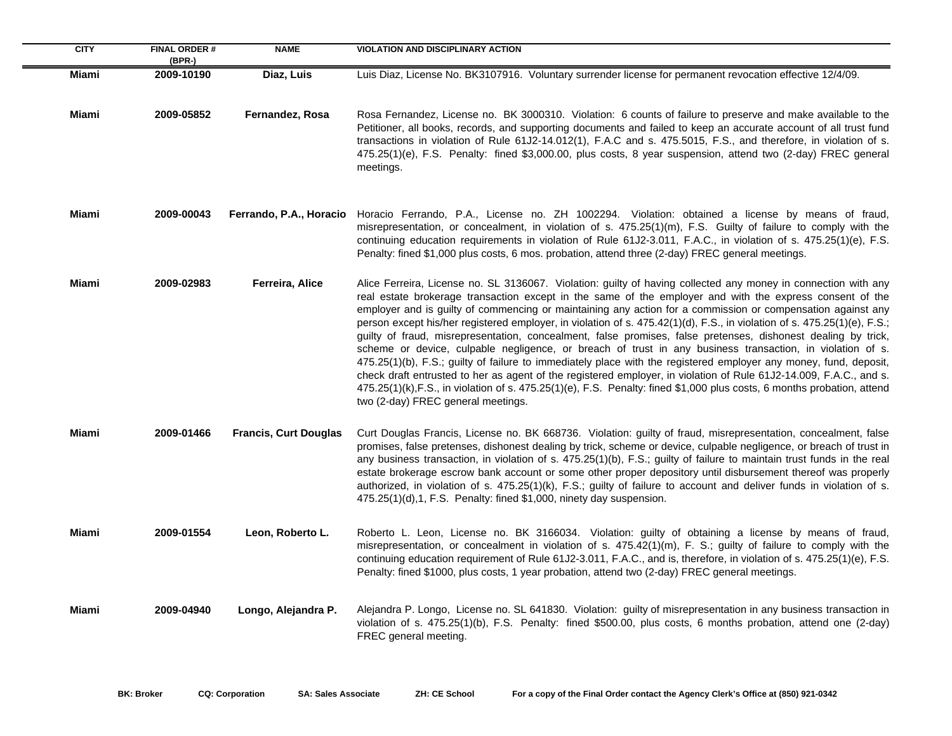| <b>CITY</b>  | <b>FINAL ORDER#</b><br>$(BPR-)$ | <b>NAME</b>                  | <b>VIOLATION AND DISCIPLINARY ACTION</b>                                                                                                                                                                                                                                                                                                                                                                                                                                                                                                                                                                                                                                                                                                                                                                                                                                                                                                                                                                                                                                                                        |
|--------------|---------------------------------|------------------------------|-----------------------------------------------------------------------------------------------------------------------------------------------------------------------------------------------------------------------------------------------------------------------------------------------------------------------------------------------------------------------------------------------------------------------------------------------------------------------------------------------------------------------------------------------------------------------------------------------------------------------------------------------------------------------------------------------------------------------------------------------------------------------------------------------------------------------------------------------------------------------------------------------------------------------------------------------------------------------------------------------------------------------------------------------------------------------------------------------------------------|
| Miami        | 2009-10190                      | Diaz, Luis                   | Luis Diaz, License No. BK3107916. Voluntary surrender license for permanent revocation effective 12/4/09.                                                                                                                                                                                                                                                                                                                                                                                                                                                                                                                                                                                                                                                                                                                                                                                                                                                                                                                                                                                                       |
| Miami        | 2009-05852                      | Fernandez, Rosa              | Rosa Fernandez, License no. BK 3000310. Violation: 6 counts of failure to preserve and make available to the<br>Petitioner, all books, records, and supporting documents and failed to keep an accurate account of all trust fund<br>transactions in violation of Rule 61J2-14.012(1), F.A.C and s. 475.5015, F.S., and therefore, in violation of s.<br>475.25(1)(e), F.S. Penalty: fined \$3,000.00, plus costs, 8 year suspension, attend two (2-day) FREC general<br>meetings.                                                                                                                                                                                                                                                                                                                                                                                                                                                                                                                                                                                                                              |
| Miami        | 2009-00043                      | Ferrando, P.A., Horacio      | Horacio Ferrando, P.A., License no. ZH 1002294. Violation: obtained a license by means of fraud,<br>misrepresentation, or concealment, in violation of s. 475.25(1)(m), F.S. Guilty of failure to comply with the<br>continuing education requirements in violation of Rule 61J2-3.011, F.A.C., in violation of s. 475.25(1)(e), F.S.<br>Penalty: fined \$1,000 plus costs, 6 mos. probation, attend three (2-day) FREC general meetings.                                                                                                                                                                                                                                                                                                                                                                                                                                                                                                                                                                                                                                                                       |
| Miami        | 2009-02983                      | Ferreira, Alice              | Alice Ferreira, License no. SL 3136067. Violation: guilty of having collected any money in connection with any<br>real estate brokerage transaction except in the same of the employer and with the express consent of the<br>employer and is guilty of commencing or maintaining any action for a commission or compensation against any<br>person except his/her registered employer, in violation of s. 475.42(1)(d), F.S., in violation of s. 475.25(1)(e), F.S.;<br>guilty of fraud, misrepresentation, concealment, false promises, false pretenses, dishonest dealing by trick,<br>scheme or device, culpable negligence, or breach of trust in any business transaction, in violation of s.<br>475.25(1)(b), F.S.; guilty of failure to immediately place with the registered employer any money, fund, deposit,<br>check draft entrusted to her as agent of the registered employer, in violation of Rule 61J2-14.009, F.A.C., and s.<br>475.25(1)(k), F.S., in violation of s. 475.25(1)(e), F.S. Penalty: fined \$1,000 plus costs, 6 months probation, attend<br>two (2-day) FREC general meetings. |
| Miami        | 2009-01466                      | <b>Francis, Curt Douglas</b> | Curt Douglas Francis, License no. BK 668736. Violation: guilty of fraud, misrepresentation, concealment, false<br>promises, false pretenses, dishonest dealing by trick, scheme or device, culpable negligence, or breach of trust in<br>any business transaction, in violation of s. 475.25(1)(b), F.S.; guilty of failure to maintain trust funds in the real<br>estate brokerage escrow bank account or some other proper depository until disbursement thereof was properly<br>authorized, in violation of s. 475.25(1)(k), F.S.; guilty of failure to account and deliver funds in violation of s.<br>475.25(1)(d), 1, F.S. Penalty: fined \$1,000, ninety day suspension.                                                                                                                                                                                                                                                                                                                                                                                                                                 |
| Miami        | 2009-01554                      | Leon, Roberto L.             | Roberto L. Leon, License no. BK 3166034. Violation: guilty of obtaining a license by means of fraud,<br>misrepresentation, or concealment in violation of s. 475.42(1)(m), F. S.; guilty of failure to comply with the<br>continuing education requirement of Rule 61J2-3.011, F.A.C., and is, therefore, in violation of s. 475.25(1)(e), F.S.<br>Penalty: fined \$1000, plus costs, 1 year probation, attend two (2-day) FREC general meetings.                                                                                                                                                                                                                                                                                                                                                                                                                                                                                                                                                                                                                                                               |
| <b>Miami</b> | 2009-04940                      | Longo, Alejandra P.          | Alejandra P. Longo, License no. SL 641830. Violation: guilty of misrepresentation in any business transaction in<br>violation of s. 475.25(1)(b), F.S. Penalty: fined \$500.00, plus costs, 6 months probation, attend one (2-day)<br>FREC general meeting.                                                                                                                                                                                                                                                                                                                                                                                                                                                                                                                                                                                                                                                                                                                                                                                                                                                     |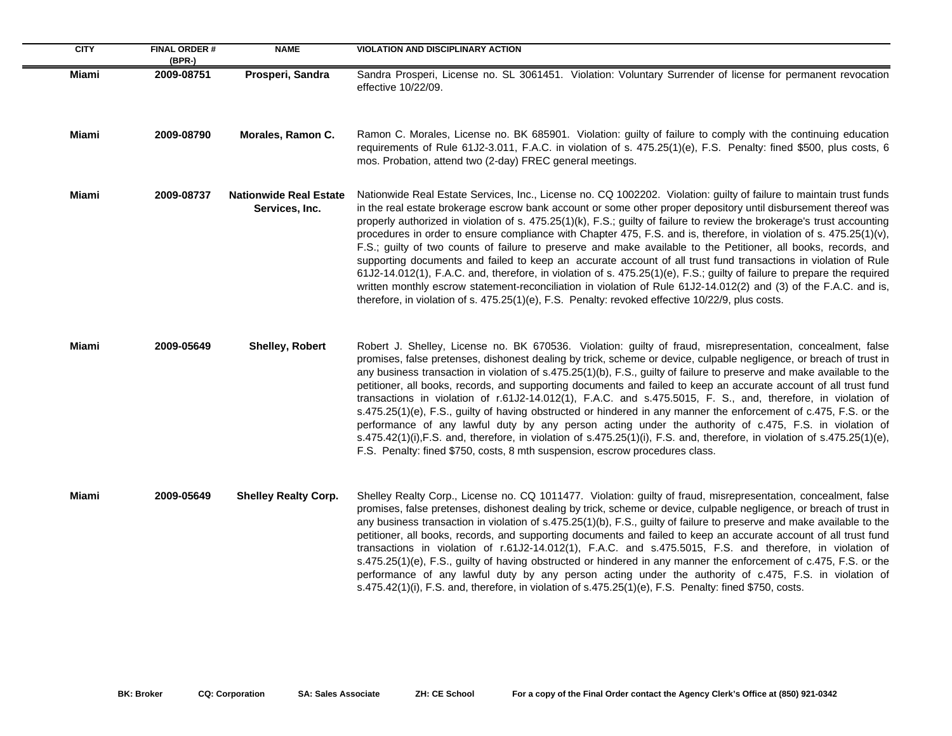| <b>CITY</b> | <b>FINAL ORDER#</b><br>$(BPR-)$ | <b>NAME</b>                                     | <b>VIOLATION AND DISCIPLINARY ACTION</b>                                                                                                                                                                                                                                                                                                                                                                                                                                                                                                                                                                                                                                                                                                                                                                                                                                                                                                                                                                                                                                           |
|-------------|---------------------------------|-------------------------------------------------|------------------------------------------------------------------------------------------------------------------------------------------------------------------------------------------------------------------------------------------------------------------------------------------------------------------------------------------------------------------------------------------------------------------------------------------------------------------------------------------------------------------------------------------------------------------------------------------------------------------------------------------------------------------------------------------------------------------------------------------------------------------------------------------------------------------------------------------------------------------------------------------------------------------------------------------------------------------------------------------------------------------------------------------------------------------------------------|
| Miami       | 2009-08751                      | Prosperi, Sandra                                | Sandra Prosperi, License no. SL 3061451. Violation: Voluntary Surrender of license for permanent revocation<br>effective 10/22/09.                                                                                                                                                                                                                                                                                                                                                                                                                                                                                                                                                                                                                                                                                                                                                                                                                                                                                                                                                 |
| Miami       | 2009-08790                      | Morales, Ramon C.                               | Ramon C. Morales, License no. BK 685901. Violation: guilty of failure to comply with the continuing education<br>requirements of Rule 61J2-3.011, F.A.C. in violation of s. 475.25(1)(e), F.S. Penalty: fined \$500, plus costs, 6<br>mos. Probation, attend two (2-day) FREC general meetings.                                                                                                                                                                                                                                                                                                                                                                                                                                                                                                                                                                                                                                                                                                                                                                                    |
| Miami       | 2009-08737                      | <b>Nationwide Real Estate</b><br>Services, Inc. | Nationwide Real Estate Services, Inc., License no. CQ 1002202. Violation: guilty of failure to maintain trust funds<br>in the real estate brokerage escrow bank account or some other proper depository until disbursement thereof was<br>properly authorized in violation of s. 475.25(1)(k), F.S.; guilty of failure to review the brokerage's trust accounting<br>procedures in order to ensure compliance with Chapter 475, F.S. and is, therefore, in violation of s. 475.25(1)(v),<br>F.S.; guilty of two counts of failure to preserve and make available to the Petitioner, all books, records, and<br>supporting documents and failed to keep an accurate account of all trust fund transactions in violation of Rule<br>61J2-14.012(1), F.A.C. and, therefore, in violation of s. 475.25(1)(e), F.S.; guilty of failure to prepare the required<br>written monthly escrow statement-reconciliation in violation of Rule 61J2-14.012(2) and (3) of the F.A.C. and is,<br>therefore, in violation of s. 475.25(1)(e), F.S. Penalty: revoked effective 10/22/9, plus costs. |
| Miami       | 2009-05649                      | <b>Shelley, Robert</b>                          | Robert J. Shelley, License no. BK 670536. Violation: guilty of fraud, misrepresentation, concealment, false<br>promises, false pretenses, dishonest dealing by trick, scheme or device, culpable negligence, or breach of trust in<br>any business transaction in violation of s.475.25(1)(b), F.S., guilty of failure to preserve and make available to the<br>petitioner, all books, records, and supporting documents and failed to keep an accurate account of all trust fund<br>transactions in violation of r.61J2-14.012(1), F.A.C. and s.475.5015, F. S., and, therefore, in violation of<br>s.475.25(1)(e), F.S., guilty of having obstructed or hindered in any manner the enforcement of c.475, F.S. or the<br>performance of any lawful duty by any person acting under the authority of c.475, F.S. in violation of<br>s.475.42(1)(i), F.S. and, therefore, in violation of s.475.25(1)(i), F.S. and, therefore, in violation of s.475.25(1)(e),<br>F.S. Penalty: fined \$750, costs, 8 mth suspension, escrow procedures class.                                      |
| Miami       | 2009-05649                      | <b>Shelley Realty Corp.</b>                     | Shelley Realty Corp., License no. CQ 1011477. Violation: guilty of fraud, misrepresentation, concealment, false<br>promises, false pretenses, dishonest dealing by trick, scheme or device, culpable negligence, or breach of trust in<br>any business transaction in violation of s.475.25(1)(b), F.S., guilty of failure to preserve and make available to the<br>petitioner, all books, records, and supporting documents and failed to keep an accurate account of all trust fund<br>transactions in violation of r.61J2-14.012(1), F.A.C. and s.475.5015, F.S. and therefore, in violation of<br>s.475.25(1)(e), F.S., guilty of having obstructed or hindered in any manner the enforcement of c.475, F.S. or the<br>performance of any lawful duty by any person acting under the authority of c.475, F.S. in violation of<br>s.475.42(1)(i), F.S. and, therefore, in violation of s.475.25(1)(e), F.S. Penalty: fined \$750, costs.                                                                                                                                        |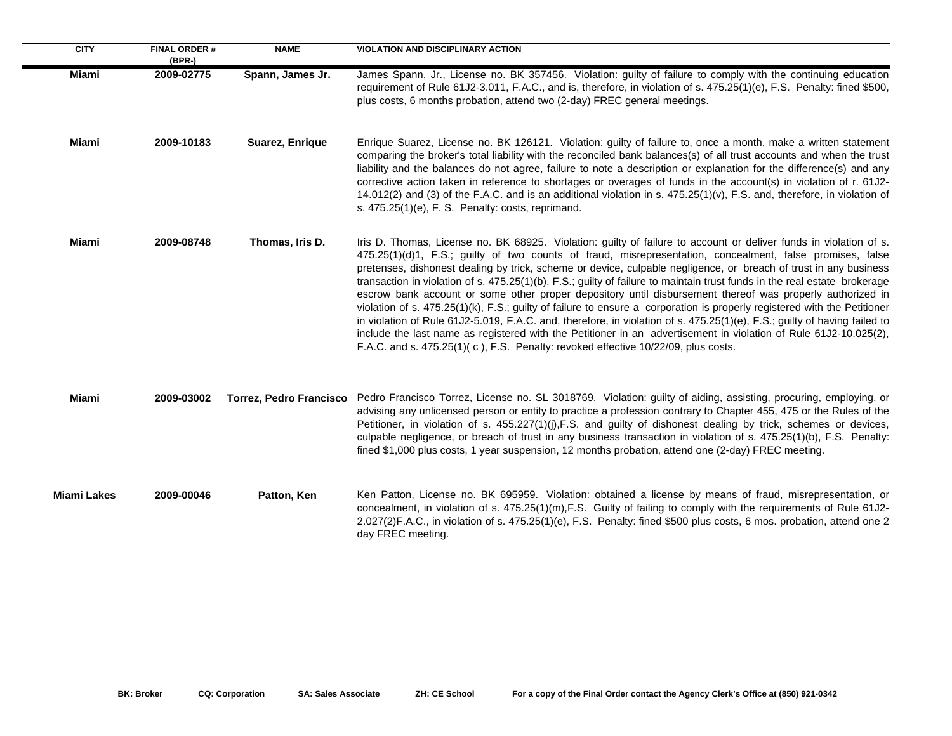| <b>CITY</b>        | <b>FINAL ORDER#</b><br>$(BPR-)$ | <b>NAME</b>                    | <b>VIOLATION AND DISCIPLINARY ACTION</b>                                                                                                                                                                                                                                                                                                                                                                                                                                                                                                                                                                                                                                                                                                                                                                                                                                                                                                                                                                                                                       |
|--------------------|---------------------------------|--------------------------------|----------------------------------------------------------------------------------------------------------------------------------------------------------------------------------------------------------------------------------------------------------------------------------------------------------------------------------------------------------------------------------------------------------------------------------------------------------------------------------------------------------------------------------------------------------------------------------------------------------------------------------------------------------------------------------------------------------------------------------------------------------------------------------------------------------------------------------------------------------------------------------------------------------------------------------------------------------------------------------------------------------------------------------------------------------------|
| <b>Miami</b>       | 2009-02775                      | Spann, James Jr.               | James Spann, Jr., License no. BK 357456. Violation: guilty of failure to comply with the continuing education<br>requirement of Rule 61J2-3.011, F.A.C., and is, therefore, in violation of s. 475.25(1)(e), F.S. Penalty: fined \$500,<br>plus costs, 6 months probation, attend two (2-day) FREC general meetings.                                                                                                                                                                                                                                                                                                                                                                                                                                                                                                                                                                                                                                                                                                                                           |
| Miami              | 2009-10183                      | Suarez, Enrique                | Enrique Suarez, License no. BK 126121. Violation: guilty of failure to, once a month, make a written statement<br>comparing the broker's total liability with the reconciled bank balances(s) of all trust accounts and when the trust<br>liability and the balances do not agree, failure to note a description or explanation for the difference(s) and any<br>corrective action taken in reference to shortages or overages of funds in the account(s) in violation of r. 61J2-<br>14.012(2) and (3) of the F.A.C. and is an additional violation in s. 475.25(1)(v), F.S. and, therefore, in violation of<br>s. 475.25(1)(e), F. S. Penalty: costs, reprimand.                                                                                                                                                                                                                                                                                                                                                                                             |
| Miami              | 2009-08748                      | Thomas, Iris D.                | Iris D. Thomas, License no. BK 68925. Violation: guilty of failure to account or deliver funds in violation of s.<br>475.25(1)(d)1, F.S.; guilty of two counts of fraud, misrepresentation, concealment, false promises, false<br>pretenses, dishonest dealing by trick, scheme or device, culpable negligence, or breach of trust in any business<br>transaction in violation of s. 475.25(1)(b), F.S.; guilty of failure to maintain trust funds in the real estate brokerage<br>escrow bank account or some other proper depository until disbursement thereof was properly authorized in<br>violation of s. 475.25(1)(k), F.S.; guilty of failure to ensure a corporation is properly registered with the Petitioner<br>in violation of Rule 61J2-5.019, F.A.C. and, therefore, in violation of s. 475.25(1)(e), F.S.; guilty of having failed to<br>include the last name as registered with the Petitioner in an advertisement in violation of Rule 61J2-10.025(2),<br>F.A.C. and s. 475.25(1)(c), F.S. Penalty: revoked effective 10/22/09, plus costs. |
| Miami              | 2009-03002                      | <b>Torrez, Pedro Francisco</b> | Pedro Francisco Torrez, License no. SL 3018769. Violation: guilty of aiding, assisting, procuring, employing, or<br>advising any unlicensed person or entity to practice a profession contrary to Chapter 455, 475 or the Rules of the<br>Petitioner, in violation of s. 455.227(1)(j), F.S. and guilty of dishonest dealing by trick, schemes or devices,<br>culpable negligence, or breach of trust in any business transaction in violation of s. 475.25(1)(b), F.S. Penalty:<br>fined \$1,000 plus costs, 1 year suspension, 12 months probation, attend one (2-day) FREC meeting.                                                                                                                                                                                                                                                                                                                                                                                                                                                                         |
| <b>Miami Lakes</b> | 2009-00046                      | Patton, Ken                    | Ken Patton, License no. BK 695959. Violation: obtained a license by means of fraud, misrepresentation, or<br>concealment, in violation of s. 475.25(1)(m), F.S. Guilty of failing to comply with the requirements of Rule 61J2-<br>2.027(2)F.A.C., in violation of s. 475.25(1)(e), F.S. Penalty: fined \$500 plus costs, 6 mos. probation, attend one 2<br>day FREC meeting.                                                                                                                                                                                                                                                                                                                                                                                                                                                                                                                                                                                                                                                                                  |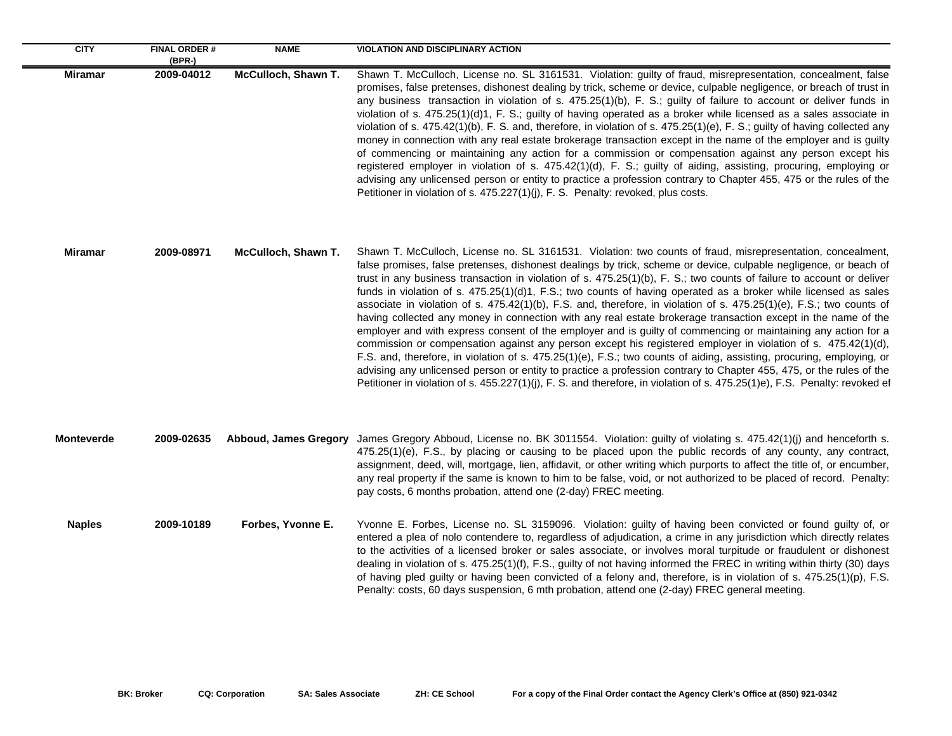| <b>CITY</b>       | <b>FINAL ORDER#</b><br>(BPR-) | <b>NAME</b>           | <b>VIOLATION AND DISCIPLINARY ACTION</b>                                                                                                                                                                                                                                                                                                                                                                                                                                                                                                                                                                                                                                                                                                                                                                                                                                                                                                                                                                                                                                                                                                                                                                                                                                                                                             |
|-------------------|-------------------------------|-----------------------|--------------------------------------------------------------------------------------------------------------------------------------------------------------------------------------------------------------------------------------------------------------------------------------------------------------------------------------------------------------------------------------------------------------------------------------------------------------------------------------------------------------------------------------------------------------------------------------------------------------------------------------------------------------------------------------------------------------------------------------------------------------------------------------------------------------------------------------------------------------------------------------------------------------------------------------------------------------------------------------------------------------------------------------------------------------------------------------------------------------------------------------------------------------------------------------------------------------------------------------------------------------------------------------------------------------------------------------|
| <b>Miramar</b>    | 2009-04012                    | McCulloch, Shawn T.   | Shawn T. McCulloch, License no. SL 3161531. Violation: guilty of fraud, misrepresentation, concealment, false<br>promises, false pretenses, dishonest dealing by trick, scheme or device, culpable negligence, or breach of trust in<br>any business transaction in violation of s. 475.25(1)(b), F. S.; guilty of failure to account or deliver funds in<br>violation of s. 475.25(1)(d)1, F. S.; guilty of having operated as a broker while licensed as a sales associate in<br>violation of s. 475.42(1)(b), F. S. and, therefore, in violation of s. 475.25(1)(e), F. S.; guilty of having collected any<br>money in connection with any real estate brokerage transaction except in the name of the employer and is guilty<br>of commencing or maintaining any action for a commission or compensation against any person except his<br>registered employer in violation of s. 475.42(1)(d), F. S.; guilty of aiding, assisting, procuring, employing or<br>advising any unlicensed person or entity to practice a profession contrary to Chapter 455, 475 or the rules of the<br>Petitioner in violation of s. 475.227(1)(j), F. S. Penalty: revoked, plus costs.                                                                                                                                                             |
| Miramar           | 2009-08971                    | McCulloch, Shawn T.   | Shawn T. McCulloch, License no. SL 3161531. Violation: two counts of fraud, misrepresentation, concealment,<br>false promises, false pretenses, dishonest dealings by trick, scheme or device, culpable negligence, or beach of<br>trust in any business transaction in violation of s. 475.25(1)(b), F. S.; two counts of failure to account or deliver<br>funds in violation of s. 475.25(1)(d)1, F.S.; two counts of having operated as a broker while licensed as sales<br>associate in violation of s. 475.42(1)(b), F.S. and, therefore, in violation of s. 475.25(1)(e), F.S.; two counts of<br>having collected any money in connection with any real estate brokerage transaction except in the name of the<br>employer and with express consent of the employer and is guilty of commencing or maintaining any action for a<br>commission or compensation against any person except his registered employer in violation of s. 475.42(1)(d),<br>F.S. and, therefore, in violation of s. 475.25(1)(e), F.S.; two counts of aiding, assisting, procuring, employing, or<br>advising any unlicensed person or entity to practice a profession contrary to Chapter 455, 475, or the rules of the<br>Petitioner in violation of s. 455.227(1)(j), F. S. and therefore, in violation of s. 475.25(1)e), F.S. Penalty: revoked ef |
| <b>Monteverde</b> | 2009-02635                    | Abboud, James Gregory | James Gregory Abboud, License no. BK 3011554. Violation: guilty of violating s. 475.42(1)(j) and henceforth s.<br>475.25(1)(e), F.S., by placing or causing to be placed upon the public records of any county, any contract,<br>assignment, deed, will, mortgage, lien, affidavit, or other writing which purports to affect the title of, or encumber,<br>any real property if the same is known to him to be false, void, or not authorized to be placed of record. Penalty:<br>pay costs, 6 months probation, attend one (2-day) FREC meeting.                                                                                                                                                                                                                                                                                                                                                                                                                                                                                                                                                                                                                                                                                                                                                                                   |
| <b>Naples</b>     | 2009-10189                    | Forbes, Yvonne E.     | Yvonne E. Forbes, License no. SL 3159096. Violation: guilty of having been convicted or found guilty of, or<br>entered a plea of nolo contendere to, regardless of adjudication, a crime in any jurisdiction which directly relates<br>to the activities of a licensed broker or sales associate, or involves moral turpitude or fraudulent or dishonest<br>dealing in violation of s. 475.25(1)(f), F.S., guilty of not having informed the FREC in writing within thirty (30) days<br>of having pled guilty or having been convicted of a felony and, therefore, is in violation of s. 475.25(1)(p), F.S.<br>Penalty: costs, 60 days suspension, 6 mth probation, attend one (2-day) FREC general meeting.                                                                                                                                                                                                                                                                                                                                                                                                                                                                                                                                                                                                                         |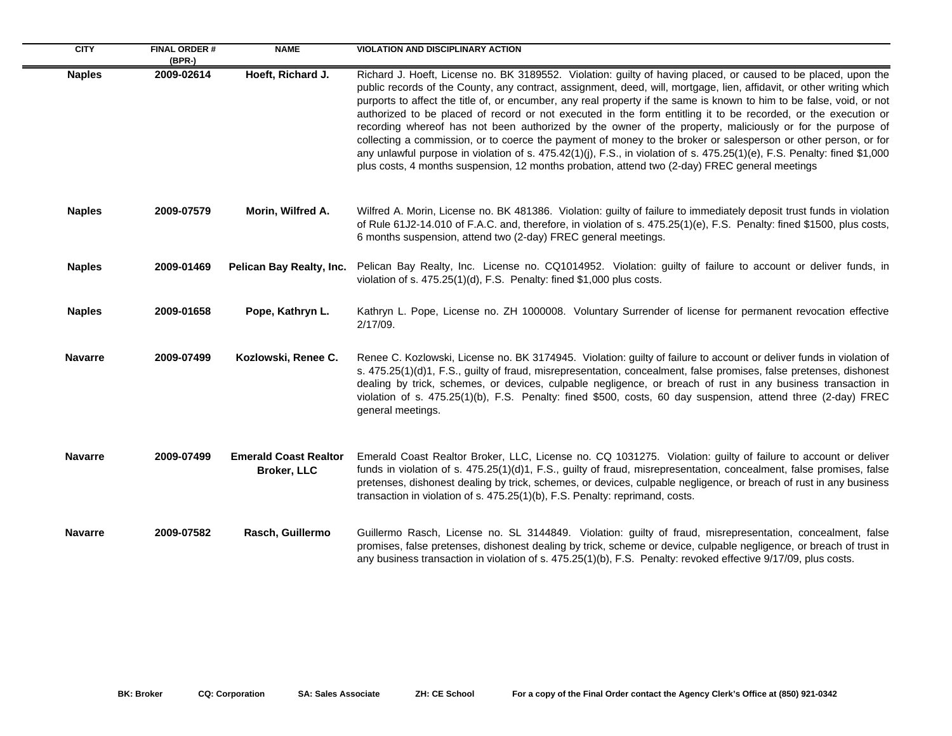| <b>CITY</b>    | <b>FINAL ORDER#</b><br>(BPR-) | <b>NAME</b>                                        | <b>VIOLATION AND DISCIPLINARY ACTION</b>                                                                                                                                                                                                                                                                                                                                                                                                                                                                                                                                                                                                                                                                                                                                                                                                                                                                                                         |
|----------------|-------------------------------|----------------------------------------------------|--------------------------------------------------------------------------------------------------------------------------------------------------------------------------------------------------------------------------------------------------------------------------------------------------------------------------------------------------------------------------------------------------------------------------------------------------------------------------------------------------------------------------------------------------------------------------------------------------------------------------------------------------------------------------------------------------------------------------------------------------------------------------------------------------------------------------------------------------------------------------------------------------------------------------------------------------|
| <b>Naples</b>  | 2009-02614                    | Hoeft, Richard J.                                  | Richard J. Hoeft, License no. BK 3189552. Violation: guilty of having placed, or caused to be placed, upon the<br>public records of the County, any contract, assignment, deed, will, mortgage, lien, affidavit, or other writing which<br>purports to affect the title of, or encumber, any real property if the same is known to him to be false, void, or not<br>authorized to be placed of record or not executed in the form entitling it to be recorded, or the execution or<br>recording whereof has not been authorized by the owner of the property, maliciously or for the purpose of<br>collecting a commission, or to coerce the payment of money to the broker or salesperson or other person, or for<br>any unlawful purpose in violation of s. 475.42(1)(j), F.S., in violation of s. 475.25(1)(e), F.S. Penalty: fined \$1,000<br>plus costs, 4 months suspension, 12 months probation, attend two (2-day) FREC general meetings |
| <b>Naples</b>  | 2009-07579                    | Morin, Wilfred A.                                  | Wilfred A. Morin, License no. BK 481386. Violation: guilty of failure to immediately deposit trust funds in violation<br>of Rule 61J2-14.010 of F.A.C. and, therefore, in violation of s. 475.25(1)(e), F.S. Penalty: fined \$1500, plus costs,<br>6 months suspension, attend two (2-day) FREC general meetings.                                                                                                                                                                                                                                                                                                                                                                                                                                                                                                                                                                                                                                |
| <b>Naples</b>  | 2009-01469                    | Pelican Bay Realty, Inc.                           | Pelican Bay Realty, Inc. License no. CQ1014952. Violation: guilty of failure to account or deliver funds, in<br>violation of s. 475.25(1)(d), F.S. Penalty: fined \$1,000 plus costs.                                                                                                                                                                                                                                                                                                                                                                                                                                                                                                                                                                                                                                                                                                                                                            |
| <b>Naples</b>  | 2009-01658                    | Pope, Kathryn L.                                   | Kathryn L. Pope, License no. ZH 1000008. Voluntary Surrender of license for permanent revocation effective<br>2/17/09.                                                                                                                                                                                                                                                                                                                                                                                                                                                                                                                                                                                                                                                                                                                                                                                                                           |
| <b>Navarre</b> | 2009-07499                    | Kozlowski, Renee C.                                | Renee C. Kozlowski, License no. BK 3174945. Violation: guilty of failure to account or deliver funds in violation of<br>s. 475.25(1)(d)1, F.S., guilty of fraud, misrepresentation, concealment, false promises, false pretenses, dishonest<br>dealing by trick, schemes, or devices, culpable negligence, or breach of rust in any business transaction in<br>violation of s. 475.25(1)(b), F.S. Penalty: fined \$500, costs, 60 day suspension, attend three (2-day) FREC<br>general meetings.                                                                                                                                                                                                                                                                                                                                                                                                                                                 |
| <b>Navarre</b> | 2009-07499                    | <b>Emerald Coast Realtor</b><br><b>Broker, LLC</b> | Emerald Coast Realtor Broker, LLC, License no. CQ 1031275. Violation: guilty of failure to account or deliver<br>funds in violation of s. 475.25(1)(d)1, F.S., guilty of fraud, misrepresentation, concealment, false promises, false<br>pretenses, dishonest dealing by trick, schemes, or devices, culpable negligence, or breach of rust in any business<br>transaction in violation of s. 475.25(1)(b), F.S. Penalty: reprimand, costs.                                                                                                                                                                                                                                                                                                                                                                                                                                                                                                      |
| <b>Navarre</b> | 2009-07582                    | Rasch, Guillermo                                   | Guillermo Rasch, License no. SL 3144849. Violation: guilty of fraud, misrepresentation, concealment, false<br>promises, false pretenses, dishonest dealing by trick, scheme or device, culpable negligence, or breach of trust in<br>any business transaction in violation of s. 475.25(1)(b), F.S. Penalty: revoked effective 9/17/09, plus costs.                                                                                                                                                                                                                                                                                                                                                                                                                                                                                                                                                                                              |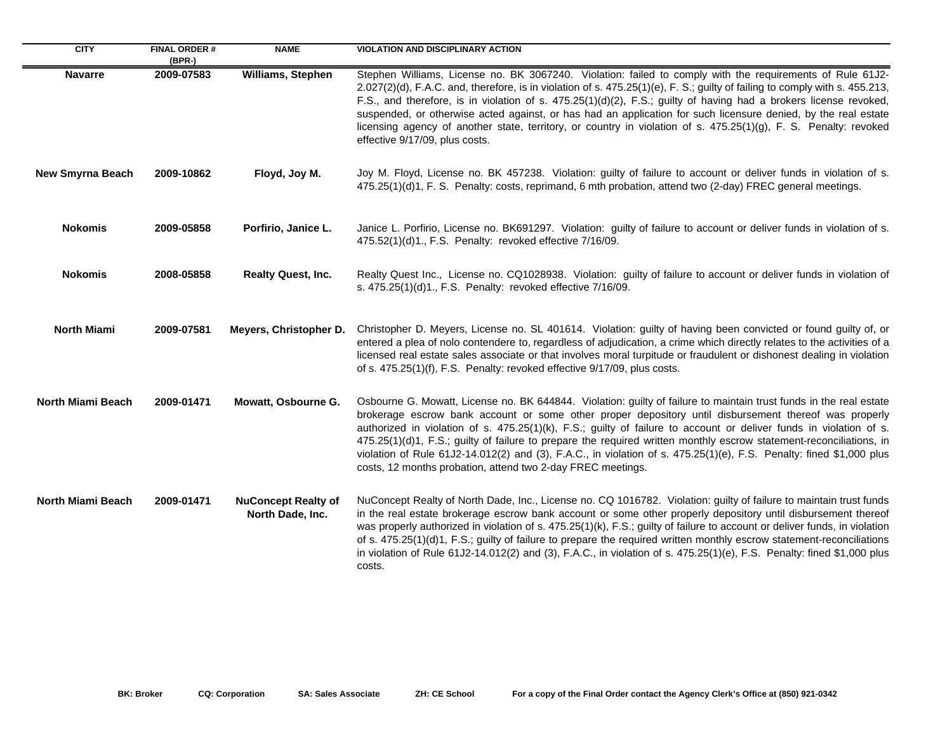| <b>CITY</b>              | <b>FINAL ORDER#</b><br>(BPR-) | <b>NAME</b>                                    | <b>VIOLATION AND DISCIPLINARY ACTION</b>                                                                                                                                                                                                                                                                                                                                                                                                                                                                                                                                                                                                                       |
|--------------------------|-------------------------------|------------------------------------------------|----------------------------------------------------------------------------------------------------------------------------------------------------------------------------------------------------------------------------------------------------------------------------------------------------------------------------------------------------------------------------------------------------------------------------------------------------------------------------------------------------------------------------------------------------------------------------------------------------------------------------------------------------------------|
| <b>Navarre</b>           | 2009-07583                    | <b>Williams, Stephen</b>                       | Stephen Williams, License no. BK 3067240. Violation: failed to comply with the requirements of Rule 61J2-<br>2.027(2)(d), F.A.C. and, therefore, is in violation of s. 475.25(1)(e), F. S.; guilty of failing to comply with s. 455.213,<br>F.S., and therefore, is in violation of s. 475.25(1)(d)(2), F.S.; guilty of having had a brokers license revoked,<br>suspended, or otherwise acted against, or has had an application for such licensure denied, by the real estate<br>licensing agency of another state, territory, or country in violation of s. 475.25(1)(g), F. S. Penalty: revoked<br>effective 9/17/09, plus costs.                          |
| <b>New Smyrna Beach</b>  | 2009-10862                    | Floyd, Joy M.                                  | Joy M. Floyd, License no. BK 457238. Violation: guilty of failure to account or deliver funds in violation of s.<br>475.25(1)(d)1, F. S. Penalty: costs, reprimand, 6 mth probation, attend two (2-day) FREC general meetings.                                                                                                                                                                                                                                                                                                                                                                                                                                 |
| <b>Nokomis</b>           | 2009-05858                    | Porfirio, Janice L.                            | Janice L. Porfirio, License no. BK691297. Violation: guilty of failure to account or deliver funds in violation of s.<br>475.52(1)(d)1., F.S. Penalty: revoked effective 7/16/09.                                                                                                                                                                                                                                                                                                                                                                                                                                                                              |
| <b>Nokomis</b>           | 2008-05858                    | Realty Quest, Inc.                             | Realty Quest Inc., License no. CQ1028938. Violation: guilty of failure to account or deliver funds in violation of<br>s. 475.25(1)(d)1., F.S. Penalty: revoked effective 7/16/09.                                                                                                                                                                                                                                                                                                                                                                                                                                                                              |
| <b>North Miami</b>       | 2009-07581                    | Meyers, Christopher D.                         | Christopher D. Meyers, License no. SL 401614. Violation: guilty of having been convicted or found guilty of, or<br>entered a plea of nolo contendere to, regardless of adjudication, a crime which directly relates to the activities of a<br>licensed real estate sales associate or that involves moral turpitude or fraudulent or dishonest dealing in violation<br>of s. 475.25(1)(f), F.S. Penalty: revoked effective 9/17/09, plus costs.                                                                                                                                                                                                                |
| <b>North Miami Beach</b> | 2009-01471                    | Mowatt, Osbourne G.                            | Osbourne G. Mowatt, License no. BK 644844. Violation: guilty of failure to maintain trust funds in the real estate<br>brokerage escrow bank account or some other proper depository until disbursement thereof was properly<br>authorized in violation of s. 475.25(1)(k), F.S.; guilty of failure to account or deliver funds in violation of s.<br>475.25(1)(d)1, F.S.; guilty of failure to prepare the required written monthly escrow statement-reconciliations, in<br>violation of Rule 61J2-14.012(2) and (3), F.A.C., in violation of s. 475.25(1)(e), F.S. Penalty: fined \$1,000 plus<br>costs, 12 months probation, attend two 2-day FREC meetings. |
| <b>North Miami Beach</b> | 2009-01471                    | <b>NuConcept Realty of</b><br>North Dade, Inc. | NuConcept Realty of North Dade, Inc., License no. CQ 1016782. Violation: guilty of failure to maintain trust funds<br>in the real estate brokerage escrow bank account or some other properly depository until disbursement thereof<br>was properly authorized in violation of s. 475.25(1)(k), F.S.; guilty of failure to account or deliver funds, in violation<br>of s. 475.25(1)(d)1, F.S.; guilty of failure to prepare the required written monthly escrow statement-reconciliations<br>in violation of Rule 61J2-14.012(2) and (3), F.A.C., in violation of s. 475.25(1)(e), F.S. Penalty: fined \$1,000 plus<br>costs.                                 |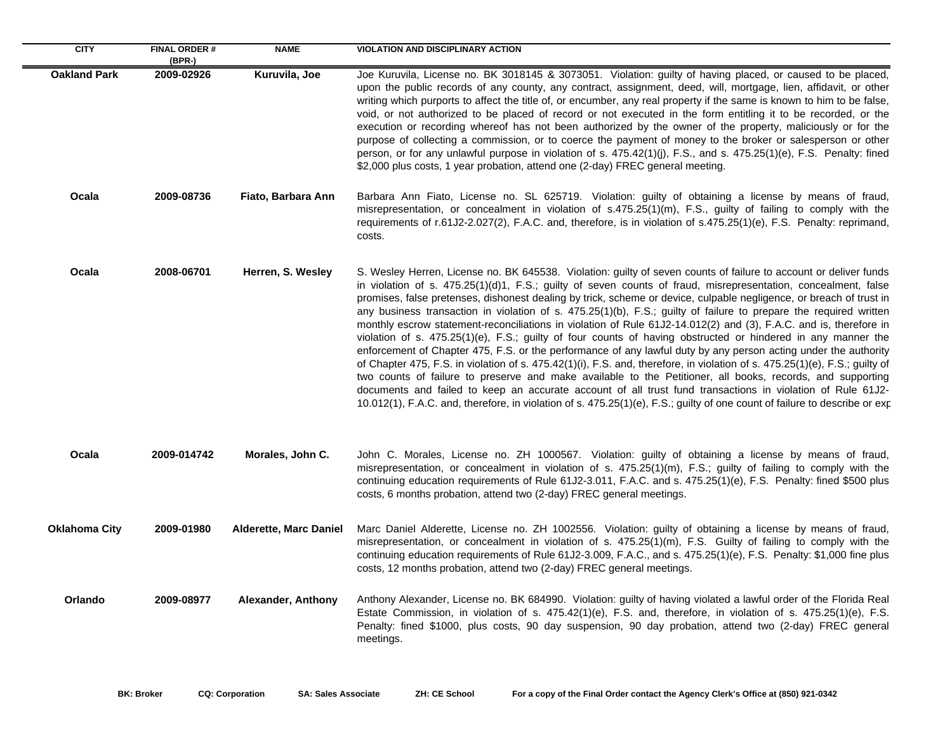| <b>CITY</b>          | <b>FINAL ORDER#</b><br>$(BPR-)$ | <b>NAME</b>                   | <b>VIOLATION AND DISCIPLINARY ACTION</b>                                                                                                                                                                                                                                                                                                                                                                                                                                                                                                                                                                                                                                                                                                                                                                                                                                                                                                                                                                                                                                                                                                                                                                                                                                                                                         |
|----------------------|---------------------------------|-------------------------------|----------------------------------------------------------------------------------------------------------------------------------------------------------------------------------------------------------------------------------------------------------------------------------------------------------------------------------------------------------------------------------------------------------------------------------------------------------------------------------------------------------------------------------------------------------------------------------------------------------------------------------------------------------------------------------------------------------------------------------------------------------------------------------------------------------------------------------------------------------------------------------------------------------------------------------------------------------------------------------------------------------------------------------------------------------------------------------------------------------------------------------------------------------------------------------------------------------------------------------------------------------------------------------------------------------------------------------|
| <b>Oakland Park</b>  | 2009-02926                      | Kuruvila, Joe                 | Joe Kuruvila, License no. BK 3018145 & 3073051. Violation: guilty of having placed, or caused to be placed,<br>upon the public records of any county, any contract, assignment, deed, will, mortgage, lien, affidavit, or other<br>writing which purports to affect the title of, or encumber, any real property if the same is known to him to be false,<br>void, or not authorized to be placed of record or not executed in the form entitling it to be recorded, or the<br>execution or recording whereof has not been authorized by the owner of the property, maliciously or for the<br>purpose of collecting a commission, or to coerce the payment of money to the broker or salesperson or other<br>person, or for any unlawful purpose in violation of s. 475.42(1)(j), F.S., and s. 475.25(1)(e), F.S. Penalty: fined<br>\$2,000 plus costs, 1 year probation, attend one (2-day) FREC general meeting.                                                                                                                                                                                                                                                                                                                                                                                                               |
| Ocala                | 2009-08736                      | Fiato, Barbara Ann            | Barbara Ann Fiato, License no. SL 625719. Violation: guilty of obtaining a license by means of fraud,<br>misrepresentation, or concealment in violation of s.475.25(1)(m), F.S., guilty of failing to comply with the<br>requirements of r.61J2-2.027(2), F.A.C. and, therefore, is in violation of s.475.25(1)(e), F.S. Penalty: reprimand,<br>costs.                                                                                                                                                                                                                                                                                                                                                                                                                                                                                                                                                                                                                                                                                                                                                                                                                                                                                                                                                                           |
| Ocala                | 2008-06701                      | Herren, S. Wesley             | S. Wesley Herren, License no. BK 645538. Violation: guilty of seven counts of failure to account or deliver funds<br>in violation of s. 475.25(1)(d)1, F.S.; guilty of seven counts of fraud, misrepresentation, concealment, false<br>promises, false pretenses, dishonest dealing by trick, scheme or device, culpable negligence, or breach of trust in<br>any business transaction in violation of s. 475.25(1)(b), F.S.; guilty of failure to prepare the required written<br>monthly escrow statement-reconciliations in violation of Rule 61J2-14.012(2) and (3), F.A.C. and is, therefore in<br>violation of s. 475.25(1)(e), F.S.; guilty of four counts of having obstructed or hindered in any manner the<br>enforcement of Chapter 475, F.S. or the performance of any lawful duty by any person acting under the authority<br>of Chapter 475, F.S. in violation of s. 475.42(1)(i), F.S. and, therefore, in violation of s. 475.25(1)(e), F.S.; guilty of<br>two counts of failure to preserve and make available to the Petitioner, all books, records, and supporting<br>documents and failed to keep an accurate account of all trust fund transactions in violation of Rule 61J2-<br>10.012(1), F.A.C. and, therefore, in violation of s. 475.25(1)(e), F.S.; guilty of one count of failure to describe or exp |
| Ocala                | 2009-014742                     | Morales, John C.              | John C. Morales, License no. ZH 1000567. Violation: guilty of obtaining a license by means of fraud,<br>misrepresentation, or concealment in violation of s. 475.25(1)(m), F.S.; guilty of failing to comply with the<br>continuing education requirements of Rule 61J2-3.011, F.A.C. and s. 475.25(1)(e), F.S. Penalty: fined \$500 plus<br>costs, 6 months probation, attend two (2-day) FREC general meetings.                                                                                                                                                                                                                                                                                                                                                                                                                                                                                                                                                                                                                                                                                                                                                                                                                                                                                                                |
| <b>Oklahoma City</b> | 2009-01980                      | <b>Alderette, Marc Daniel</b> | Marc Daniel Alderette, License no. ZH 1002556. Violation: guilty of obtaining a license by means of fraud,<br>misrepresentation, or concealment in violation of s. 475.25(1)(m), F.S. Guilty of failing to comply with the<br>continuing education requirements of Rule 61J2-3.009, F.A.C., and s. 475.25(1)(e), F.S. Penalty: \$1,000 fine plus<br>costs, 12 months probation, attend two (2-day) FREC general meetings.                                                                                                                                                                                                                                                                                                                                                                                                                                                                                                                                                                                                                                                                                                                                                                                                                                                                                                        |
| Orlando              | 2009-08977                      | Alexander, Anthony            | Anthony Alexander, License no. BK 684990. Violation: guilty of having violated a lawful order of the Florida Real<br>Estate Commission, in violation of s. 475.42(1)(e), F.S. and, therefore, in violation of s. 475.25(1)(e), F.S.<br>Penalty: fined \$1000, plus costs, 90 day suspension, 90 day probation, attend two (2-day) FREC general<br>meetings.                                                                                                                                                                                                                                                                                                                                                                                                                                                                                                                                                                                                                                                                                                                                                                                                                                                                                                                                                                      |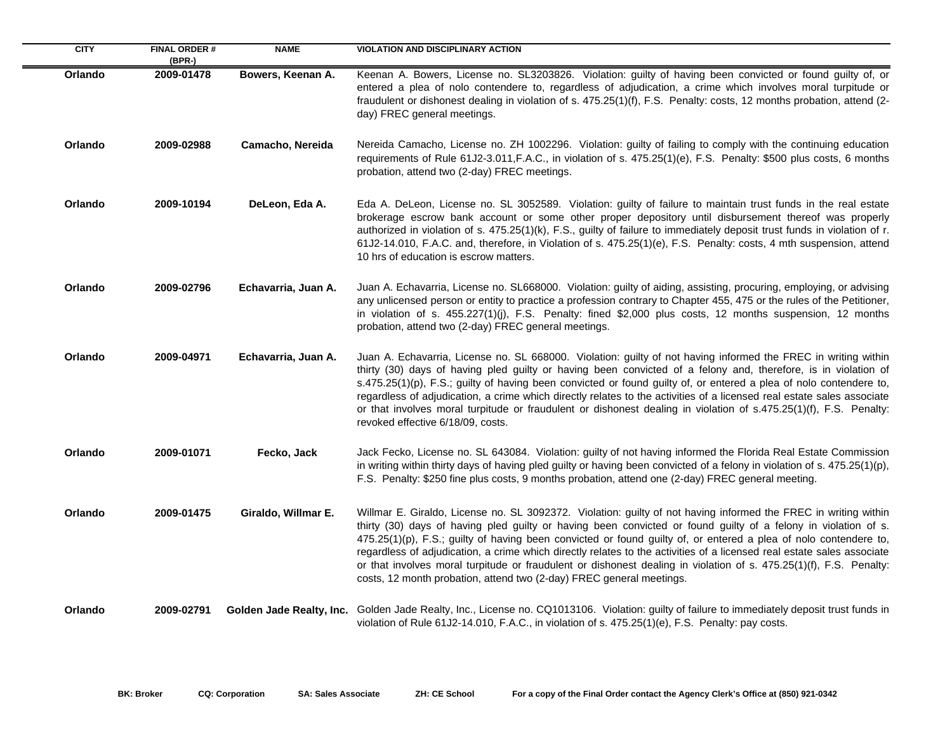| <b>CITY</b> | <b>FINAL ORDER#</b><br>(BPR-) | <b>NAME</b>              | <b>VIOLATION AND DISCIPLINARY ACTION</b>                                                                                                                                                                                                                                                                                                                                                                                                                                                                                                                                                                                                                                      |
|-------------|-------------------------------|--------------------------|-------------------------------------------------------------------------------------------------------------------------------------------------------------------------------------------------------------------------------------------------------------------------------------------------------------------------------------------------------------------------------------------------------------------------------------------------------------------------------------------------------------------------------------------------------------------------------------------------------------------------------------------------------------------------------|
| Orlando     | 2009-01478                    | Bowers, Keenan A.        | Keenan A. Bowers, License no. SL3203826. Violation: guilty of having been convicted or found guilty of, or<br>entered a plea of nolo contendere to, regardless of adjudication, a crime which involves moral turpitude or<br>fraudulent or dishonest dealing in violation of s. 475.25(1)(f), F.S. Penalty: costs, 12 months probation, attend (2-<br>day) FREC general meetings.                                                                                                                                                                                                                                                                                             |
| Orlando     | 2009-02988                    | Camacho, Nereida         | Nereida Camacho, License no. ZH 1002296. Violation: guilty of failing to comply with the continuing education<br>requirements of Rule 61J2-3.011, F.A.C., in violation of s. 475.25(1)(e), F.S. Penalty: \$500 plus costs, 6 months<br>probation, attend two (2-day) FREC meetings.                                                                                                                                                                                                                                                                                                                                                                                           |
| Orlando     | 2009-10194                    | DeLeon, Eda A.           | Eda A. DeLeon, License no. SL 3052589. Violation: guilty of failure to maintain trust funds in the real estate<br>brokerage escrow bank account or some other proper depository until disbursement thereof was properly<br>authorized in violation of s. 475.25(1)(k), F.S., guilty of failure to immediately deposit trust funds in violation of r.<br>61J2-14.010, F.A.C. and, therefore, in Violation of s. 475.25(1)(e), F.S. Penalty: costs, 4 mth suspension, attend<br>10 hrs of education is escrow matters.                                                                                                                                                          |
| Orlando     | 2009-02796                    | Echavarria, Juan A.      | Juan A. Echavarria, License no. SL668000. Violation: guilty of aiding, assisting, procuring, employing, or advising<br>any unlicensed person or entity to practice a profession contrary to Chapter 455, 475 or the rules of the Petitioner,<br>in violation of s. 455.227(1)(j), F.S. Penalty: fined \$2,000 plus costs, 12 months suspension, 12 months<br>probation, attend two (2-day) FREC general meetings.                                                                                                                                                                                                                                                             |
| Orlando     | 2009-04971                    | Echavarria, Juan A.      | Juan A. Echavarria, License no. SL 668000. Violation: guilty of not having informed the FREC in writing within<br>thirty (30) days of having pled guilty or having been convicted of a felony and, therefore, is in violation of<br>s.475.25(1)(p), F.S.; guilty of having been convicted or found guilty of, or entered a plea of nolo contendere to,<br>regardless of adjudication, a crime which directly relates to the activities of a licensed real estate sales associate<br>or that involves moral turpitude or fraudulent or dishonest dealing in violation of s.475.25(1)(f), F.S. Penalty:<br>revoked effective 6/18/09, costs.                                    |
| Orlando     | 2009-01071                    | Fecko, Jack              | Jack Fecko, License no. SL 643084. Violation: guilty of not having informed the Florida Real Estate Commission<br>in writing within thirty days of having pled guilty or having been convicted of a felony in violation of s. 475.25(1)(p),<br>F.S. Penalty: \$250 fine plus costs, 9 months probation, attend one (2-day) FREC general meeting.                                                                                                                                                                                                                                                                                                                              |
| Orlando     | 2009-01475                    | Giraldo, Willmar E.      | Willmar E. Giraldo, License no. SL 3092372. Violation: guilty of not having informed the FREC in writing within<br>thirty (30) days of having pled guilty or having been convicted or found guilty of a felony in violation of s.<br>475.25(1)(p), F.S.; guilty of having been convicted or found guilty of, or entered a plea of nolo contendere to,<br>regardless of adjudication, a crime which directly relates to the activities of a licensed real estate sales associate<br>or that involves moral turpitude or fraudulent or dishonest dealing in violation of s. 475.25(1)(f), F.S. Penalty:<br>costs, 12 month probation, attend two (2-day) FREC general meetings. |
| Orlando     | 2009-02791                    | Golden Jade Realty, Inc. | Golden Jade Realty, Inc., License no. CQ1013106. Violation: guilty of failure to immediately deposit trust funds in<br>violation of Rule 61J2-14.010, F.A.C., in violation of s. 475.25(1)(e), F.S. Penalty: pay costs.                                                                                                                                                                                                                                                                                                                                                                                                                                                       |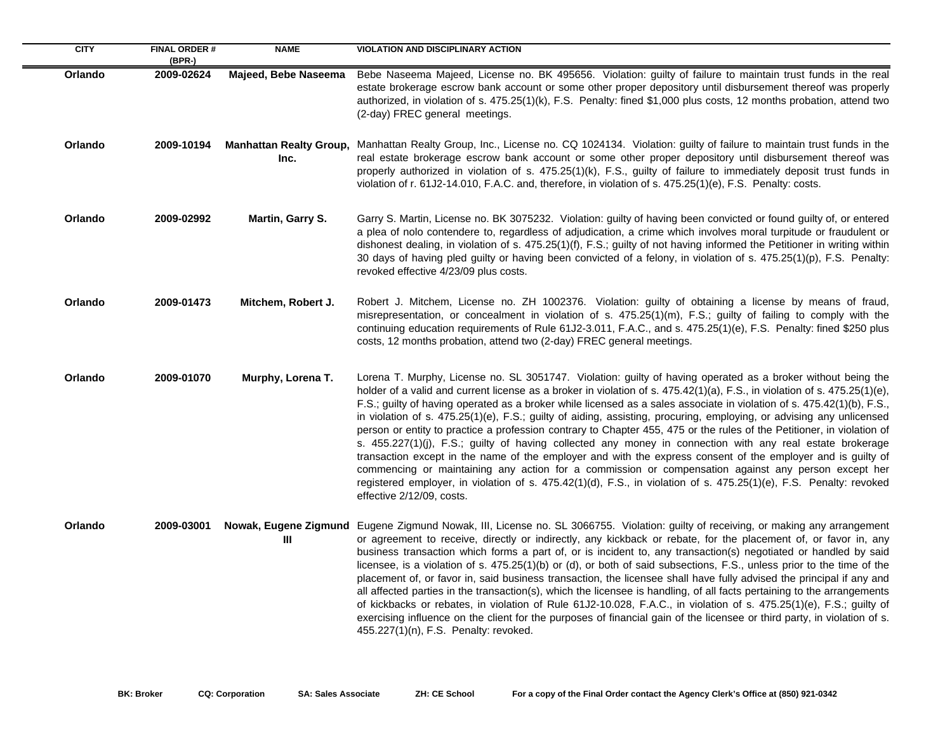| <b>CITY</b> | <b>FINAL ORDER #</b><br>(BPR-) | <b>NAME</b>             | <b>VIOLATION AND DISCIPLINARY ACTION</b>                                                                                                                                                                                                                                                                                                                                                                                                                                                                                                                                                                                                                                                                                                                                                                                                                                                                                                                                                                                                                                                                     |
|-------------|--------------------------------|-------------------------|--------------------------------------------------------------------------------------------------------------------------------------------------------------------------------------------------------------------------------------------------------------------------------------------------------------------------------------------------------------------------------------------------------------------------------------------------------------------------------------------------------------------------------------------------------------------------------------------------------------------------------------------------------------------------------------------------------------------------------------------------------------------------------------------------------------------------------------------------------------------------------------------------------------------------------------------------------------------------------------------------------------------------------------------------------------------------------------------------------------|
| Orlando     | 2009-02624                     | Majeed, Bebe Naseema    | Bebe Naseema Majeed, License no. BK 495656. Violation: guilty of failure to maintain trust funds in the real<br>estate brokerage escrow bank account or some other proper depository until disbursement thereof was properly<br>authorized, in violation of s. 475.25(1)(k), F.S. Penalty: fined \$1,000 plus costs, 12 months probation, attend two<br>(2-day) FREC general meetings.                                                                                                                                                                                                                                                                                                                                                                                                                                                                                                                                                                                                                                                                                                                       |
| Orlando     | 2009-10194                     | Inc.                    | Manhattan Realty Group, Manhattan Realty Group, Inc., License no. CQ 1024134. Violation: guilty of failure to maintain trust funds in the<br>real estate brokerage escrow bank account or some other proper depository until disbursement thereof was<br>properly authorized in violation of s. 475.25(1)(k), F.S., guilty of failure to immediately deposit trust funds in<br>violation of r. 61J2-14.010, F.A.C. and, therefore, in violation of s. 475.25(1)(e), F.S. Penalty: costs.                                                                                                                                                                                                                                                                                                                                                                                                                                                                                                                                                                                                                     |
| Orlando     | 2009-02992                     | <b>Martin, Garry S.</b> | Garry S. Martin, License no. BK 3075232. Violation: guilty of having been convicted or found guilty of, or entered<br>a plea of nolo contendere to, regardless of adjudication, a crime which involves moral turpitude or fraudulent or<br>dishonest dealing, in violation of s. 475.25(1)(f), F.S.; guilty of not having informed the Petitioner in writing within<br>30 days of having pled guilty or having been convicted of a felony, in violation of s. 475.25(1)(p), F.S. Penalty:<br>revoked effective 4/23/09 plus costs.                                                                                                                                                                                                                                                                                                                                                                                                                                                                                                                                                                           |
| Orlando     | 2009-01473                     | Mitchem, Robert J.      | Robert J. Mitchem, License no. ZH 1002376. Violation: guilty of obtaining a license by means of fraud,<br>misrepresentation, or concealment in violation of s. 475.25(1)(m), F.S.; guilty of failing to comply with the<br>continuing education requirements of Rule 61J2-3.011, F.A.C., and s. 475.25(1)(e), F.S. Penalty: fined \$250 plus<br>costs, 12 months probation, attend two (2-day) FREC general meetings.                                                                                                                                                                                                                                                                                                                                                                                                                                                                                                                                                                                                                                                                                        |
| Orlando     | 2009-01070                     | Murphy, Lorena T.       | Lorena T. Murphy, License no. SL 3051747. Violation: guilty of having operated as a broker without being the<br>holder of a valid and current license as a broker in violation of s. 475.42(1)(a), F.S., in violation of s. 475.25(1)(e),<br>F.S.; guilty of having operated as a broker while licensed as a sales associate in violation of s. 475.42(1)(b), F.S.,<br>in violation of s. 475.25(1)(e), F.S.; guilty of aiding, assisting, procuring, employing, or advising any unlicensed<br>person or entity to practice a profession contrary to Chapter 455, 475 or the rules of the Petitioner, in violation of<br>s. 455.227(1)(j), F.S.; guilty of having collected any money in connection with any real estate brokerage<br>transaction except in the name of the employer and with the express consent of the employer and is guilty of<br>commencing or maintaining any action for a commission or compensation against any person except her<br>registered employer, in violation of s. 475.42(1)(d), F.S., in violation of s. 475.25(1)(e), F.S. Penalty: revoked<br>effective 2/12/09, costs. |
| Orlando     | 2009-03001                     | Ш                       | Nowak, Eugene Zigmund Eugene Zigmund Nowak, III, License no. SL 3066755. Violation: guilty of receiving, or making any arrangement<br>or agreement to receive, directly or indirectly, any kickback or rebate, for the placement of, or favor in, any<br>business transaction which forms a part of, or is incident to, any transaction(s) negotiated or handled by said<br>licensee, is a violation of s. 475.25(1)(b) or (d), or both of said subsections, F.S., unless prior to the time of the<br>placement of, or favor in, said business transaction, the licensee shall have fully advised the principal if any and<br>all affected parties in the transaction(s), which the licensee is handling, of all facts pertaining to the arrangements<br>of kickbacks or rebates, in violation of Rule 61J2-10.028, F.A.C., in violation of s. 475.25(1)(e), F.S.; guilty of<br>exercising influence on the client for the purposes of financial gain of the licensee or third party, in violation of s.<br>455.227(1)(n), F.S. Penalty: revoked.                                                            |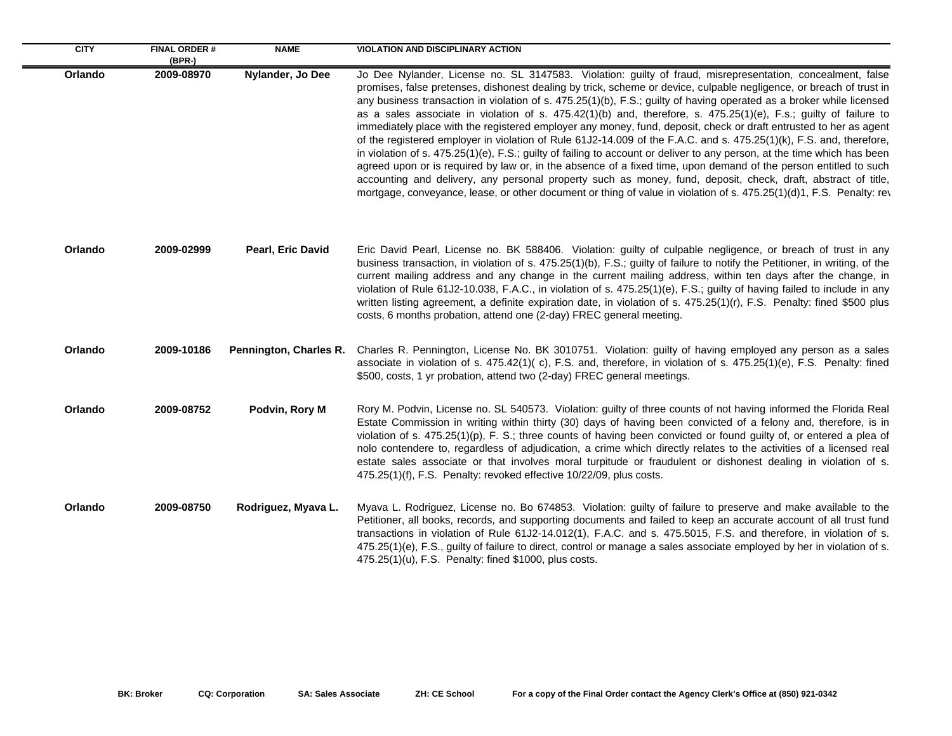| <b>CITY</b> | <b>FINAL ORDER#</b><br>$(BPR-)$ | <b>NAME</b>              | <b>VIOLATION AND DISCIPLINARY ACTION</b>                                                                                                                                                                                                                                                                                                                                                                                                                                                                                                                                                                                                                                                                                                                                                                                                                                                                                                                                                                                                                                                                                                                                                                                |
|-------------|---------------------------------|--------------------------|-------------------------------------------------------------------------------------------------------------------------------------------------------------------------------------------------------------------------------------------------------------------------------------------------------------------------------------------------------------------------------------------------------------------------------------------------------------------------------------------------------------------------------------------------------------------------------------------------------------------------------------------------------------------------------------------------------------------------------------------------------------------------------------------------------------------------------------------------------------------------------------------------------------------------------------------------------------------------------------------------------------------------------------------------------------------------------------------------------------------------------------------------------------------------------------------------------------------------|
| Orlando     | 2009-08970                      | Nylander, Jo Dee         | Jo Dee Nylander, License no. SL 3147583. Violation: guilty of fraud, misrepresentation, concealment, false<br>promises, false pretenses, dishonest dealing by trick, scheme or device, culpable negligence, or breach of trust in<br>any business transaction in violation of s. 475.25(1)(b), F.S.; guilty of having operated as a broker while licensed<br>as a sales associate in violation of s. $475.42(1)(b)$ and, therefore, s. $475.25(1)(e)$ , F.s.; guilty of failure to<br>immediately place with the registered employer any money, fund, deposit, check or draft entrusted to her as agent<br>of the registered employer in violation of Rule 61J2-14.009 of the F.A.C. and s. 475.25(1)(k), F.S. and, therefore,<br>in violation of s. 475.25(1)(e), F.S.; guilty of failing to account or deliver to any person, at the time which has been<br>agreed upon or is required by law or, in the absence of a fixed time, upon demand of the person entitled to such<br>accounting and delivery, any personal property such as money, fund, deposit, check, draft, abstract of title,<br>mortgage, conveyance, lease, or other document or thing of value in violation of s. 475.25(1)(d)1, F.S. Penalty: rev |
| Orlando     | 2009-02999                      | <b>Pearl, Eric David</b> | Eric David Pearl, License no. BK 588406. Violation: guilty of culpable negligence, or breach of trust in any<br>business transaction, in violation of s. 475.25(1)(b), F.S.; guilty of failure to notify the Petitioner, in writing, of the<br>current mailing address and any change in the current mailing address, within ten days after the change, in<br>violation of Rule 61J2-10.038, F.A.C., in violation of s. 475.25(1)(e), F.S.; guilty of having failed to include in any<br>written listing agreement, a definite expiration date, in violation of s. 475.25(1)(r), F.S. Penalty: fined \$500 plus<br>costs, 6 months probation, attend one (2-day) FREC general meeting.                                                                                                                                                                                                                                                                                                                                                                                                                                                                                                                                  |
| Orlando     | 2009-10186                      | Pennington, Charles R.   | Charles R. Pennington, License No. BK 3010751. Violation: guilty of having employed any person as a sales<br>associate in violation of s. 475.42(1)(c), F.S. and, therefore, in violation of s. 475.25(1)(e), F.S. Penalty: fined<br>\$500, costs, 1 yr probation, attend two (2-day) FREC general meetings.                                                                                                                                                                                                                                                                                                                                                                                                                                                                                                                                                                                                                                                                                                                                                                                                                                                                                                            |
| Orlando     | 2009-08752                      | Podvin, Rory M           | Rory M. Podvin, License no. SL 540573. Violation: guilty of three counts of not having informed the Florida Real<br>Estate Commission in writing within thirty (30) days of having been convicted of a felony and, therefore, is in<br>violation of s. $475.25(1)(p)$ , F. S.; three counts of having been convicted or found guilty of, or entered a plea of<br>nolo contendere to, regardless of adjudication, a crime which directly relates to the activities of a licensed real<br>estate sales associate or that involves moral turpitude or fraudulent or dishonest dealing in violation of s.<br>475.25(1)(f), F.S. Penalty: revoked effective 10/22/09, plus costs.                                                                                                                                                                                                                                                                                                                                                                                                                                                                                                                                            |
| Orlando     | 2009-08750                      | Rodriguez, Myava L.      | Myava L. Rodriguez, License no. Bo 674853. Violation: guilty of failure to preserve and make available to the<br>Petitioner, all books, records, and supporting documents and failed to keep an accurate account of all trust fund<br>transactions in violation of Rule 61J2-14.012(1), F.A.C. and s. 475.5015, F.S. and therefore, in violation of s.<br>475.25(1)(e), F.S., guilty of failure to direct, control or manage a sales associate employed by her in violation of s.<br>475.25(1)(u), F.S. Penalty: fined \$1000, plus costs.                                                                                                                                                                                                                                                                                                                                                                                                                                                                                                                                                                                                                                                                              |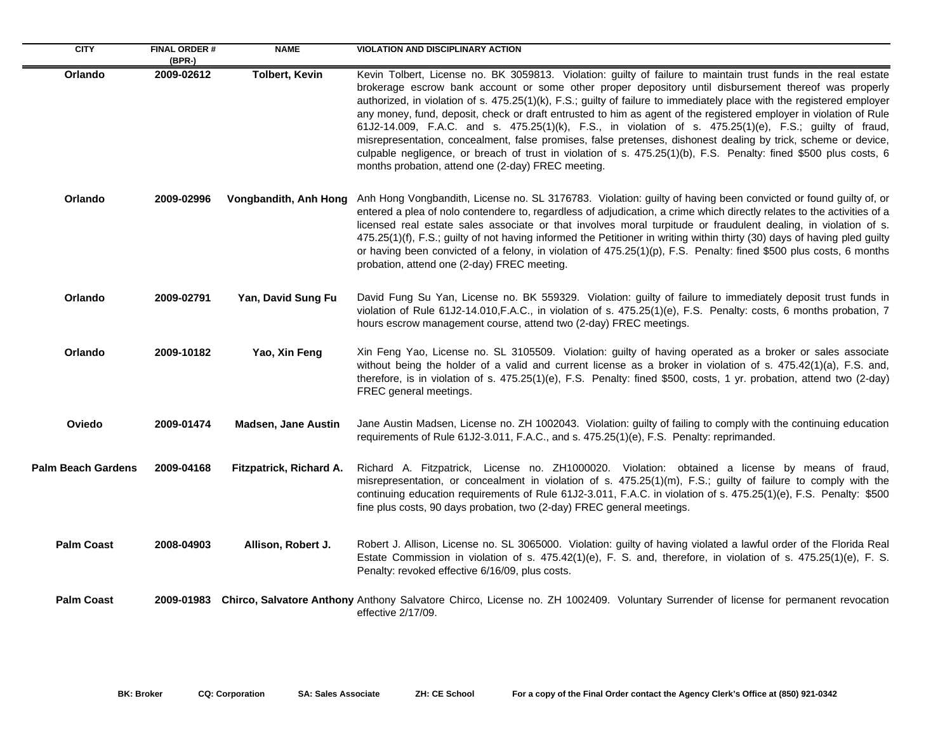| <b>CITY</b>               | <b>FINAL ORDER#</b><br>$(BPR-)$ | <b>NAME</b>                | <b>VIOLATION AND DISCIPLINARY ACTION</b>                                                                                                                                                                                                                                                                                                                                                                                                                                                                                                                                                                                                                                                                                                                                                                                                                                      |
|---------------------------|---------------------------------|----------------------------|-------------------------------------------------------------------------------------------------------------------------------------------------------------------------------------------------------------------------------------------------------------------------------------------------------------------------------------------------------------------------------------------------------------------------------------------------------------------------------------------------------------------------------------------------------------------------------------------------------------------------------------------------------------------------------------------------------------------------------------------------------------------------------------------------------------------------------------------------------------------------------|
| Orlando                   | 2009-02612                      | <b>Tolbert, Kevin</b>      | Kevin Tolbert, License no. BK 3059813. Violation: guilty of failure to maintain trust funds in the real estate<br>brokerage escrow bank account or some other proper depository until disbursement thereof was properly<br>authorized, in violation of s. 475.25(1)(k), F.S.; guilty of failure to immediately place with the registered employer<br>any money, fund, deposit, check or draft entrusted to him as agent of the registered employer in violation of Rule<br>61J2-14.009, F.A.C. and s. 475.25(1)(k), F.S., in violation of s. 475.25(1)(e), F.S.; guilty of fraud,<br>misrepresentation, concealment, false promises, false pretenses, dishonest dealing by trick, scheme or device,<br>culpable negligence, or breach of trust in violation of s. 475.25(1)(b), F.S. Penalty: fined \$500 plus costs, 6<br>months probation, attend one (2-day) FREC meeting. |
| Orlando                   | 2009-02996                      | Vongbandith, Anh Hong      | Anh Hong Vongbandith, License no. SL 3176783. Violation: guilty of having been convicted or found guilty of, or<br>entered a plea of nolo contendere to, regardless of adjudication, a crime which directly relates to the activities of a<br>licensed real estate sales associate or that involves moral turpitude or fraudulent dealing, in violation of s.<br>475.25(1)(f), F.S.; guilty of not having informed the Petitioner in writing within thirty (30) days of having pled guilty<br>or having been convicted of a felony, in violation of 475.25(1)(p), F.S. Penalty: fined \$500 plus costs, 6 months<br>probation, attend one (2-day) FREC meeting.                                                                                                                                                                                                               |
| Orlando                   | 2009-02791                      | Yan, David Sung Fu         | David Fung Su Yan, License no. BK 559329. Violation: guilty of failure to immediately deposit trust funds in<br>violation of Rule 61J2-14.010, F.A.C., in violation of s. 475.25(1)(e), F.S. Penalty: costs, 6 months probation, 7<br>hours escrow management course, attend two (2-day) FREC meetings.                                                                                                                                                                                                                                                                                                                                                                                                                                                                                                                                                                       |
| Orlando                   | 2009-10182                      | Yao, Xin Feng              | Xin Feng Yao, License no. SL 3105509. Violation: guilty of having operated as a broker or sales associate<br>without being the holder of a valid and current license as a broker in violation of s. 475.42(1)(a), F.S. and,<br>therefore, is in violation of s. 475.25(1)(e), F.S. Penalty: fined \$500, costs, 1 yr. probation, attend two (2-day)<br>FREC general meetings.                                                                                                                                                                                                                                                                                                                                                                                                                                                                                                 |
| Oviedo                    | 2009-01474                      | <b>Madsen, Jane Austin</b> | Jane Austin Madsen, License no. ZH 1002043. Violation: guilty of failing to comply with the continuing education<br>requirements of Rule 61J2-3.011, F.A.C., and s. 475.25(1)(e), F.S. Penalty: reprimanded.                                                                                                                                                                                                                                                                                                                                                                                                                                                                                                                                                                                                                                                                  |
| <b>Palm Beach Gardens</b> | 2009-04168                      | Fitzpatrick, Richard A.    | Richard A. Fitzpatrick, License no. ZH1000020. Violation: obtained a license by means of fraud,<br>misrepresentation, or concealment in violation of s. 475.25(1)(m), F.S.; guilty of failure to comply with the<br>continuing education requirements of Rule 61J2-3.011, F.A.C. in violation of s. 475.25(1)(e), F.S. Penalty: \$500<br>fine plus costs, 90 days probation, two (2-day) FREC general meetings.                                                                                                                                                                                                                                                                                                                                                                                                                                                               |
| <b>Palm Coast</b>         | 2008-04903                      | Allison, Robert J.         | Robert J. Allison, License no. SL 3065000. Violation: guilty of having violated a lawful order of the Florida Real<br>Estate Commission in violation of s. 475.42(1)(e), F. S. and, therefore, in violation of s. 475.25(1)(e), F. S.<br>Penalty: revoked effective 6/16/09, plus costs.                                                                                                                                                                                                                                                                                                                                                                                                                                                                                                                                                                                      |
| <b>Palm Coast</b>         |                                 |                            | 2009-01983 Chirco, Salvatore Anthony Anthony Salvatore Chirco, License no. ZH 1002409. Voluntary Surrender of license for permanent revocation<br>effective 2/17/09.                                                                                                                                                                                                                                                                                                                                                                                                                                                                                                                                                                                                                                                                                                          |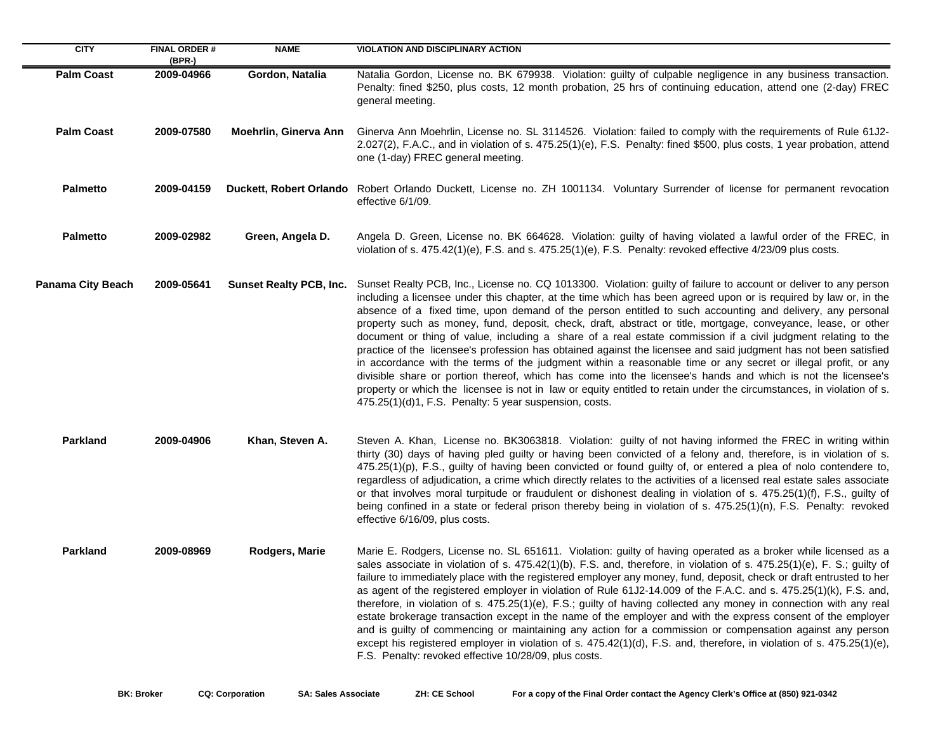| <b>CITY</b>              | <b>FINAL ORDER#</b><br>$(BPR-)$ | <b>NAME</b>                    | <b>VIOLATION AND DISCIPLINARY ACTION</b>                                                                                                                                                                                                                                                                                                                                                                                                                                                                                                                                                                                                                                                                                                                                                                                                                                                                                                                                                                                                                                                                                     |
|--------------------------|---------------------------------|--------------------------------|------------------------------------------------------------------------------------------------------------------------------------------------------------------------------------------------------------------------------------------------------------------------------------------------------------------------------------------------------------------------------------------------------------------------------------------------------------------------------------------------------------------------------------------------------------------------------------------------------------------------------------------------------------------------------------------------------------------------------------------------------------------------------------------------------------------------------------------------------------------------------------------------------------------------------------------------------------------------------------------------------------------------------------------------------------------------------------------------------------------------------|
| <b>Palm Coast</b>        | 2009-04966                      | Gordon, Natalia                | Natalia Gordon, License no. BK 679938. Violation: guilty of culpable negligence in any business transaction.<br>Penalty: fined \$250, plus costs, 12 month probation, 25 hrs of continuing education, attend one (2-day) FREC<br>general meeting.                                                                                                                                                                                                                                                                                                                                                                                                                                                                                                                                                                                                                                                                                                                                                                                                                                                                            |
| <b>Palm Coast</b>        | 2009-07580                      | Moehrlin, Ginerva Ann          | Ginerva Ann Moehrlin, License no. SL 3114526. Violation: failed to comply with the requirements of Rule 61J2-<br>2.027(2), F.A.C., and in violation of s. 475.25(1)(e), F.S. Penalty: fined \$500, plus costs, 1 year probation, attend<br>one (1-day) FREC general meeting.                                                                                                                                                                                                                                                                                                                                                                                                                                                                                                                                                                                                                                                                                                                                                                                                                                                 |
| <b>Palmetto</b>          | 2009-04159                      |                                | Duckett, Robert Orlando Robert Orlando Duckett, License no. ZH 1001134. Voluntary Surrender of license for permanent revocation<br>effective 6/1/09.                                                                                                                                                                                                                                                                                                                                                                                                                                                                                                                                                                                                                                                                                                                                                                                                                                                                                                                                                                         |
| <b>Palmetto</b>          | 2009-02982                      | Green, Angela D.               | Angela D. Green, License no. BK 664628. Violation: guilty of having violated a lawful order of the FREC, in<br>violation of s. $475.42(1)(e)$ , F.S. and s. $475.25(1)(e)$ , F.S. Penalty: revoked effective $4/23/09$ plus costs.                                                                                                                                                                                                                                                                                                                                                                                                                                                                                                                                                                                                                                                                                                                                                                                                                                                                                           |
| <b>Panama City Beach</b> | 2009-05641                      | <b>Sunset Realty PCB, Inc.</b> | Sunset Realty PCB, Inc., License no. CQ 1013300. Violation: guilty of failure to account or deliver to any person<br>including a licensee under this chapter, at the time which has been agreed upon or is required by law or, in the<br>absence of a fixed time, upon demand of the person entitled to such accounting and delivery, any personal<br>property such as money, fund, deposit, check, draft, abstract or title, mortgage, conveyance, lease, or other<br>document or thing of value, including a share of a real estate commission if a civil judgment relating to the<br>practice of the licensee's profession has obtained against the licensee and said judgment has not been satisfied<br>in accordance with the terms of the judgment within a reasonable time or any secret or illegal profit, or any<br>divisible share or portion thereof, which has come into the licensee's hands and which is not the licensee's<br>property or which the licensee is not in law or equity entitled to retain under the circumstances, in violation of s.<br>475.25(1)(d)1, F.S. Penalty: 5 year suspension, costs. |
| <b>Parkland</b>          | 2009-04906                      | Khan, Steven A.                | Steven A. Khan, License no. BK3063818. Violation: guilty of not having informed the FREC in writing within<br>thirty (30) days of having pled guilty or having been convicted of a felony and, therefore, is in violation of s.<br>475.25(1)(p), F.S., guilty of having been convicted or found guilty of, or entered a plea of nolo contendere to,<br>regardless of adjudication, a crime which directly relates to the activities of a licensed real estate sales associate<br>or that involves moral turpitude or fraudulent or dishonest dealing in violation of s. 475.25(1)(f), F.S., guilty of<br>being confined in a state or federal prison thereby being in violation of s. 475.25(1)(n), F.S. Penalty: revoked<br>effective 6/16/09, plus costs.                                                                                                                                                                                                                                                                                                                                                                  |
| <b>Parkland</b>          | 2009-08969                      | Rodgers, Marie                 | Marie E. Rodgers, License no. SL 651611. Violation: guilty of having operated as a broker while licensed as a<br>sales associate in violation of s. 475.42(1)(b), F.S. and, therefore, in violation of s. 475.25(1)(e), F. S.; guilty of<br>failure to immediately place with the registered employer any money, fund, deposit, check or draft entrusted to her<br>as agent of the registered employer in violation of Rule 61J2-14.009 of the F.A.C. and s. 475.25(1)(k), F.S. and,<br>therefore, in violation of s. 475.25(1)(e), F.S.; guilty of having collected any money in connection with any real<br>estate brokerage transaction except in the name of the employer and with the express consent of the employer<br>and is guilty of commencing or maintaining any action for a commission or compensation against any person<br>except his registered employer in violation of s. $475.42(1)(d)$ , F.S. and, therefore, in violation of s. $475.25(1)(e)$ ,<br>F.S. Penalty: revoked effective 10/28/09, plus costs.                                                                                              |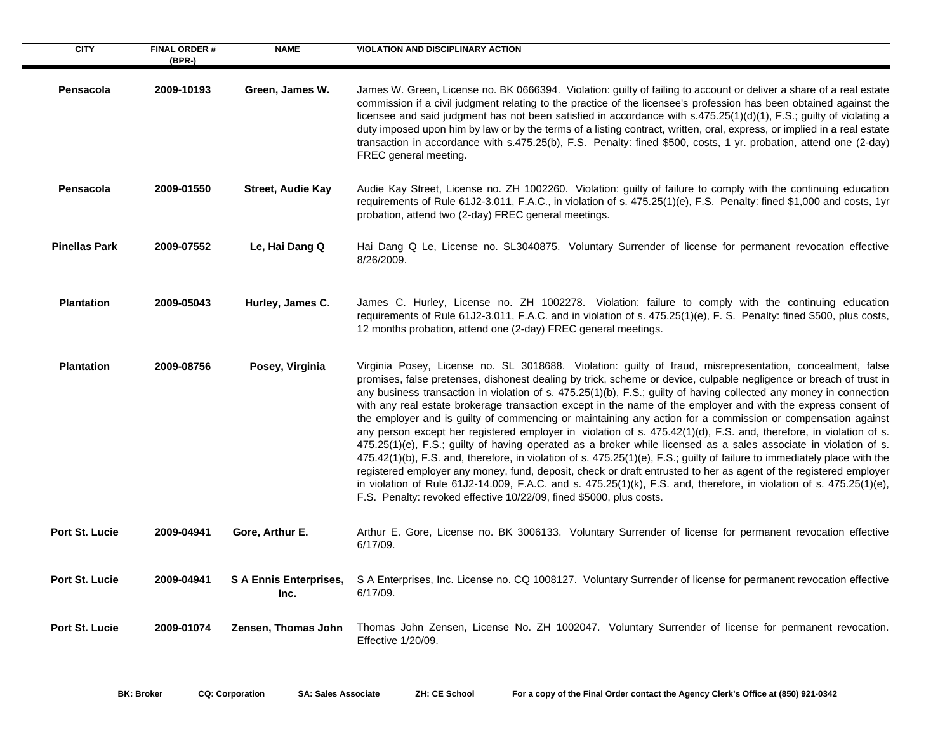| <b>CITY</b>           | <b>FINAL ORDER#</b><br>(BPR-) | <b>NAME</b>                           | <b>VIOLATION AND DISCIPLINARY ACTION</b>                                                                                                                                                                                                                                                                                                                                                                                                                                                                                                                                                                                                                                                                                                                                                                                                                                                                                                                                                                                                                                                                                                                                                                                                                                        |
|-----------------------|-------------------------------|---------------------------------------|---------------------------------------------------------------------------------------------------------------------------------------------------------------------------------------------------------------------------------------------------------------------------------------------------------------------------------------------------------------------------------------------------------------------------------------------------------------------------------------------------------------------------------------------------------------------------------------------------------------------------------------------------------------------------------------------------------------------------------------------------------------------------------------------------------------------------------------------------------------------------------------------------------------------------------------------------------------------------------------------------------------------------------------------------------------------------------------------------------------------------------------------------------------------------------------------------------------------------------------------------------------------------------|
| Pensacola             | 2009-10193                    | Green, James W.                       | James W. Green, License no. BK 0666394. Violation: guilty of failing to account or deliver a share of a real estate<br>commission if a civil judgment relating to the practice of the licensee's profession has been obtained against the<br>licensee and said judgment has not been satisfied in accordance with s.475.25(1)(d)(1), F.S.; guilty of violating a<br>duty imposed upon him by law or by the terms of a listing contract, written, oral, express, or implied in a real estate<br>transaction in accordance with s.475.25(b), F.S. Penalty: fined \$500, costs, 1 yr. probation, attend one (2-day)<br>FREC general meeting.                                                                                                                                                                                                                                                                                                                                                                                                                                                                                                                                                                                                                                       |
| Pensacola             | 2009-01550                    | <b>Street, Audie Kay</b>              | Audie Kay Street, License no. ZH 1002260. Violation: guilty of failure to comply with the continuing education<br>requirements of Rule 61J2-3.011, F.A.C., in violation of s. 475.25(1)(e), F.S. Penalty: fined \$1,000 and costs, 1yr<br>probation, attend two (2-day) FREC general meetings.                                                                                                                                                                                                                                                                                                                                                                                                                                                                                                                                                                                                                                                                                                                                                                                                                                                                                                                                                                                  |
| <b>Pinellas Park</b>  | 2009-07552                    | Le, Hai Dang Q                        | Hai Dang Q Le, License no. SL3040875. Voluntary Surrender of license for permanent revocation effective<br>8/26/2009.                                                                                                                                                                                                                                                                                                                                                                                                                                                                                                                                                                                                                                                                                                                                                                                                                                                                                                                                                                                                                                                                                                                                                           |
| <b>Plantation</b>     | 2009-05043                    | Hurley, James C.                      | James C. Hurley, License no. ZH 1002278. Violation: failure to comply with the continuing education<br>requirements of Rule 61J2-3.011, F.A.C. and in violation of s. 475.25(1)(e), F. S. Penalty: fined \$500, plus costs,<br>12 months probation, attend one (2-day) FREC general meetings.                                                                                                                                                                                                                                                                                                                                                                                                                                                                                                                                                                                                                                                                                                                                                                                                                                                                                                                                                                                   |
| <b>Plantation</b>     | 2009-08756                    | Posey, Virginia                       | Virginia Posey, License no. SL 3018688. Violation: guilty of fraud, misrepresentation, concealment, false<br>promises, false pretenses, dishonest dealing by trick, scheme or device, culpable negligence or breach of trust in<br>any business transaction in violation of s. 475.25(1)(b), F.S.; guilty of having collected any money in connection<br>with any real estate brokerage transaction except in the name of the employer and with the express consent of<br>the employer and is guilty of commencing or maintaining any action for a commission or compensation against<br>any person except her registered employer in violation of s. 475.42(1)(d), F.S. and, therefore, in violation of s.<br>475.25(1)(e), F.S.; guilty of having operated as a broker while licensed as a sales associate in violation of s.<br>475.42(1)(b), F.S. and, therefore, in violation of s. 475.25(1)(e), F.S.; guilty of failure to immediately place with the<br>registered employer any money, fund, deposit, check or draft entrusted to her as agent of the registered employer<br>in violation of Rule 61J2-14.009, F.A.C. and s. 475.25(1)(k), F.S. and, therefore, in violation of s. 475.25(1)(e),<br>F.S. Penalty: revoked effective 10/22/09, fined \$5000, plus costs. |
| Port St. Lucie        | 2009-04941                    | Gore, Arthur E.                       | Arthur E. Gore, License no. BK 3006133. Voluntary Surrender of license for permanent revocation effective<br>6/17/09.                                                                                                                                                                                                                                                                                                                                                                                                                                                                                                                                                                                                                                                                                                                                                                                                                                                                                                                                                                                                                                                                                                                                                           |
| Port St. Lucie        | 2009-04941                    | <b>S A Ennis Enterprises,</b><br>Inc. | S A Enterprises, Inc. License no. CQ 1008127. Voluntary Surrender of license for permanent revocation effective<br>6/17/09.                                                                                                                                                                                                                                                                                                                                                                                                                                                                                                                                                                                                                                                                                                                                                                                                                                                                                                                                                                                                                                                                                                                                                     |
| <b>Port St. Lucie</b> | 2009-01074                    | Zensen, Thomas John                   | Thomas John Zensen, License No. ZH 1002047. Voluntary Surrender of license for permanent revocation.<br>Effective 1/20/09.                                                                                                                                                                                                                                                                                                                                                                                                                                                                                                                                                                                                                                                                                                                                                                                                                                                                                                                                                                                                                                                                                                                                                      |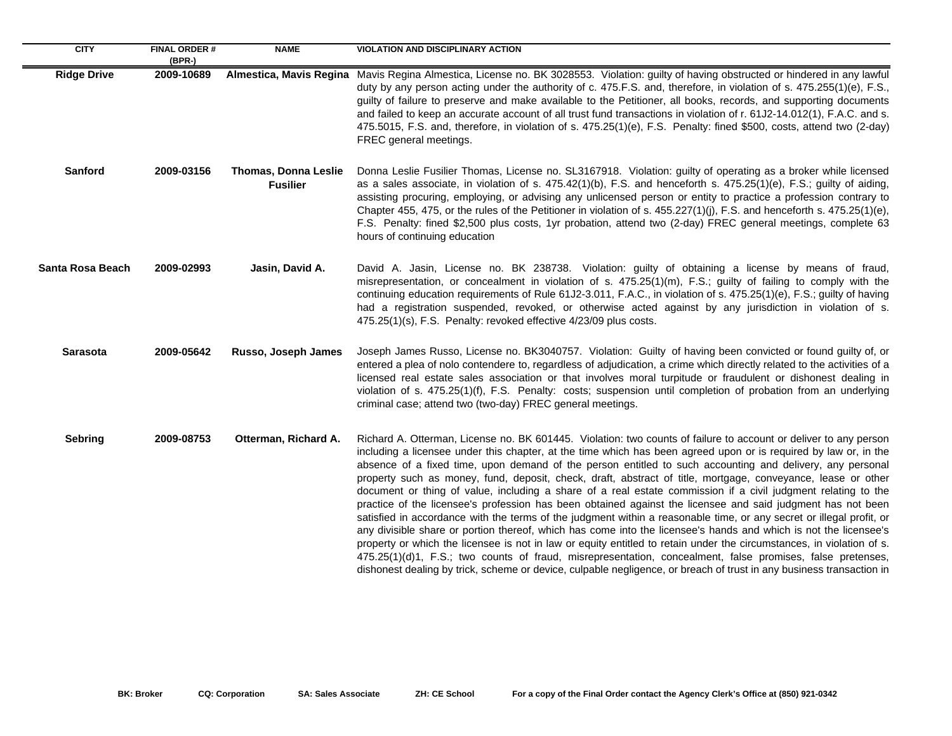| <b>CITY</b>             | <b>FINAL ORDER#</b><br>(BPR-) | <b>NAME</b>                                    | <b>VIOLATION AND DISCIPLINARY ACTION</b>                                                                                                                                                                                                                                                                                                                                                                                                                                                                                                                                                                                                                                                                                                                                                                                                                                                                                                                                                                                                                                                                                                                                                                                                                                                                     |
|-------------------------|-------------------------------|------------------------------------------------|--------------------------------------------------------------------------------------------------------------------------------------------------------------------------------------------------------------------------------------------------------------------------------------------------------------------------------------------------------------------------------------------------------------------------------------------------------------------------------------------------------------------------------------------------------------------------------------------------------------------------------------------------------------------------------------------------------------------------------------------------------------------------------------------------------------------------------------------------------------------------------------------------------------------------------------------------------------------------------------------------------------------------------------------------------------------------------------------------------------------------------------------------------------------------------------------------------------------------------------------------------------------------------------------------------------|
| <b>Ridge Drive</b>      | 2009-10689                    | Almestica, Mavis Regina                        | Mavis Regina Almestica, License no. BK 3028553. Violation: guilty of having obstructed or hindered in any lawful<br>duty by any person acting under the authority of c. 475.F.S. and, therefore, in violation of s. 475.255(1)(e), F.S.,<br>guilty of failure to preserve and make available to the Petitioner, all books, records, and supporting documents<br>and failed to keep an accurate account of all trust fund transactions in violation of r. 61J2-14.012(1), F.A.C. and s.<br>475.5015, F.S. and, therefore, in violation of s. 475.25(1)(e), F.S. Penalty: fined \$500, costs, attend two (2-day)<br>FREC general meetings.                                                                                                                                                                                                                                                                                                                                                                                                                                                                                                                                                                                                                                                                     |
| <b>Sanford</b>          | 2009-03156                    | <b>Thomas, Donna Leslie</b><br><b>Fusilier</b> | Donna Leslie Fusilier Thomas, License no. SL3167918. Violation: guilty of operating as a broker while licensed<br>as a sales associate, in violation of s. 475.42(1)(b), F.S. and henceforth s. 475.25(1)(e), F.S.; guilty of aiding,<br>assisting procuring, employing, or advising any unlicensed person or entity to practice a profession contrary to<br>Chapter 455, 475, or the rules of the Petitioner in violation of s. 455.227(1)(j), F.S. and henceforth s. 475.25(1)(e),<br>F.S. Penalty: fined \$2,500 plus costs, 1yr probation, attend two (2-day) FREC general meetings, complete 63<br>hours of continuing education                                                                                                                                                                                                                                                                                                                                                                                                                                                                                                                                                                                                                                                                        |
| <b>Santa Rosa Beach</b> | 2009-02993                    | Jasin, David A.                                | David A. Jasin, License no. BK 238738. Violation: guilty of obtaining a license by means of fraud,<br>misrepresentation, or concealment in violation of s. 475.25(1)(m), F.S.; guilty of failing to comply with the<br>continuing education requirements of Rule 61J2-3.011, F.A.C., in violation of s. 475.25(1)(e), F.S.; guilty of having<br>had a registration suspended, revoked, or otherwise acted against by any jurisdiction in violation of s.<br>475.25(1)(s), F.S. Penalty: revoked effective 4/23/09 plus costs.                                                                                                                                                                                                                                                                                                                                                                                                                                                                                                                                                                                                                                                                                                                                                                                |
| <b>Sarasota</b>         | 2009-05642                    | Russo, Joseph James                            | Joseph James Russo, License no. BK3040757. Violation: Guilty of having been convicted or found guilty of, or<br>entered a plea of nolo contendere to, regardless of adjudication, a crime which directly related to the activities of a<br>licensed real estate sales association or that involves moral turpitude or fraudulent or dishonest dealing in<br>violation of s. 475.25(1)(f), F.S. Penalty: costs; suspension until completion of probation from an underlying<br>criminal case; attend two (two-day) FREC general meetings.                                                                                                                                                                                                                                                                                                                                                                                                                                                                                                                                                                                                                                                                                                                                                                     |
| <b>Sebring</b>          | 2009-08753                    | Otterman, Richard A.                           | Richard A. Otterman, License no. BK 601445. Violation: two counts of failure to account or deliver to any person<br>including a licensee under this chapter, at the time which has been agreed upon or is required by law or, in the<br>absence of a fixed time, upon demand of the person entitled to such accounting and delivery, any personal<br>property such as money, fund, deposit, check, draft, abstract of title, mortgage, conveyance, lease or other<br>document or thing of value, including a share of a real estate commission if a civil judgment relating to the<br>practice of the licensee's profession has been obtained against the licensee and said judgment has not been<br>satisfied in accordance with the terms of the judgment within a reasonable time, or any secret or illegal profit, or<br>any divisible share or portion thereof, which has come into the licensee's hands and which is not the licensee's<br>property or which the licensee is not in law or equity entitled to retain under the circumstances, in violation of s.<br>475.25(1)(d)1, F.S.; two counts of fraud, misrepresentation, concealment, false promises, false pretenses,<br>dishonest dealing by trick, scheme or device, culpable negligence, or breach of trust in any business transaction in |

 $\sim$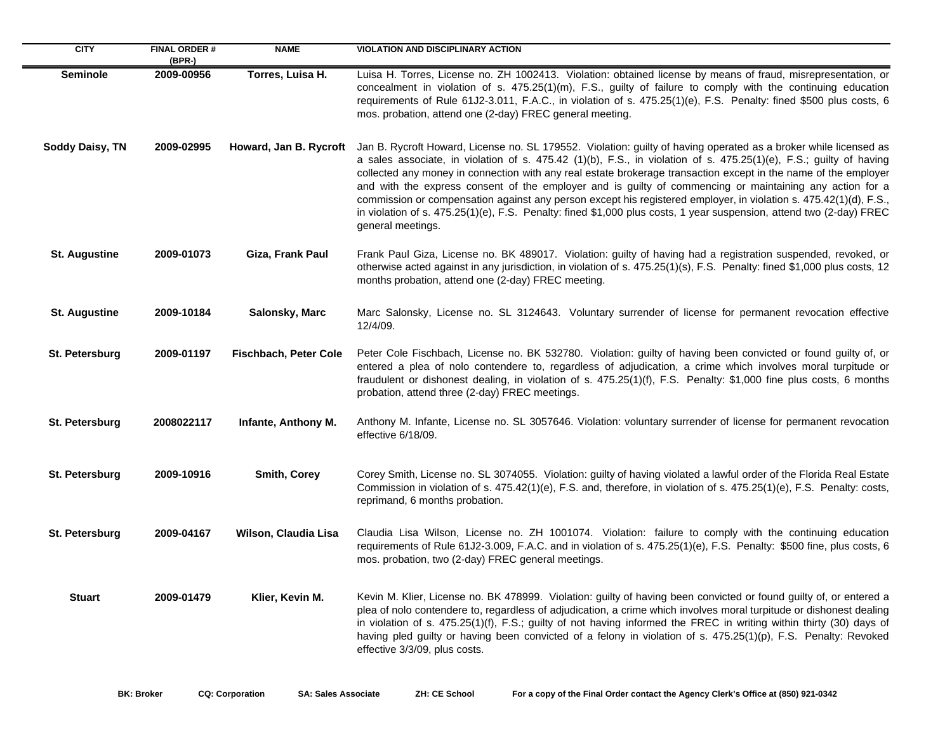| <b>CITY</b>          | <b>FINAL ORDER#</b><br>(BPR-) | <b>NAME</b>                  | VIOLATION AND DISCIPLINARY ACTION                                                                                                                                                                                                                                                                                                                                                                                                                                                                                                                                                                                                                                                                                                      |
|----------------------|-------------------------------|------------------------------|----------------------------------------------------------------------------------------------------------------------------------------------------------------------------------------------------------------------------------------------------------------------------------------------------------------------------------------------------------------------------------------------------------------------------------------------------------------------------------------------------------------------------------------------------------------------------------------------------------------------------------------------------------------------------------------------------------------------------------------|
| <b>Seminole</b>      | 2009-00956                    | Torres, Luisa H.             | Luisa H. Torres, License no. ZH 1002413. Violation: obtained license by means of fraud, misrepresentation, or<br>concealment in violation of s. 475.25(1)(m), F.S., guilty of failure to comply with the continuing education<br>requirements of Rule 61J2-3.011, F.A.C., in violation of s. 475.25(1)(e), F.S. Penalty: fined \$500 plus costs, 6<br>mos. probation, attend one (2-day) FREC general meeting.                                                                                                                                                                                                                                                                                                                         |
| Soddy Daisy, TN      | 2009-02995                    | Howard, Jan B. Rycroft       | Jan B. Rycroft Howard, License no. SL 179552. Violation: guilty of having operated as a broker while licensed as<br>a sales associate, in violation of s. 475.42 (1)(b), F.S., in violation of s. 475.25(1)(e), F.S.; guilty of having<br>collected any money in connection with any real estate brokerage transaction except in the name of the employer<br>and with the express consent of the employer and is guilty of commencing or maintaining any action for a<br>commission or compensation against any person except his registered employer, in violation s. 475.42(1)(d), F.S.,<br>in violation of s. 475.25(1)(e), F.S. Penalty: fined \$1,000 plus costs, 1 year suspension, attend two (2-day) FREC<br>general meetings. |
| <b>St. Augustine</b> | 2009-01073                    | Giza, Frank Paul             | Frank Paul Giza, License no. BK 489017. Violation: guilty of having had a registration suspended, revoked, or<br>otherwise acted against in any jurisdiction, in violation of s. 475.25(1)(s), F.S. Penalty: fined \$1,000 plus costs, 12<br>months probation, attend one (2-day) FREC meeting.                                                                                                                                                                                                                                                                                                                                                                                                                                        |
| <b>St. Augustine</b> | 2009-10184                    | Salonsky, Marc               | Marc Salonsky, License no. SL 3124643. Voluntary surrender of license for permanent revocation effective<br>12/4/09.                                                                                                                                                                                                                                                                                                                                                                                                                                                                                                                                                                                                                   |
| St. Petersburg       | 2009-01197                    | <b>Fischbach, Peter Cole</b> | Peter Cole Fischbach, License no. BK 532780. Violation: guilty of having been convicted or found guilty of, or<br>entered a plea of nolo contendere to, regardless of adjudication, a crime which involves moral turpitude or<br>fraudulent or dishonest dealing, in violation of s. 475.25(1)(f), F.S. Penalty: \$1,000 fine plus costs, 6 months<br>probation, attend three (2-day) FREC meetings.                                                                                                                                                                                                                                                                                                                                   |
| St. Petersburg       | 2008022117                    | Infante, Anthony M.          | Anthony M. Infante, License no. SL 3057646. Violation: voluntary surrender of license for permanent revocation<br>effective 6/18/09.                                                                                                                                                                                                                                                                                                                                                                                                                                                                                                                                                                                                   |
| St. Petersburg       | 2009-10916                    | <b>Smith, Corey</b>          | Corey Smith, License no. SL 3074055. Violation: guilty of having violated a lawful order of the Florida Real Estate<br>Commission in violation of s. 475.42(1)(e), F.S. and, therefore, in violation of s. 475.25(1)(e), F.S. Penalty: costs,<br>reprimand, 6 months probation.                                                                                                                                                                                                                                                                                                                                                                                                                                                        |
| St. Petersburg       | 2009-04167                    | Wilson, Claudia Lisa         | Claudia Lisa Wilson, License no. ZH 1001074. Violation: failure to comply with the continuing education<br>requirements of Rule 61J2-3.009, F.A.C. and in violation of s. 475.25(1)(e), F.S. Penalty: \$500 fine, plus costs, 6<br>mos. probation, two (2-day) FREC general meetings.                                                                                                                                                                                                                                                                                                                                                                                                                                                  |
| <b>Stuart</b>        | 2009-01479                    | Klier, Kevin M.              | Kevin M. Klier, License no. BK 478999. Violation: guilty of having been convicted or found guilty of, or entered a<br>plea of nolo contendere to, regardless of adjudication, a crime which involves moral turpitude or dishonest dealing<br>in violation of s. 475.25(1)(f), F.S.; guilty of not having informed the FREC in writing within thirty (30) days of<br>having pled guilty or having been convicted of a felony in violation of s. 475.25(1)(p), F.S. Penalty: Revoked<br>effective 3/3/09, plus costs.                                                                                                                                                                                                                    |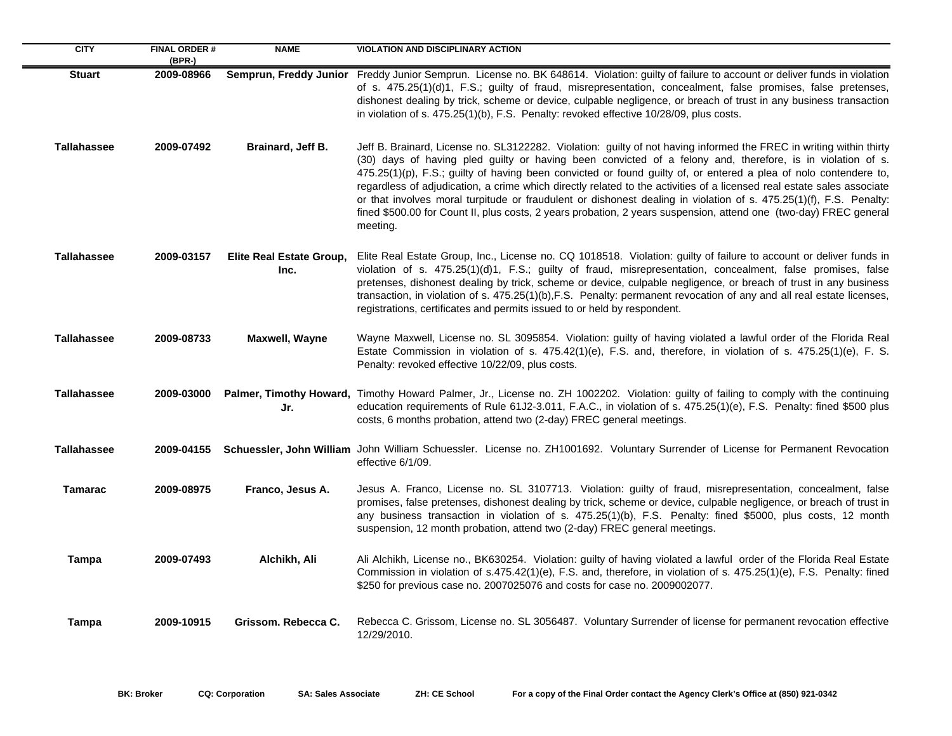| <b>CITY</b>        | <b>FINAL ORDER#</b><br>(BPR-) | <b>NAME</b>                      | <b>VIOLATION AND DISCIPLINARY ACTION</b>                                                                                                                                                                                                                                                                                                                                                                                                                                                                                                                                                                                                                                                                                               |
|--------------------|-------------------------------|----------------------------------|----------------------------------------------------------------------------------------------------------------------------------------------------------------------------------------------------------------------------------------------------------------------------------------------------------------------------------------------------------------------------------------------------------------------------------------------------------------------------------------------------------------------------------------------------------------------------------------------------------------------------------------------------------------------------------------------------------------------------------------|
| <b>Stuart</b>      | 2009-08966                    |                                  | Semprun, Freddy Junior Freddy Junior Semprun. License no. BK 648614. Violation: guilty of failure to account or deliver funds in violation<br>of s. 475.25(1)(d)1, F.S.; guilty of fraud, misrepresentation, concealment, false promises, false pretenses,<br>dishonest dealing by trick, scheme or device, culpable negligence, or breach of trust in any business transaction<br>in violation of s. 475.25(1)(b), F.S. Penalty: revoked effective 10/28/09, plus costs.                                                                                                                                                                                                                                                              |
| <b>Tallahassee</b> | 2009-07492                    | Brainard, Jeff B.                | Jeff B. Brainard, License no. SL3122282. Violation: guilty of not having informed the FREC in writing within thirty<br>(30) days of having pled guilty or having been convicted of a felony and, therefore, is in violation of s.<br>475.25(1)(p), F.S.; guilty of having been convicted or found guilty of, or entered a plea of nolo contendere to,<br>regardless of adjudication, a crime which directly related to the activities of a licensed real estate sales associate<br>or that involves moral turpitude or fraudulent or dishonest dealing in violation of s. 475.25(1)(f), F.S. Penalty:<br>fined \$500.00 for Count II, plus costs, 2 years probation, 2 years suspension, attend one (two-day) FREC general<br>meeting. |
| <b>Tallahassee</b> | 2009-03157                    | Elite Real Estate Group,<br>Inc. | Elite Real Estate Group, Inc., License no. CQ 1018518. Violation: guilty of failure to account or deliver funds in<br>violation of s. 475.25(1)(d)1, F.S.; guilty of fraud, misrepresentation, concealment, false promises, false<br>pretenses, dishonest dealing by trick, scheme or device, culpable negligence, or breach of trust in any business<br>transaction, in violation of s. 475.25(1)(b), F.S. Penalty: permanent revocation of any and all real estate licenses,<br>registrations, certificates and permits issued to or held by respondent.                                                                                                                                                                             |
| <b>Tallahassee</b> | 2009-08733                    | Maxwell, Wayne                   | Wayne Maxwell, License no. SL 3095854. Violation: guilty of having violated a lawful order of the Florida Real<br>Estate Commission in violation of s. 475.42(1)(e), F.S. and, therefore, in violation of s. 475.25(1)(e), F. S.<br>Penalty: revoked effective 10/22/09, plus costs.                                                                                                                                                                                                                                                                                                                                                                                                                                                   |
| <b>Tallahassee</b> | 2009-03000                    | Jr.                              | <b>Palmer, Timothy Howard,</b> Timothy Howard Palmer, Jr., License no. ZH 1002202. Violation: guilty of failing to comply with the continuing<br>education requirements of Rule 61J2-3.011, F.A.C., in violation of s. 475.25(1)(e), F.S. Penalty: fined \$500 plus<br>costs, 6 months probation, attend two (2-day) FREC general meetings.                                                                                                                                                                                                                                                                                                                                                                                            |
| <b>Tallahassee</b> |                               |                                  | 2009-04155 Schuessler, John William John William Schuessler. License no. ZH1001692. Voluntary Surrender of License for Permanent Revocation<br>effective 6/1/09.                                                                                                                                                                                                                                                                                                                                                                                                                                                                                                                                                                       |
| <b>Tamarac</b>     | 2009-08975                    | Franco, Jesus A.                 | Jesus A. Franco, License no. SL 3107713. Violation: guilty of fraud, misrepresentation, concealment, false<br>promises, false pretenses, dishonest dealing by trick, scheme or device, culpable negligence, or breach of trust in<br>any business transaction in violation of s. 475.25(1)(b), F.S. Penalty: fined \$5000, plus costs, 12 month<br>suspension, 12 month probation, attend two (2-day) FREC general meetings.                                                                                                                                                                                                                                                                                                           |
| <b>Tampa</b>       | 2009-07493                    | Alchikh, Ali                     | Ali Alchikh, License no., BK630254. Violation: guilty of having violated a lawful order of the Florida Real Estate<br>Commission in violation of s.475.42(1)(e), F.S. and, therefore, in violation of s. 475.25(1)(e), F.S. Penalty: fined<br>\$250 for previous case no. 2007025076 and costs for case no. 2009002077.                                                                                                                                                                                                                                                                                                                                                                                                                |
| Tampa              | 2009-10915                    | Grissom. Rebecca C.              | Rebecca C. Grissom, License no. SL 3056487. Voluntary Surrender of license for permanent revocation effective<br>12/29/2010.                                                                                                                                                                                                                                                                                                                                                                                                                                                                                                                                                                                                           |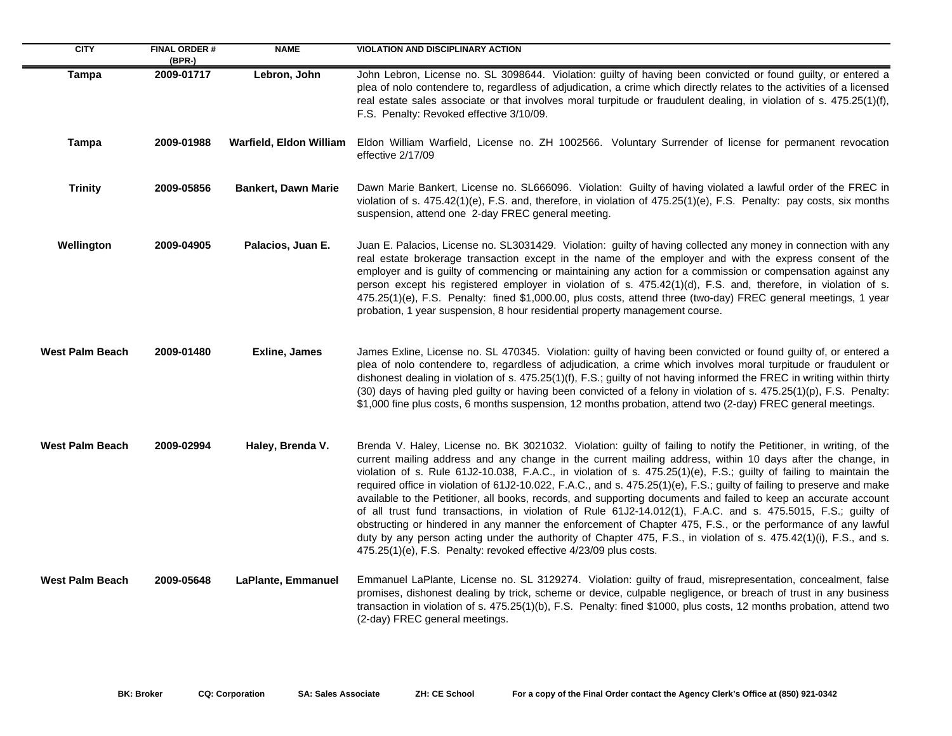| <b>CITY</b>            | <b>FINAL ORDER#</b><br>(BPR-) | <b>NAME</b>                | <b>VIOLATION AND DISCIPLINARY ACTION</b>                                                                                                                                                                                                                                                                                                                                                                                                                                                                                                                                                                                                                                                                                                                                                                                                                                                                                                                                                                                       |
|------------------------|-------------------------------|----------------------------|--------------------------------------------------------------------------------------------------------------------------------------------------------------------------------------------------------------------------------------------------------------------------------------------------------------------------------------------------------------------------------------------------------------------------------------------------------------------------------------------------------------------------------------------------------------------------------------------------------------------------------------------------------------------------------------------------------------------------------------------------------------------------------------------------------------------------------------------------------------------------------------------------------------------------------------------------------------------------------------------------------------------------------|
| <b>Tampa</b>           | 2009-01717                    | Lebron, John               | John Lebron, License no. SL 3098644. Violation: guilty of having been convicted or found guilty, or entered a<br>plea of nolo contendere to, regardless of adjudication, a crime which directly relates to the activities of a licensed<br>real estate sales associate or that involves moral turpitude or fraudulent dealing, in violation of s. 475.25(1)(f),<br>F.S. Penalty: Revoked effective 3/10/09.                                                                                                                                                                                                                                                                                                                                                                                                                                                                                                                                                                                                                    |
| <b>Tampa</b>           | 2009-01988                    | Warfield, Eldon William    | Eldon William Warfield, License no. ZH 1002566. Voluntary Surrender of license for permanent revocation<br>effective 2/17/09                                                                                                                                                                                                                                                                                                                                                                                                                                                                                                                                                                                                                                                                                                                                                                                                                                                                                                   |
| <b>Trinity</b>         | 2009-05856                    | <b>Bankert, Dawn Marie</b> | Dawn Marie Bankert, License no. SL666096. Violation: Guilty of having violated a lawful order of the FREC in<br>violation of s. 475.42(1)(e), F.S. and, therefore, in violation of 475.25(1)(e), F.S. Penalty: pay costs, six months<br>suspension, attend one 2-day FREC general meeting.                                                                                                                                                                                                                                                                                                                                                                                                                                                                                                                                                                                                                                                                                                                                     |
| Wellington             | 2009-04905                    | Palacios, Juan E.          | Juan E. Palacios, License no. SL3031429. Violation: guilty of having collected any money in connection with any<br>real estate brokerage transaction except in the name of the employer and with the express consent of the<br>employer and is guilty of commencing or maintaining any action for a commission or compensation against any<br>person except his registered employer in violation of s. 475.42(1)(d), F.S. and, therefore, in violation of s.<br>475.25(1)(e), F.S. Penalty: fined \$1,000.00, plus costs, attend three (two-day) FREC general meetings, 1 year<br>probation, 1 year suspension, 8 hour residential property management course.                                                                                                                                                                                                                                                                                                                                                                 |
| <b>West Palm Beach</b> | 2009-01480                    | Exline, James              | James Exline, License no. SL 470345. Violation: guilty of having been convicted or found guilty of, or entered a<br>plea of nolo contendere to, regardless of adjudication, a crime which involves moral turpitude or fraudulent or<br>dishonest dealing in violation of s. 475.25(1)(f), F.S.; guilty of not having informed the FREC in writing within thirty<br>(30) days of having pled guilty or having been convicted of a felony in violation of s. 475.25(1)(p), F.S. Penalty:<br>\$1,000 fine plus costs, 6 months suspension, 12 months probation, attend two (2-day) FREC general meetings.                                                                                                                                                                                                                                                                                                                                                                                                                         |
| <b>West Palm Beach</b> | 2009-02994                    | Haley, Brenda V.           | Brenda V. Haley, License no. BK 3021032. Violation: guilty of failing to notify the Petitioner, in writing, of the<br>current mailing address and any change in the current mailing address, within 10 days after the change, in<br>violation of s. Rule 61J2-10.038, F.A.C., in violation of s. 475.25(1)(e), F.S.; guilty of failing to maintain the<br>required office in violation of 61J2-10.022, F.A.C., and s. 475.25(1)(e), F.S.; guilty of failing to preserve and make<br>available to the Petitioner, all books, records, and supporting documents and failed to keep an accurate account<br>of all trust fund transactions, in violation of Rule 61J2-14.012(1), F.A.C. and s. 475.5015, F.S.; guilty of<br>obstructing or hindered in any manner the enforcement of Chapter 475, F.S., or the performance of any lawful<br>duty by any person acting under the authority of Chapter 475, F.S., in violation of s. 475.42(1)(i), F.S., and s.<br>475.25(1)(e), F.S. Penalty: revoked effective 4/23/09 plus costs. |
| <b>West Palm Beach</b> | 2009-05648                    | LaPlante, Emmanuel         | Emmanuel LaPlante, License no. SL 3129274. Violation: guilty of fraud, misrepresentation, concealment, false<br>promises, dishonest dealing by trick, scheme or device, culpable negligence, or breach of trust in any business<br>transaction in violation of s. 475.25(1)(b), F.S. Penalty: fined \$1000, plus costs, 12 months probation, attend two<br>(2-day) FREC general meetings.                                                                                                                                                                                                                                                                                                                                                                                                                                                                                                                                                                                                                                      |